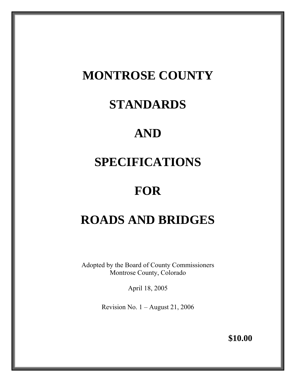## **MONTROSE COUNTY**

## **STANDARDS**

## **AND**

## **SPECIFICATIONS**

## **FOR**

# **ROADS AND BRIDGES**

Adopted by the Board of County Commissioners Montrose County, Colorado

April 18, 2005

Revision No.  $1 -$ August 21, 2006

**\$10.00**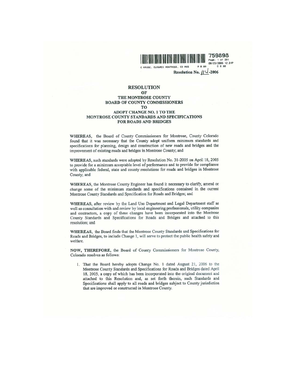

759898 Page: 1 of 201 08/23/2006 12:31P

C KRUSE, CLK&REC MONTROSE, CO RES R 0.00 D 0.00 Resolution No.  $\int$  -2006

#### **RESOLUTION** OF THE MONTROSE COUNTY **BOARD OF COUNTY COMMISSIONERS TO ADOPT CHANGE NO. 1 TO THE** MONTROSE COUNTY STANDARDS AND SPECIFICATIONS FOR ROADS AND BRIDGES

WHEREAS, the Board of County Commissioners for Montrose, County Colorado found that it was necessary that the County adopt uniform minimum standards and specifications for planning, design and construction of new roads and bridges and the improvement of existing roads and bridges in Montrose County; and

WHEREAS, such standards were adopted by Resolution No. 31-2005 on April 18, 2005 to provide for a minimum acceptable level of performance and to provide for compliance with applicable federal, state and county resolutions for roads and bridges in Montrose County; and

WHEREAS, the Montrose County Engineer has found it necessary to clarify, amend or change some of the minimum standards and specifications contained in the current Montrose County Standards and Specification for Roads and Bridges; and

WHEREAS, after review by the Land Use Department and Legal Department staff as well as consultation with and review by local engineering professionals, utility companies and contractors, a copy of these changes have been incorporated into the Montrose County Standards and Specifications for Roads and Bridges and attached to this resolution; and

WHEREAS, the Board finds that the Montrose County Standards and Specifications for Roads and Bridges, to include Change 1, will serve to protect the public health safety and welfare.

NOW, THEREFORE, the Board of County Commissioners for Montrose County, Colorado resolves as follows:

1. That the Board hereby adopts Change No. 1 dated August 21, 2006 to the Montrose County Standards and Specifications for Roads and Bridges dated April 18, 2005, a copy of which has been incorporated into the original document and attached to this Resolution and, as set forth therein, such Standards and Specifications shall apply to all roads and bridges subject to County jurisdiction that are improved or constructed in Montrose County.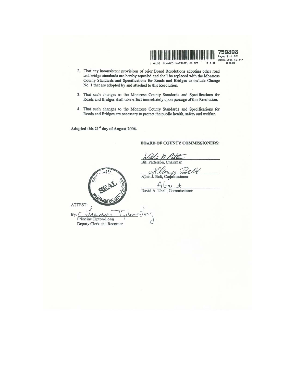

759898 Page: 2 of 201 08/23/2006 12:31P D 0.00

**BOARD OF COUNTY COMMISSIONERS:** 

- 2. That any inconsistent provisions of prior Board Resolutions adopting other road and bridge standards are hereby repealed and shall be replaced with the Montrose County Standards and Specifications for Roads and Bridges to include Change No. 1 that are adopted by and attached to this Resolution.
- 3. That such changes to the Montrose County Standards and Specifications for Roads and Bridges shall take effect immediately upon passage of this Resolution.
- 4. That such changes to the Montrose County Standards and Specifications for Roads and Bridges are necessary to protect the public health, safety and welfare.

Adopted this 21<sup>st</sup> day of August 2006.

Bill Patterson, Chairman in Allan J. Belt, Commissioner 20 David A. Ubell, Commissioner ATTEST: By:  $710$ nli  $\overline{L}$ Francine Tipton-Long Deputy Clerk and Recorder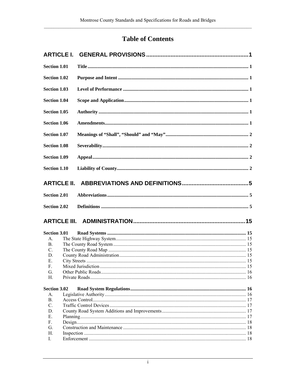## **Table of Contents**

| <b>Section 1.01</b> |  |
|---------------------|--|
| <b>Section 1.02</b> |  |
| <b>Section 1.03</b> |  |
| <b>Section 1.04</b> |  |
| <b>Section 1.05</b> |  |
| <b>Section 1.06</b> |  |
| <b>Section 1.07</b> |  |
| <b>Section 1.08</b> |  |
| <b>Section 1.09</b> |  |
| Section 1.10        |  |
|                     |  |
| <b>Section 2.01</b> |  |
| <b>Section 2.02</b> |  |
|                     |  |
| <b>Section 3.01</b> |  |
| $A_{-}$             |  |
| B.                  |  |
|                     |  |
| C.                  |  |
| D.                  |  |
| Е.                  |  |
| F.                  |  |
| G.                  |  |
| $H_{\cdot}$         |  |
| <b>Section 3.02</b> |  |
| $A_{-}$             |  |
| B <sub>1</sub>      |  |
| C.                  |  |
| D.                  |  |
| Е.                  |  |
| F.                  |  |
| G.                  |  |
| Н.<br>I.            |  |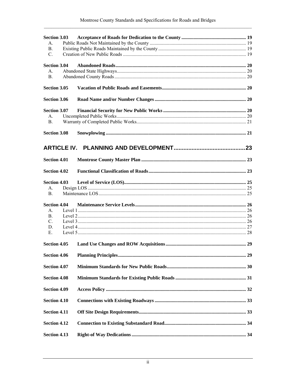| <b>Section 3.03</b> |  |
|---------------------|--|
| $A_{\cdot}$         |  |
| B.                  |  |
| C.                  |  |
|                     |  |
| <b>Section 3.04</b> |  |
| $A_{-}$             |  |
| <b>B.</b>           |  |
|                     |  |
| Section 3.05        |  |
| <b>Section 3.06</b> |  |
| Section 3.07        |  |
| A <sub>1</sub>      |  |
|                     |  |
| B.                  |  |
|                     |  |
| <b>Section 3.08</b> |  |
|                     |  |
|                     |  |
|                     |  |
| <b>Section 4.01</b> |  |
|                     |  |
| <b>Section 4.02</b> |  |
|                     |  |
| <b>Section 4.03</b> |  |
| A <sub>1</sub>      |  |
| B.                  |  |
|                     |  |
| <b>Section 4.04</b> |  |
| $A_{-}$             |  |
| B <sub>1</sub>      |  |
|                     |  |
| C.                  |  |
| D.                  |  |
| Е.                  |  |
|                     |  |
| <b>Section 4.05</b> |  |
|                     |  |
| <b>Section 4.06</b> |  |
|                     |  |
| <b>Section 4.07</b> |  |
| <b>Section 4.08</b> |  |
|                     |  |
| <b>Section 4.09</b> |  |
|                     |  |
| <b>Section 4.10</b> |  |
|                     |  |
| <b>Section 4.11</b> |  |
|                     |  |
| <b>Section 4.12</b> |  |
|                     |  |
| <b>Section 4.13</b> |  |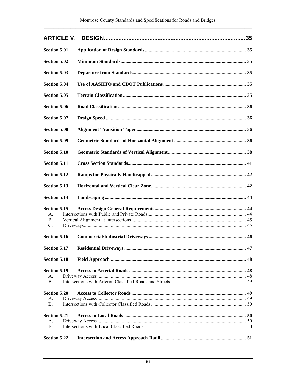| <b>Section 5.01</b> |  |
|---------------------|--|
| <b>Section 5.02</b> |  |
| Section 5.03        |  |
| <b>Section 5.04</b> |  |
| Section 5.05        |  |
| Section 5.06        |  |
| Section 5.07        |  |
| <b>Section 5.08</b> |  |
| Section 5.09        |  |
| Section 5.10        |  |
| <b>Section 5.11</b> |  |
| <b>Section 5.12</b> |  |
| <b>Section 5.13</b> |  |
| <b>Section 5.14</b> |  |
| Section 5.15        |  |
| $A_{\cdot}$         |  |
| B.                  |  |
| C.                  |  |
| <b>Section 5.16</b> |  |
| Section 5.17        |  |
| <b>Section 5.18</b> |  |
| Section 5.19        |  |
| A <sub>1</sub>      |  |
| B <sub>1</sub>      |  |
| <b>Section 5.20</b> |  |
| $A_{\cdot}$         |  |
| <b>B.</b>           |  |
| <b>Section 5.21</b> |  |
| A.                  |  |
| B.                  |  |
| <b>Section 5.22</b> |  |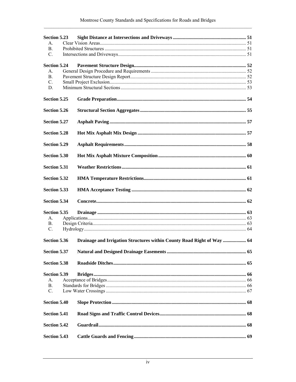| Section 5.23        |                                                                        |  |
|---------------------|------------------------------------------------------------------------|--|
| $A_{\cdot}$         |                                                                        |  |
| B <sub>1</sub>      |                                                                        |  |
| C.                  |                                                                        |  |
| <b>Section 5.24</b> |                                                                        |  |
|                     |                                                                        |  |
| A <sub>1</sub>      |                                                                        |  |
| B <sub>1</sub>      |                                                                        |  |
| $\mathbf{C}$ .      |                                                                        |  |
| D.                  |                                                                        |  |
| <b>Section 5.25</b> |                                                                        |  |
| <b>Section 5.26</b> |                                                                        |  |
| <b>Section 5.27</b> |                                                                        |  |
| <b>Section 5.28</b> |                                                                        |  |
| <b>Section 5.29</b> |                                                                        |  |
| <b>Section 5.30</b> |                                                                        |  |
| <b>Section 5.31</b> |                                                                        |  |
| <b>Section 5.32</b> |                                                                        |  |
| <b>Section 5.33</b> |                                                                        |  |
| <b>Section 5.34</b> |                                                                        |  |
| Section 5.35        |                                                                        |  |
| А.                  |                                                                        |  |
| B.                  |                                                                        |  |
| C.                  |                                                                        |  |
|                     |                                                                        |  |
| <b>Section 5.36</b> | Drainage and Irrigation Structures within County Road Right of Way  64 |  |
|                     |                                                                        |  |
| <b>Section 5.38</b> |                                                                        |  |
| Section 5.39        |                                                                        |  |
| А.                  |                                                                        |  |
| <b>B.</b>           |                                                                        |  |
| $C$ .               |                                                                        |  |
|                     |                                                                        |  |
| <b>Section 5.40</b> |                                                                        |  |
| <b>Section 5.41</b> |                                                                        |  |
| <b>Section 5.42</b> |                                                                        |  |
| <b>Section 5.43</b> |                                                                        |  |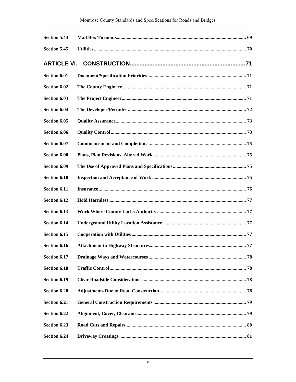| <b>Section 5.44</b> |  |
|---------------------|--|
| <b>Section 5.45</b> |  |
| <b>ARTICLE VI.</b>  |  |
| Section 6.01        |  |
| Section 6.02        |  |
| Section 6.03        |  |
| <b>Section 6.04</b> |  |
| Section 6.05        |  |
| Section 6.06        |  |
| Section 6.07        |  |
| Section 6.08        |  |
| Section 6.09        |  |
| Section 6.10        |  |
| Section 6.11        |  |
| Section 6.12        |  |
| Section 6.13        |  |
| Section 6.14        |  |
| Section 6.15        |  |
| Section 6.16        |  |
| Section 6.17        |  |
| <b>Section 6.18</b> |  |
| Section 6.19        |  |
| Section 6.20        |  |
| Section 6.21        |  |
| Section 6.22        |  |
| Section 6.23        |  |
| Section 6.24        |  |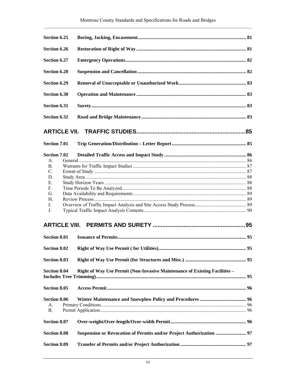| Section 6.25        |                                                                            |    |
|---------------------|----------------------------------------------------------------------------|----|
| Section 6.26        |                                                                            |    |
| Section 6.27        |                                                                            |    |
| <b>Section 6.28</b> |                                                                            |    |
| Section 6.29        |                                                                            |    |
| Section 6.30        |                                                                            |    |
| Section 6.31        |                                                                            |    |
| Section 6.32        |                                                                            |    |
|                     |                                                                            |    |
| <b>Section 7.01</b> |                                                                            |    |
| <b>Section 7.02</b> |                                                                            |    |
| $A_{-}$             |                                                                            |    |
| B.                  |                                                                            |    |
| C.                  |                                                                            |    |
| D.                  |                                                                            |    |
| Е.                  |                                                                            |    |
| F.                  |                                                                            |    |
| G.                  |                                                                            |    |
| Н.                  |                                                                            |    |
| L                   |                                                                            |    |
| J.                  |                                                                            |    |
|                     |                                                                            |    |
| <b>Section 8.01</b> |                                                                            |    |
| <b>Section 8.02</b> |                                                                            | 95 |
| <b>Section 8.03</b> |                                                                            |    |
| <b>Section 8.04</b> | Right of Way Use Permit (Non-Invasive Maintenance of Existing Facilities - |    |
| <b>Section 8.05</b> |                                                                            |    |
| <b>Section 8.06</b> |                                                                            |    |
| А.                  |                                                                            |    |
| B.                  |                                                                            |    |
|                     |                                                                            |    |
| Section 8.07        |                                                                            |    |
| <b>Section 8.08</b> | Suspension or Revocation of Permits and/or Project Authorization  97       |    |
| <b>Section 8.09</b> |                                                                            |    |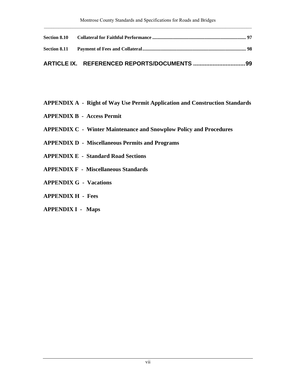- **APPENDIX A Right of Way Use Permit Application and Construction Standards**
- **APPENDIX B Access Permit**
- **APPENDIX C Winter Maintenance and Snowplow Policy and Procedures**
- **APPENDIX D Miscellaneous Permits and Programs**
- **APPENDIX E Standard Road Sections**
- **APPENDIX F Miscellaneous Standards**
- **APPENDIX G Vacations**
- **APPENDIX H Fees**
- **APPENDIX I Maps**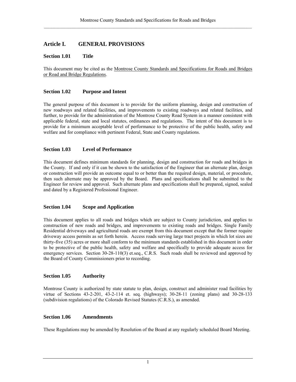## <span id="page-12-0"></span>**Article I. GENERAL PROVISIONS**

## **Section 1.01 Title**

This document may be cited as the Montrose County Standards and Specifications for Roads and Bridges or Road and Bridge Regulations.

## **Section 1.02 Purpose and Intent**

The general purpose of this document is to provide for the uniform planning, design and construction of new roadways and related facilities, and improvements to existing roadways and related facilities, and further, to provide for the administration of the Montrose County Road System in a manner consistent with applicable federal, state and local statutes, ordinances and regulations. The intent of this document is to provide for a minimum acceptable level of performance to be protective of the public health, safety and welfare and for compliance with pertinent Federal, State and County regulations.

## **Section 1.03 Level of Performance**

This document defines minimum standards for planning, design and construction for roads and bridges in the County. If and only if it can be shown to the satisfaction of the Engineer that an alternate plan, design or construction will provide an outcome equal to or better than the required design, material, or procedure, then such alternate may be approved by the Board. Plans and specifications shall be submitted to the Engineer for review and approval. Such alternate plans and specifications shall be prepared, signed, sealed and dated by a Registered Professional Engineer.

## **Section 1.04 Scope and Application**

This document applies to all roads and bridges which are subject to County jurisdiction, and applies to construction of new roads and bridges, and improvements to existing roads and bridges. Single Family Residential driveways and agricultural roads are exempt from this document except that the former require driveway access permits as set forth herein. Access roads serving large tract projects in which lot sizes are thirty-five (35) acres or more shall conform to the minimum standards established in this document in order to be protective of the public health, safety and welfare and specifically to provide adequate access for emergency services. Section 30-28-110(3) et.seq., C.R.S. Such roads shall be reviewed and approved by the Board of County Commissioners prior to recording.

## **Section 1.05 Authority**

Montrose County is authorized by state statute to plan, design, construct and administer road facilities by virtue of Sections 43-2-201, 43-2-114 et. seq. (highways); 30-28-11 (zoning plans) and 30-28-133 (subdivision regulations) of the Colorado Revised Statutes (C.R.S.), as amended.

#### **Section 1.06 Amendments**

These Regulations may be amended by Resolution of the Board at any regularly scheduled Board Meeting.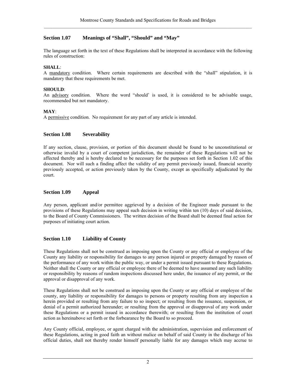## <span id="page-13-0"></span>**Section 1.07 Meanings of "Shall", "Should" and "May"**

The language set forth in the text of these Regulations shall be interpreted in accordance with the following rules of construction:

## **SHALL**:

A mandatory condition. Where certain requirements are described with the "shall" stipulation, it is mandatory that these requirements be met.

### **SHOULD**:

An advisory condition. Where the word "should' is used, it is considered to be advisable usage, recommended but not mandatory.

## **MAY**:

A permissive condition. No requirement for any part of any article is intended.

## **Section 1.08 Severability**

If any section, clause, provision, or portion of this document should be found to be unconstitutional or otherwise invalid by a court of competent jurisdiction, the remainder of these Regulations will not be affected thereby and is hereby declared to be necessary for the purposes set forth in Section 1.02 of this document. Nor will such a finding affect the validity of any permit previously issued, financial security previously accepted, or action previously taken by the County, except as specifically adjudicated by the court.

## **Section 1.09 Appeal**

Any person, applicant and/or permittee aggrieved by a decision of the Engineer made pursuant to the provisions of these Regulations may appeal such decision in writing within ten (10) days of said decision, to the Board of County Commissioners. The written decision of the Board shall be deemed final action for purposes of initiating court action.

## **Section 1.10 Liability of County**

These Regulations shall not be construed as imposing upon the County or any official or employee of the County any liability or responsibility for damages to any person injured or property damaged by reason of the performance of any work within the public way, or under a permit issued pursuant to these Regulations. Neither shall the County or any official or employee there of be deemed to have assumed any such liability or responsibility by reasons of random inspections discussed here under, the issuance of any permit, or the approval or disapproval of any work.

These Regulations shall not be construed as imposing upon the County or any official or employee of the county, any liability or responsibility for damages to persons or property resulting from any inspection a herein provided or resulting from any failure to so inspect; or resulting from the issuance, suspension, or denial of a permit authorized hereunder; or resulting from the approval or disapproval of any work under these Regulations or a permit issued in accordance therewith; or resulting from the institution of court action as hereinabove set forth or the forbearance by the Board to so proceed.

Any County official, employee, or agent charged with the administration, supervision and enforcement of these Regulations, acting in good faith an without malice on behalf of said County in the discharge of his official duties, shall not thereby render himself personally liable for any damages which may accrue to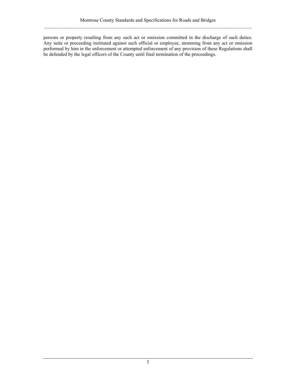persons or property resulting from any such act or omission committed in the discharge of such duties. Any suite or proceeding instituted against such official or employee, stemming from any act or omission performed by him in the enforcement or attempted enforcement of any provision of these Regulations shall be defended by the legal officers of the County until final termination of the proceedings.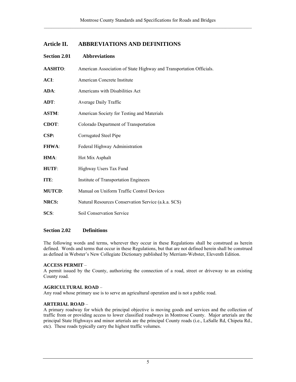## <span id="page-16-0"></span>**Article II. ABBREVIATIONS AND DEFINITIONS**

| <b>Section 2.01</b> | <b>Abbreviations</b>                                                |
|---------------------|---------------------------------------------------------------------|
| <b>AASHTO:</b>      | American Association of State Highway and Transportation Officials. |
| ACI:                | American Concrete Institute                                         |
| $ADA$ :             | Americans with Disabilities Act                                     |
| $ADT$ :             | Average Daily Traffic                                               |
| <b>ASTM:</b>        | American Society for Testing and Materials                          |
| <b>CDOT:</b>        | Colorado Department of Transportation                               |
| CSP:                | Corrugated Steel Pipe                                               |
| <b>FHWA:</b>        | Federal Highway Administration                                      |
| HMA:                | Hot Mix Asphalt                                                     |
| HUTF:               | Highway Users Tax Fund                                              |
| ITE:                | Institute of Transportation Engineers                               |
| <b>MUTCD:</b>       | Manual on Uniform Traffic Control Devices                           |
| <b>NRCS:</b>        | Natural Resources Conservation Service (a.k.a. SCS)                 |
| SCS:                | Soil Conservation Service                                           |
|                     |                                                                     |

## **Section 2.02 Definitions**

The following words and terms, wherever they occur in these Regulations shall be construed as herein defined. Words and terms that occur in these Regulations, but that are not defined herein shall be construed as defined in Webster's New Collegiate Dictionary published by Merriam-Webster, Eleventh Edition.

## **ACCESS PERMIT** –

A permit issued by the County, authorizing the connection of a road, street or driveway to an existing County road.

## **AGRICULTURAL ROAD** –

Any road whose primary use is to serve an agricultural operation and is not a public road.

## **ARTERIAL ROAD** –

A primary roadway for which the principal objective is moving goods and services and the collection of traffic from or providing access to lower classified roadways in Montrose County. Major arterials are the principal State Highways and minor arterials are the principal County roads (i.e., LaSalle Rd, Chipeta Rd., etc). These roads typically carry the highest traffic volumes.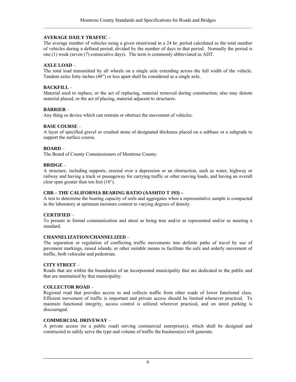## **AVERAGE DAILY TRAFFIC** –

The average number of vehicles using a given street/road in a 24 hr. period calculated as the total number of vehicles during a defined period, divided by the number of days in that period. Normally the period is one (1) week (seven (7) consecutive days). The term is commonly abbreviated as ADT.

## **AXLE LOAD** –

The total load transmitted by all wheels on a single axle extending across the full width of the vehicle. Tandem axles forty inches (40") or less apart shall be considered as a single axle.

## **BACKFILL** –

Material used to replace, or the act of replacing, material removed during construction; also may denote material placed, or the act of placing, material adjacent to structures.

## **BARRIER** –

Any thing or device which can restrain or obstruct the movement of vehicles.

## **BASE COURSE** –

A layer of specified gravel or crushed stone of designated thickness placed on a subbase or a subgrade to support the surface course.

#### **BOARD** –

The Board of County Commissioners of Montrose County.

#### **BRIDGE** –

A structure, including supports, erected over a depression or an obstruction, such as water, highway or railway and having a track or passageway for carrying traffic or other moving loads, and having an overall clear span greater than ten feet (10').

### **CBR – THE CALIFORNIA BEARING RATIO (AASHTO T 193) –**

A test to determine the bearing capacity of soils and aggregates when a representative sample is compacted in the laboratory at optimum moisture content to varying degrees of density.

## **CERTIFIED** –

To present in formal communication and attest as being true and/or as represented and/or as meeting a standard.

#### **CHANNELIZATION/CHANNELIZED** –

The separation or regulation of conflicting traffic movements into definite paths of travel by use of pavement markings, raised islands, or other suitable means to facilitate the safe and orderly movement of traffic, both vehicular and pedestrian.

#### **CITY STREET** –

Roads that are within the boundaries of an incorporated municipality that are dedicated to the public and that are maintained by that municipality.

#### **COLLECTOR ROAD** –

Regional road that provides access to and collects traffic from other roads of lower functional class. Efficient movement of traffic is important and private access should be limited whenever practical. To maintain functional integrity, access control is utilized wherever practical, and on street parking is discouraged.

#### **COMMERCIAL DRIVEWAY** –

A private access (to a public road) serving commercial enterprise(s), which shall be designed and constructed to safely serve the type and volume of traffic the business(es) will generate.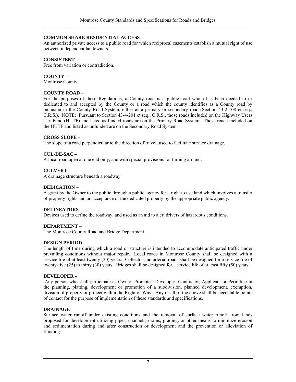## **COMMON SHARE RESIDENTIAL ACCESS –**

An authorized private access to a public road for which reciprocal easements establish a mutual right of use between independent landowners.

## **CONSISTENT** –

Free from variation or contradiction.

### **COUNTY** –

Montrose County.

## **COUNTY ROAD** –

For the purposes of these Regulations, a County road is a public road which has been deeded to or dedicated to and accepted by the County or a road which the county identifies as a County road by inclusion in the County Road System, either as a primary or secondary road (Section 43-2-108 et seq., C.R.S.). NOTE: Pursuant to Section 43-4-201 et seq., C.R.S., those roads included on the Highway Users Tax Fund (HUTF) and listed as funded roads are on the Primary Road System. Those roads included on the HUTF and listed as unfunded are on the Secondary Road System.

#### **CROSS SLOPE** –

The slope of a road perpendicular to the direction of travel, used to facilitate surface drainage.

## **CUL-DE-SAC –**

A local road open at one end only, and with special provisions for turning around.

#### **CULVERT** –

A drainage structure beneath a roadway.

## **DEDICATION** –

A grant by the Owner to the public through a public agency for a right to use land which involves a transfer of property rights and an acceptance of the dedicated property by the appropriate public agency.

## **DELINEATORS** –

Devices used to define the roadway, and used as an aid to alert drivers of hazardous conditions.

## **DEPARTMENT** –

The Montrose County Road and Bridge Department..

## **DESIGN PERIOD** –

The length of time during which a road or structure is intended to accommodate anticipated traffic under prevailing conditions without major repair. Local roads in Montrose County shall be designed with a service life of at least twenty (20) years. Collector and arterial roads shall be designed for a service life of twenty-five (25) to thirty (30) years. Bridges shall be designed for a service life of at least fifty (50) years.

#### **DEVELOPER –**

Any person who shall participate as Owner, Promoter, Developer, Contractor, Applicant or Permittee in the planning, platting, development or promotion of a subdivision, planned development, exemption, division of property or project within the Right of Way. Any or all of the above shall be acceptable points of contact for the purpose of implementation of these standards and specifications.

#### **DRAINAGE** –

Surface water runoff under existing conditions and the removal of surface water runoff from lands proposed for development utilizing pipes, channels, drains, grading, or other means to minimize erosion and sedimentation during and after construction or development and the prevention or alleviation of flooding.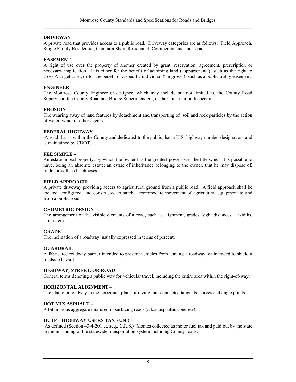## **DRIVEWAY** –

A private road that provides access to a public road. Driveway categories are as follows: Field Approach, Single Family Residential, Common Share Residential, Commercial and Industrial.

## **EASEMENT** –

A right of use over the property of another created by grant, reservation, agreement, prescription or necessary implication. It is either for the benefit of adjoining land ("appurtenant"), such as the right to cross A to get to B., or for the benefit of a specific individual ("in gross"), such as a public utility easement.

## **ENGINEER** –

The Montrose County Engineer or designee, which may include but not limited to, the County Road Supervisor, the County Road and Bridge Superintendent, or the Construction Inspector.

## **EROSION** –

The wearing away of land features by detachment and transporting of soil and rock particles by the action of water, wind, or other agents.

## **FEDERAL HIGHWAY** –

 A road that is within the County and dedicated to the public, has a U.S. highway number designation, and is maintained by CDOT.

#### **FEE SIMPLE –**

An estate in real property, by which the owner has the greatest power over the title which it is possible to have, being an absolute estate; an estate of inheritance belonging to the owner, that he may dispose of, trade, or will, as he chooses.

#### **FIELD APPROACH** –

A private driveway providing access to agricultural ground from a public road. A field approach shall be located, configured, and constructed to safely accommodate movement of agricultural equipment to and from a public road.

## **GEOMETRIC DESIGN** –

The arrangement of the visible elements of a road, such as alignment, grades, sight distances, widths, slopes, etc.

## **GRADE** –

The inclination of a roadway, usually expressed in terms of percent.

#### **GUARDRAIL** –

A fabricated roadway barrier intended to prevent vehicles from leaving a roadway, or intended to shield a roadside hazard.

## **HIGHWAY, STREET, OR ROAD** –

General terms denoting a public way for vehicular travel, including the entire area within the right-of-way.

## **HORIZONTAL ALIGNMENT** –

The plan of a roadway in the horizontal plane, utilizing interconnected tangents, curves and angle points.

## **HOT MIX ASPHALT –**

A bituminous aggregate mix used in surfacing roads (a.k.a. asphaltic concrete).

#### **HUTF – HIGHWAY USERS TAX FUND –**

As defined (Section 43-4-201 et. seq., C.R.S.) Monies collected as motor fuel tax and paid out by the state to aid in funding of the statewide transportation system including County roads.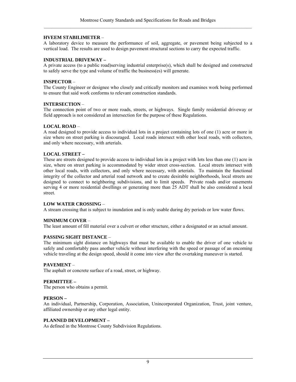## **HVEEM STABILIMETER** –

A laboratory device to measure the performance of soil, aggregate, or pavement being subjected to a vertical load. The results are used to design pavement structural sections to carry the expected traffic.

#### **INDUSTRIAL DRIVEWAY –**

A private access (to a public road)serving industrial enterprise(s), which shall be designed and constructed to safely serve the type and volume of traffic the business(es) will generate.

#### **INSPECTOR** –

The County Engineer or designee who closely and critically monitors and examines work being performed to ensure that said work conforms to relevant construction standards.

#### **INTERSECTION** –

The connection point of two or more roads, streets, or highways. Single family residential driveway or field approach is not considered an intersection for the purpose of these Regulations.

#### **LOCAL ROAD** –

A road designed to provide access to individual lots in a project containing lots of one (1) acre or more in size where on street parking is discouraged. Local roads intersect with other local roads, with collectors, and only where necessary, with arterials.

#### **LOCAL STREET –**

These are streets designed to provide access to individual lots in a project with lots less than one (1) acre in size, where on street parking is accommodated by wider street cross-section. Local streets intersect with other local roads, with collectors, and only where necessary, with arterials. To maintain the functional integrity of the collector and arterial road network and to create desirable neighborhoods, local streets are designed to connect to neighboring subdivisions, and to limit speeds. Private roads and/or easements serving 4 or more residential dwellings or generating more than 25 ADT shall be also considered a local street.

#### **LOW WATER CROSSING** –

A stream crossing that is subject to inundation and is only usable during dry periods or low water flows.

#### **MINIMUM COVER** –

The least amount of fill material over a culvert or other structure, either a designated or an actual amount.

#### **PASSING SIGHT DISTANCE** –

The minimum sight distance on highways that must be available to enable the driver of one vehicle to safely and comfortably pass another vehicle without interfering with the speed or passage of an oncoming vehicle traveling at the design speed, should it come into view after the overtaking maneuver is started.

#### **PAVEMENT** –

The asphalt or concrete surface of a road, street, or highway.

#### **PERMITTEE –**

The person who obtains a permit.

#### **PERSON –**

An individual, Partnership, Corporation, Association, Unincorporated Organization, Trust, joint venture, affiliated ownership or any other legal entity.

#### **PLANNED DEVELOPMENT –**

As defined in the Montrose County Subdivision Regulations.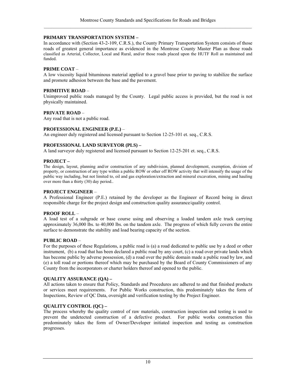#### **PRIMARY TRANSPORTATION SYSTEM –**

In accordance with (Section 43-2-109, C.R.S.), the County Primary Transportation System consists of those roads of greatest general importance as evidenced in the Montrose County Master Plan as those roads classified as Arterial, Collector, Local and Rural, and/or those roads placed upon the HUTF Roll as maintained and funded.

#### **PRIME COAT** –

A low viscosity liquid bituminous material applied to a gravel base prior to paving to stabilize the surface and promote adhesion between the base and the pavement.

#### **PRIMITIVE ROAD** –

Unimproved public roads managed by the County. Legal public access is provided, but the road is not physically maintained.

#### **PRIVATE ROAD** –

Any road that is not a public road.

#### **PROFESSIONAL ENGINEER (P.E.)** –

An engineer duly registered and licensed pursuant to Section 12-25-101 et. seq., C.R.S.

#### **PROFESSIONAL LAND SURVEYOR (PLS) –**

A land surveyor duly registered and licensed pursuant to Section 12-25-201 et. seq., C.R.S.

#### **PROJECT –**

The design, layout, planning and/or construction of any subdivision, planned development, exemption, division of property, or construction of any type within a public ROW or other off ROW activity that will intensify the usage of the public way including, but not limited to, oil and gas exploration/extraction and mineral excavation, mining and hauling over more than a thirty (30) day period..

#### **PROJECT ENGINEER** –

A Professional Engineer (P.E.) retained by the developer as the Engineer of Record being in direct responsible charge for the project design and construction quality assurance/quality control.

#### **PROOF ROLL** –

A load test of a subgrade or base course using and observing a loaded tandem axle truck carrying approximately 36,000 lbs. to 40,000 lbs. on the tandem axle. The progress of which fully covers the entire surface to demonstrate the stability and load bearing capacity of the section.

#### **PUBLIC ROAD** –

For the purposes of these Regulations, a public road is (a) a road dedicated to public use by a deed or other instrument, (b) a road that has been declared a public road by any court, (c) a road over private lands which has become public by adverse possession, (d) a road over the public domain made a public road by law, and (e) a toll road or portions thereof which may be purchased by the Board of County Commissioners of any County from the incorporators or charter holders thereof and opened to the public.

#### **QUALITY ASSURANCE (QA) –**

All actions taken to ensure that Policy, Standards and Procedures are adhered to and that finished products or services meet requirements. For Public Works construction, this predominately takes the form of Inspections, Review of QC Data, oversight and verification testing by the Project Engineer.

## **QUALITY CONTROL (QC) –**

The process whereby the quality control of raw materials, construction inspection and testing is used to prevent the undetected construction of a defective product. For public works construction this predominately takes the form of Owner/Developer initiated inspection and testing as construction progresses.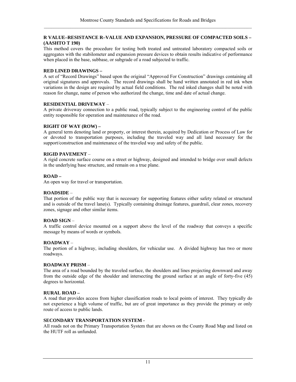#### **R VALUE–RESISTANCE R–VALUE AND EXPANSION, PRESSURE OF COMPACTED SOILS – (AASHTO T 190)**

This method covers the procedure for testing both treated and untreated laboratory compacted soils or aggregates with the stabilometer and expansion pressure devices to obtain results indicative of performance when placed in the base, subbase, or subgrade of a road subjected to traffic.

## **RED LINED DRAWINGS –**

A set of "Record Drawings" based upon the original "Approved For Construction" drawings containing all original signatures and approvals. The record drawings shall be hand written annotated in red ink when variations in the design are required by actual field conditions. The red inked changes shall be noted with reason for change, name of person who authorized the change, time and date of actual change.

#### **RESIDENTIAL DRIVEWAY** –

A private driveway connection to a public road, typically subject to the engineering control of the public entity responsible for operation and maintenance of the road.

#### **RIGHT OF WAY (ROW) –**

A general term denoting land or property, or interest therein, acquired by Dedication or Process of Law for or devoted to transportation purposes, including the traveled way and all land necessary for the support/construction and maintenance of the traveled way and safety of the public.

#### **RIGID PAVEMENT** –

A rigid concrete surface course on a street or highway, designed and intended to bridge over small defects in the underlying base structure, and remain on a true plane.

#### **ROAD –**

An open way for travel or transportation.

#### **ROADSIDE** –

That portion of the public way that is necessary for supporting features either safety related or structural and is outside of the travel lane(s). Typically containing drainage features, guardrail, clear zones, recovery zones, signage and other similar items.

#### **ROAD SIGN** –

A traffic control device mounted on a support above the level of the roadway that conveys a specific message by means of words or symbols.

## **ROADWAY** –

The portion of a highway, including shoulders, for vehicular use. A divided highway has two or more roadways.

#### **ROADWAY PRISM** –

The area of a road bounded by the traveled surface, the shoulders and lines projecting downward and away from the outside edge of the shoulder and intersecting the ground surface at an angle of forty-five (45) degrees to horizontal.

#### **RURAL ROAD –**

A road that provides access from higher classification roads to local points of interest. They typically do not experience a high volume of traffic, but are of great importance as they provide the primary or only route of access to public lands.

#### **SECONDARY TRANSPORTATION SYSTEM -**

All roads not on the Primary Transportation System that are shown on the County Road Map and listed on the HUTF roll as unfunded.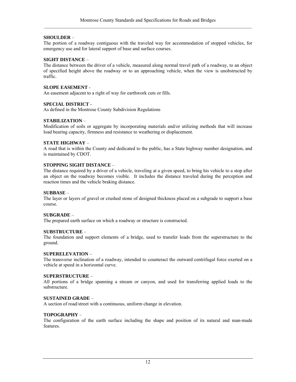## **SHOULDER** –

The portion of a roadway contiguous with the traveled way for accommodation of stopped vehicles, for emergency use and for lateral support of base and surface courses.

## **SIGHT DISTANCE** –

The distance between the driver of a vehicle, measured along normal travel path of a roadway, to an object of specified height above the roadway or to an approaching vehicle, when the view is unobstructed by traffic.

## **SLOPE EASEMENT** -

An easement adjacent to a right of way for earthwork cuts or fills.

## **SPECIAL DISTRICT -**

As defined in the Montrose County Subdivision Regulations

## **STABILIZATION** –

Modification of soils or aggregate by incorporating materials and/or utilizing methods that will increase load bearing capacity, firmness and resistance to weathering or displacement.

## **STATE HIGHWAY** –

A road that is within the County and dedicated to the public, has a State highway number designation, and is maintained by CDOT.

#### **STOPPING SIGHT DISTANCE** –

The distance required by a driver of a vehicle, traveling at a given speed, to bring his vehicle to a stop after an object on the roadway becomes visible. It includes the distance traveled during the perception and reaction times and the vehicle braking distance.

#### **SUBBASE** –

The layer or layers of gravel or crushed stone of designed thickness placed on a subgrade to support a base course.

## **SUBGRADE** –

The prepared earth surface on which a roadway or structure is constructed.

#### **SUBSTRUCTURE** –

The foundation and support elements of a bridge, used to transfer loads from the superstructure to the ground.

#### **SUPERELEVATION** –

The transverse inclination of a roadway, intended to counteract the outward centrifugal force exerted on a vehicle at speed in a horizontal curve.

#### **SUPERSTRUCTURE** –

All portions of a bridge spanning a stream or canyon, and used for transferring applied loads to the substructure.

#### **SUSTAINED GRADE** –

A section of road/street with a continuous, uniform change in elevation.

#### **TOPOGRAPHY** –

The configuration of the earth surface including the shape and position of its natural and man-made features.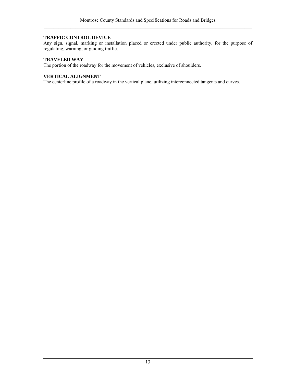## **TRAFFIC CONTROL DEVICE** –

Any sign, signal, marking or installation placed or erected under public authority, for the purpose of regulating, warning, or guiding traffic.

## **TRAVELED WAY** –

The portion of the roadway for the movement of vehicles, exclusive of shoulders.

## **VERTICAL ALIGNMENT** –

The centerline profile of a roadway in the vertical plane, utilizing interconnected tangents and curves.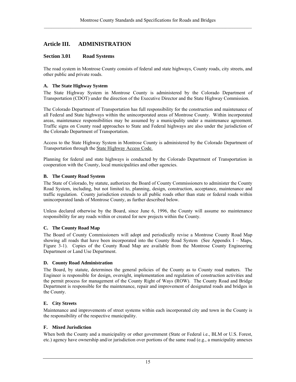## <span id="page-26-0"></span>**Article III. ADMINISTRATION**

## **Section 3.01 Road Systems**

The road system in Montrose County consists of federal and state highways, County roads, city streets, and other public and private roads.

## **A. The State Highway System**

The State Highway System in Montrose County is administered by the Colorado Department of Transportation (CDOT) under the direction of the Executive Director and the State Highway Commission.

The Colorado Department of Transportation has full responsibility for the construction and maintenance of all Federal and State highways within the unincorporated areas of Montrose County. Within incorporated areas, maintenance responsibilities may be assumed by a municipality under a maintenance agreement. Traffic signs on County road approaches to State and Federal highways are also under the jurisdiction of the Colorado Department of Transportation.

Access to the State Highway System in Montrose County is administered by the Colorado Department of Transportation through the State Highway Access Code.

Planning for federal and state highways is conducted by the Colorado Department of Transportation in cooperation with the County, local municipalities and other agencies.

## **B. The County Road System**

The State of Colorado, by statute, authorizes the Board of County Commissioners to administer the County Road System, including, but not limited to, planning, design, construction, acceptance, maintenance and traffic regulation. County jurisdiction extends to all public roads other than state or federal roads within unincorporated lands of Montrose County, as further described below.

Unless declared otherwise by the Board, since June 6, 1996, the County will assume no maintenance responsibility for any roads within or created for new projects within the County.

## **C. The County Road Map**

The Board of County Commissioners will adopt and periodically revise a Montrose County Road Map showing all roads that have been incorporated into the County Road System (See Appendix I – Maps, Figure 3-1). Copies of the County Road Map are available from the Montrose County Engineering Department or Land Use Department.

## **D. County Road Administration**

The Board, by statute, determines the general policies of the County as to County road matters. The Engineer is responsible for design, oversight, implementation and regulation of construction activities and the permit process for management of the County Right of Ways (ROW). The County Road and Bridge Department is responsible for the maintenance, repair and improvement of designated roads and bridges in the County.

## **E. City Streets**

Maintenance and improvements of street systems within each incorporated city and town in the County is the responsibility of the respective municipality.

## **F. Mixed Jurisdiction**

When both the County and a municipality or other government (State or Federal i.e., BLM or U.S. Forest, etc.) agency have ownership and/or jurisdiction over portions of the same road (e.g., a municipality annexes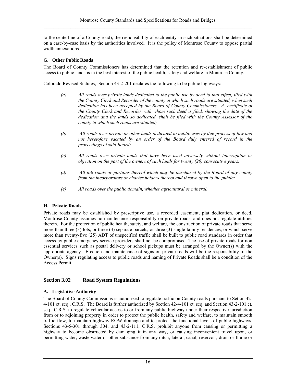<span id="page-27-0"></span>to the centerline of a County road), the responsibility of each entity in such situations shall be determined on a case-by-case basis by the authorities involved. It is the policy of Montrose County to oppose partial width annexations.

## **G. Other Public Roads**

The Board of County Commissioners has determined that the retention and re-establishment of public access to public lands is in the best interest of the public health, safety and welfare in Montrose County.

Colorado Revised Statutes, Section 43-2-201 declares the following to be public highways:

- *(a) All roads over private lands dedicated to the public use by deed to that effect, filed with the County Clerk and Recorder of the county in which such roads are situated, when such dedication has been accepted by the Board of County Commissioners. A certificate of the County Clerk and Recorder with whom such deed is filed, showing the date of the dedication and the lands so dedicated, shall be filed with the County Assessor of the county in which such roads are situated;*
- *(b) All roads over private or other lands dedicated to public uses by due process of law and not heretofore vacated by an order of the Board duly entered of record in the proceedings of said Board;*
- *(c) All roads over private lands that have been used adversely without interruption or objection on the part of the owners of such lands for twenty (20) consecutive years;*
- *(d) All toll roads or portions thereof which may be purchased by the Board of any county from the incorporators or charter holders thereof and thrown open to the public;*
- *(e) All roads over the public domain, whether agricultural or mineral.*

## **H. Private Roads**

Private roads may be established by prescriptive use, a recorded easement, plat dedication, or deed. Montrose County assumes no maintenance responsibility on private roads, and does not regulate utilities therein. For the protection of public health, safety, and welfare, the construction of private roads that serve more than three (3) lots, or three (3) separate parcels, or three (3) single family residences, or which serve more than twenty-five (25) ADT of unspecified traffic shall be built to public road standards in order that access by public emergency service providers shall not be compromised. The use of private roads for non essential services such as postal delivery or school pickups must be arranged by the Owner(s) with the appropriate agency. Erection and maintenance of signs on private roads will be the responsibility of the Owner(s). Signs regulating access to public roads and naming of Private Roads shall be a condition of the Access Permit.

## **Section 3.02 Road System Regulations**

## **A. Legislative Authority**

The Board of County Commissions is authorized to regulate traffic on County roads pursuant to Setion 42- 4-101 et. seq., C.R.S. The Board is further authorized by Section 42-4-101 et. seq. and Section 43-2-101 et. seq., C.R.S. to regulate vehicular access to or from any public highway under their respective jurisdiction from or to adjoining property in order to protect the public health, safety and welfare, to maintain smooth traffic flow, to maintain highway ROW drainage and to protect the functional levels of public highways. Sections 43-5-301 through 304, and 43-2-111, C.R.S. prohibit anyone from causing or permitting a highway to become obstructed by damaging it in any way, or causing inconvenient travel upon, or permitting water, waste water or other substance from any ditch, lateral, canal, reservoir, drain or flume or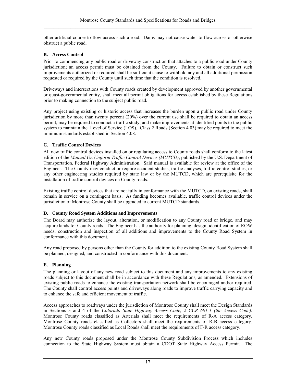<span id="page-28-0"></span>other artificial course to flow across such a road. Dams may not cause water to flow across or otherwise obstruct a public road.

## **B. Access Control**

Prior to commencing any public road or driveway construction that attaches to a public road under County jurisdiction; an access permit must be obtained from the County. Failure to obtain or construct such improvements authorized or required shall be sufficient cause to withhold any and all additional permission requested or required by the County until such time that the condition is resolved.

Driveways and intersections with County roads created by development approved by another governmental or quasi-governmental entity, shall meet all permit obligations for access established by these Regulations prior to making connection to the subject public road.

Any project using existing or historic access that increases the burden upon a public road under County jurisdiction by more than twenty percent (20%) over the current use shall be required to obtain an access permit, may be required to conduct a traffic study, and make improvements at identified points to the public system to maintain the Level of Service (LOS). Class 2 Roads (Section 4.03) may be required to meet the minimum standards established in Section 4.08.

## **C. Traffic Control Devices**

All new traffic control devices installed on or regulating access to County roads shall conform to the latest edition of the *Manual On Uniform Traffic Control Devices (MUTCD)*, published by the U.S. Department of Transportation, Federal Highway Administration. Said manual is available for review at the office of the Engineer. The County may conduct or require accident studies, traffic analyses, traffic control studies, or any other engineering studies required by state law or by the MUTCD, which are prerequisite for the installation of traffic control devices on County roads.

Existing traffic control devices that are not fully in conformance with the MUTCD, on existing roads, shall remain in service on a contingent basis. As funding becomes available, traffic control devices under the jurisdiction of Montrose County shall be upgraded to current MUTCD standards.

## **D. County Road System Additions and Improvements**

The Board may authorize the layout, alteration, or modification to any County road or bridge, and may acquire lands for County roads. The Engineer has the authority for planning, design, identification of ROW needs, construction and inspection of all additions and improvements to the County Road System in conformance with this document.

Any road proposed by persons other than the County for addition to the existing County Road System shall be planned, designed, and constructed in conformance with this document.

## **E. Planning**

The planning or layout of any new road subject to this document and any improvements to any existing roads subject to this document shall be in accordance with these Regulations, as amended. Extensions of existing public roads to enhance the existing transportation network shall be encouraged and/or required. The County shall control access points and driveways along roads to improve traffic carrying capacity and to enhance the safe and efficient movement of traffic.

Access approaches to roadways under the jurisdiction of Montrose County shall meet the Design Standards in Sections 3 and 4 of the *Colorado State Highway Access Code, 2 CCR 601-1 (the Access Code).*  Montrose County roads classified as Arterials shall meet the requirements of R-A access category. Montrose County roads classified as Collectors shall meet the requirements of R-B access category. Montrose County roads classified as Local Roads shall meet the requirements of F-R access category.

Any new County roads proposed under the Montrose County Subdivision Process which includes connection to the State Highway System must obtain a CDOT State Highway Access Permit. The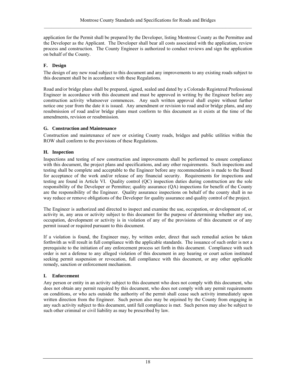<span id="page-29-0"></span>application for the Permit shall be prepared by the Developer, listing Montrose County as the Permittee and the Developer as the Applicant. The Developer shall bear all costs associated with the application, review process and construction. The County Engineer is authorized to conduct reviews and sign the application on behalf of the County.

## **F. Design**

The design of any new road subject to this document and any improvements to any existing roads subject to this document shall be in accordance with these Regulations.

Road and/or bridge plans shall be prepared, signed, sealed and dated by a Colorado Registered Professional Engineer in accordance with this document and must be approved in writing by the Engineer before any construction activity whatsoever commences. Any such written approval shall expire without further notice one year from the date it is issued. Any amendment or revision to road and/or bridge plans, and any resubmission of road and/or bridge plans must conform to this document as it exists at the time of the amendments, revision or resubmission.

## **G. Construction and Maintenance**

Construction and maintenance of new or existing County roads, bridges and public utilities within the ROW shall conform to the provisions of these Regulations.

## **H. Inspection**

Inspections and testing of new construction and improvements shall be performed to ensure compliance with this document, the project plans and specifications, and any other requirements. Such inspections and testing shall be complete and acceptable to the Engineer before any recommendation is made to the Board for acceptance of the work and/or release of any financial security. Requirements for inspections and testing are found in Article VI. Quality control (QC) inspection duties during construction are the sole responsibility of the Developer or Permittee; quality assurance (QA) inspections for benefit of the County are the responsibility of the Engineer. Quality assurance inspections on behalf of the county shall in no way reduce or remove obligations of the Developer for quality assurance and quality control of the project.

The Engineer is authorized and directed to inspect and examine the use, occupation, or development of, or activity in, any area or activity subject to this document for the purpose of determining whether any use, occupation, development or activity is in violation of any of the provisions of this document or of any permit issued or required pursuant to this document.

If a violation is found, the Engineer may, by written order, direct that such remedial action be taken forthwith as will result in full compliance with the applicable standards. The issuance of such order is not a prerequisite to the initiation of any enforcement process set forth in this document. Compliance with such order is not a defense to any alleged violation of this document in any hearing or court action instituted seeking permit suspension or revocation, full compliance with this document, or any other applicable remedy, sanction or enforcement mechanism.

## **I. Enforcement**

Any person or entity in an activity subject to this document who does not comply with this document, who does not obtain any permit required by this document, who does not comply with any permit requirements on conditions, or who acts outside the authority of the permit shall cease such activity immediately upon written direction from the Engineer. Such person also may be enjoined by the County from engaging in any such activity subject to this document, until full compliance is met. Such person may also be subject to such other criminal or civil liability as may be prescribed by law.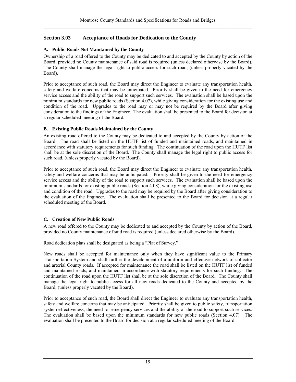## <span id="page-30-0"></span>**Section 3.03 Acceptance of Roads for Dedication to the County**

## **A. Public Roads Not Maintained by the County**

Ownership of a road offered to the County may be dedicated to and accepted by the County by action of the Board, provided no County maintenance of said road is required (unless declared otherwise by the Board). The County shall manage the legal right to public access for such road, (unless properly vacated by the Board).

Prior to acceptance of such road, the Board may direct the Engineer to evaluate any transportation health, safety and welfare concerns that may be anticipated. Priority shall be given to the need for emergency service access and the ability of the road to support such services. The evaluation shall be based upon the minimum standards for new public roads (Section 4.07), while giving consideration for the existing use and condition of the road. Upgrades to the road may or may not be required by the Board after giving consideration to the findings of the Engineer. The evaluation shall be presented to the Board for decision at a regular scheduled meeting of the Board.

## **B. Existing Public Roads Maintained by the County**

An existing road offered to the County may be dedicated to and accepted by the County by action of the Board. The road shall be listed on the HUTF list of funded and maintained roads, and maintained in accordance with statutory requirements for such funding. The continuation of the road upon the HUTF list shall be at the sole discretion of the Board. The County shall manage the legal right to public access for such road, (unless properly vacated by the Board).

Prior to acceptance of such road, the Board may direct the Engineer to evaluate any transportation health, safety and welfare concerns that may be anticipated. Priority shall be given to the need for emergency service access and the ability of the road to support such services. The evaluation shall be based upon the minimum standards for existing public roads (Section 4.08), while giving consideration for the existing use and condition of the road. Upgrades to the road may be required by the Board after giving consideration to the evaluation of the Engineer. The evaluation shall be presented to the Board for decision at a regular scheduled meeting of the Board.

## **C. Creation of New Public Roads**

A new road offered to the County may be dedicated to and accepted by the County by action of the Board, provided no County maintenance of said road is required (unless declared otherwise by the Board).

Road dedication plats shall be designated as being a "Plat of Survey."

New roads shall be accepted for maintenance only when they have significant value to the Primary Transportation System and shall further the development of a uniform and effective network of collector and arterial County roads. If accepted for maintenance the road shall be listed on the HUTF list of funded and maintained roads, and maintained in accordance with statutory requirements for such funding. The continuation of the road upon the HUTF list shall be at the sole discretion of the Board. The County shall manage the legal right to public access for all new roads dedicated to the County and accepted by the Board, (unless properly vacated by the Board).

Prior to acceptance of such road, the Board shall direct the Engineer to evaluate any transportation health, safety and welfare concerns that may be anticipated. Priority shall be given to public safety, transportation system effectiveness, the need for emergency services and the ability of the road to support such services. The evaluation shall be based upon the minimum standards for new public roads (Section 4.07). The evaluation shall be presented to the Board for decision at a regular scheduled meeting of the Board.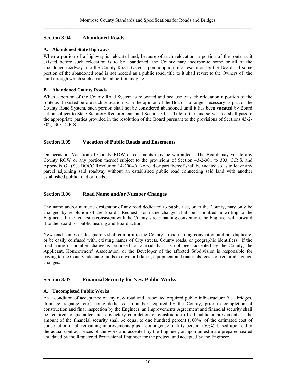## <span id="page-31-0"></span>**Section 3.04 Abandoned Roads**

## **A. Abandoned State Highways**

When a portion of a highway is relocated and, because of such relocation, a portion of the route as it existed before such relocation is to be abandoned, the County may incorporate some or all of the abandoned roadway into the County Road System upon adoption of a resolution by the Board. If some portion of the abandoned road is not needed as a public road, title to it shall revert to the Owners of the land through which such abandoned portion may lie.

## **B. Abandoned County Roads**

When a portion of the County Road System is relocated and because of such relocation a portion of the route as it existed before such relocation is, in the opinion of the Board, no longer necessary as part of the County Road System, such portion shall not be considered abandoned until it has been **vacated** by Board action subject to State Statutory Requirements and Section 3.05. Title to the land so vacated shall pass to the appropriate parties provided in the resolution of the Board pursuant to the provisions of Sections 43-2- 302, -303, C.R.S.

## **Section 3.05 Vacation of Public Roads and Easements**

On occasion, Vacation of County ROW or easements may be warranted. The Board may vacate any County ROW or any portion thereof subject to the provisions of Section 43-2-301 to 303, C.R.S. and Appendix G. (See BOCC Resolution 14-2004.) No road or part thereof shall be vacated so as to leave any parcel adjoining said roadway without an established public road connecting said land with another established public road or roads.

## **Section 3.06 Road Name and/or Number Changes**

The name and/or numeric designator of any road dedicated to public use, or to the County, may only be changed by resolution of the Board. Requests for name changes shall be submitted in writing to the Engineer. If the request is consistent with the County's road naming convention, the Engineer will forward it to the Board for public hearing and Board action.

New road names or designators shall conform to the County's road naming convention and not duplicate, or be easily confused with, existing names of City streets, County roads, or geographic identifiers. If the road name or number change is proposed for a road that has not been accepted by the County, the Applicant, Homeowners' Association, or the Developer of the affected Subdivision is responsible for paying to the County adequate funds to cover all (labor, equipment and materials) costs of required signage changes.

## **Section 3.07 Financial Security for New Public Works**

## **A. Uncompleted Public Works**

As a condition of acceptance of any new road and associated required public infrastructure (i.e., bridges, drainage, signage, etc.) being dedicated to and/or required by the County, prior to completion of construction and final inspection by the Engineer, an Improvements Agreement and financial security shall be required to guarantee the satisfactory completion of construction of all public improvements. The amount of the financial security shall be equal to one hundred percent (100%) of the estimated cost of construction of all remaining improvements plus a contingency of fifty percent (50%), based upon either the actual contract prices of the work and accepted by the Engineer, or upon an estimate prepared sealed and dated by the Registered Professional Engineer for the project, and accepted by the Engineer.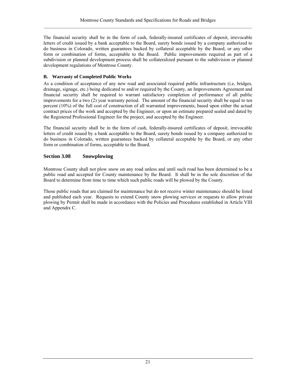<span id="page-32-0"></span>The financial security shall be in the form of cash, federally-insured certificates of deposit, irrevocable letters of credit issued by a bank acceptable to the Board, surety bonds issued by a company authorized to do business in Colorado, written guarantees backed by collateral acceptable by the Board, or any other form or combination of forms, acceptable to the Board. Public improvements required as part of a subdivision or planned development process shall be collateralized pursuant to the subdivision or planned development regulations of Montrose County.

## **B. Warranty of Completed Public Works**

As a condition of acceptance of any new road and associated required public infrastructure (i.e, bridges, drainage, signage, etc.) being dedicated to and/or required by the County, an Improvements Agreement and financial security shall be required to warrant satisfactory completion of performance of all public improvements for a two (2) year warranty period. The amount of the financial security shall be equal to ten percent (10%) of the full cost of construction of all warranted improvements, based upon either the actual contract prices of the work and accepted by the Engineer, or upon an estimate prepared sealed and dated by the Registered Professional Engineer for the project, and accepted by the Engineer.

The financial security shall be in the form of cash, federally-insured certificates of deposit, irrevocable letters of credit issued by a bank acceptable to the Board, surety bonds issued by a company authorized to do business in Colorado, written guarantees backed by collateral acceptable by the Board, or any other form or combination of forms, acceptable to the Board.

## **Section 3.08 Snowplowing**

Montrose County shall not plow snow on any road unless and until such road has been determined to be a public road and accepted for County maintenance by the Board. It shall be in the sole discretion of the Board to determine from time to time which such public roads will be plowed by the County.

Those public roads that are claimed for maintenance but do not receive winter maintenance should be listed and published each year. Requests to extend County snow plowing services or requests to allow private plowing by Permit shall be made in accordance with the Policies and Procedures established in Article VIII and Appendix C.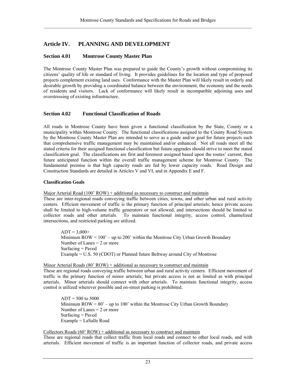## <span id="page-34-0"></span>**Article IV. PLANNING AND DEVELOPMENT**

## **Section 4.01 Montrose County Master Plan**

The Montrose County Master Plan was prepared to guide the County's growth without compromising its citizens' quality of life or standard of living. It provides guidelines for the location and type of proposed projects complement existing land uses. Conformance with the Master Plan will likely result in orderly and desirable growth by providing a coordinated balance between the environment, the economy and the needs of residents and visitors. Lack of conformance will likely result in incompatible adjoining uses and overstressing of existing infrastructure.

## **Section 4.02 Functional Classification of Roads**

All roads in Montrose County have been given a functional classification by the State, County or a municipality within Montrose County. The functional classifications assigned to the County Road System by the Montrose County Master Plan are intended to serve as a guide and/or goal for future projects such that comprehensive traffic management may be maintained and/or enhanced. Not all roads meet all the stated criteria for their assigned functional classification but future upgrades should strive to meet the stated classification goal. The classifications are first and foremost assigned based upon the routes' current, then future anticipated function within the overall traffic management scheme for Montrose County. The fundamental premise is that high capacity roads are fed by lower capacity roads. Road Design and Construction Standards are detailed in Articles V and VI, and in Appendix E and F.

#### **Classification Goals**

Major Arterial Road (100' ROW) + additional as necessary to construct and maintain

These are inter-regional roads conveying traffic between cities, towns, and other urban and rural activity centers. Efficient movement of traffic is the primary function of principal arterials; hence private access shall be limited to high-volume traffic generators or not allowed, and intersections should be limited to collector roads and other arterials. To maintain functional integrity, access control, channelized intersections, and restricted parking are utilized.

 $ADT = 3,000+$ Minimum  $ROW = 100' - up to 200'$  within the Montrose City Urban Growth Boundary Number of Lanes  $= 2$  or more Surfacing = Paved Example = U.S. 50 (CDOT) or Planned future Beltway around City of Montrose

Minor Arterial Roads (80' ROW) + additional as necessary to construct and maintain These are regional roads conveying traffic between urban and rural activity centers. Efficient movement of traffic is the primary function of minor arterials; but private access is not as limited as with principal arterials. Minor arterials should connect with other arterials. To maintain functional integrity, access control is utilized wherever possible and on-street parking is prohibited.

 $ADT = 500$  to 5000 Minimum  $ROW = 80' - up to 100'$  within the Montrose City Urban Growth Boundary Number of Lanes  $= 2$  or more Surfacing = Paved Example = LaSalle Road

## Collectors Roads  $(60' \text{ROW}) +$  additional as necessary to construct and maintain

These are regional roads that collect traffic from local roads and connect to other local roads, and with arterials. Efficient movement of traffic is an important function of collector roads, and private access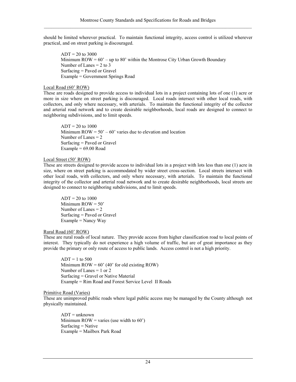should be limited wherever practical. To maintain functional integrity, access control is utilized wherever practical, and on street parking is discouraged.

 $ADT = 20$  to 3000 Minimum  $\text{ROW} = 60' - \text{up to } 80'$  within the Montrose City Urban Growth Boundary Number of Lanes  $= 2$  to 3 Surfacing = Paved or Gravel Example = Government Springs Road

## Local Road (60' ROW)

These are roads designed to provide access to individual lots in a project containing lots of one (1) acre or more in size where on street parking is discouraged. Local roads intersect with other local roads, with collectors, and only where necessary, with arterials. To maintain the functional integrity of the collector and arterial road network and to create desirable neighborhoods, local roads are designed to connect to neighboring subdivisions, and to limit speeds.

 $ADT = 20$  to 1000 Minimum  $\text{ROW} = 50' - 60'$  varies due to elevation and location Number of Lanes  $= 2$ Surfacing = Paved or Gravel Example =  $69.00$  Road

## Local Street (50' ROW)

These are streets designed to provide access to individual lots in a project with lots less than one (1) acre in size, where on street parking is accommodated by wider street cross-section. Local streets intersect with other local roads, with collectors, and only where necessary, with arterials. To maintain the functional integrity of the collector and arterial road network and to create desirable neighborhoods, local streets are designed to connect to neighboring subdivisions, and to limit speeds.

 $ADT = 20$  to  $1000$ Minimum  $ROW = 50'$  Number of Lanes = 2 Surfacing = Paved or Gravel  $Example =$ Nancy Way

## Rural Road (60' ROW)

These are rural roads of local nature. They provide access from higher classification road to local points of interest. They typically do not experience a high volume of traffic, but are of great importance as they provide the primary or only route of access to public lands. Access control is not a high priority.

 $ADT = 1$  to 500 Minimum  $\text{ROW} = 60' (40' \text{ for old existing } \text{ROW})$ Number of Lanes  $= 1$  or 2 Surfacing = Gravel or Native Material Example = Rim Road and Forest Service Level II Roads

## Primitive Road (Varies)

These are unimproved public roads where legal public access may be managed by the County although not physically maintained.

 $ADT = unknown$ Minimum  $\text{ROW} = \text{varies}$  (use width to 60')  $Surfaceing = *Native*$ Example = Mailbox Park Road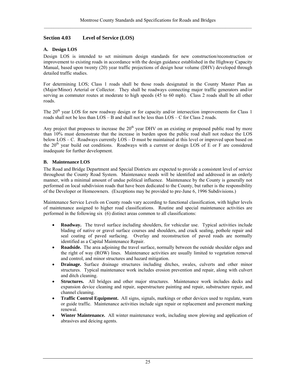# **Section 4.03 Level of Service (LOS)**

### **A. Design LOS**

Design LOS is intended to set minimum design standards for new construction/reconstruction or improvement to existing roads in accordance with the design guidance established in the Highway Capacity Manual, based upon twenty (20) year traffic projections of design hour volume (DHV) developed through detailed traffic studies.

For determining LOS; Class 1 roads shall be those roads designated in the County Master Plan as (Major/Minor) Arterial or Collector. They shall be roadways connecting major traffic generators and/or serving as commuter routes at moderate to high speeds (45 to 60 mph). Class 2 roads shall be all other roads.

The 20<sup>th</sup> year LOS for new roadway design or for capacity and/or intersection improvements for Class 1 roads shall not be less than  $LOS - B$  and shall not be less than  $LOS - C$  for Class 2 roads.

Any project that proposes to increase the  $20<sup>th</sup>$  year DHV on an existing or proposed public road by more than 10% must demonstrate that the increase in burden upon the public road shall not reduce the LOS below LOS – C. Roadways currently LOS – D must be maintained at this level or improved upon based on the 20<sup>th</sup> year build out conditions. Roadways with a current or design LOS of E or F are considered inadequate for further development.

#### **B. Maintenance LOS**

The Road and Bridge Department and Special Districts are expected to provide a consistent level of service throughout the County Road System. Maintenance needs will be identified and addressed in an orderly manner, with a minimal amount of undue political influence. Maintenance by the County is generally not performed on local subdivision roads that have been dedicated to the County, but rather is the responsibility of the Developer or Homeowners. (Exceptions may be provided to pre-June 6, 1996 Subdivisions.)

Maintenance Service Levels on County roads vary according to functional classification, with higher levels of maintenance assigned to higher road classifications. Routine and special maintenance activities are performed in the following six (6) distinct areas common to all classifications:

- **Roadway.** The travel surface including shoulders, for vehicular use. Typical activities include blading of native or gravel surface courses and shoulders, and crack sealing, pothole repair and seal coating of paved surfacing. Overlay and reconstruction of paved roads are normally identified as a Capital Maintenance Repair.
- **Roadside.** The area adjoining the travel surface, normally between the outside shoulder edges and the right of way (ROW) lines. Maintenance activities are usually limited to vegetation removal and control, and minor structures and hazard mitigation.
- **Drainage.** Surface drainage structures including ditches, swales, culverts and other minor structures. Typical maintenance work includes erosion prevention and repair, along with culvert and ditch cleaning.
- **Structures.** All bridges and other major structures. Maintenance work includes decks and expansion device cleaning and repair, superstructure painting and repair, substructure repair, and channel cleaning.
- **Traffic Control Equipment.** All signs, signals, markings or other devices used to regulate, warn or guide traffic. Maintenance activities include sign repair or replacement and pavement marking renewal.
- **Winter Maintenance.** All winter maintenance work, including snow plowing and application of abrasives and deicing agents.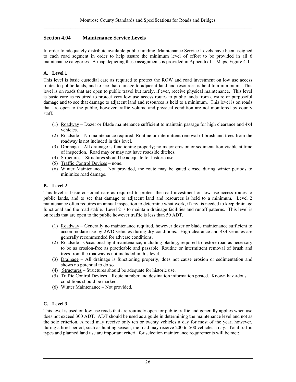# **Section 4.04 Maintenance Service Levels**

In order to adequately distribute available public funding, Maintenance Service Levels have been assigned to each road segment in order to help assure the minimum level of effort to be provided in all 6 maintenance categories. A map depicting these assignments is provided in Appendix I – Maps, Figure 4-1.

#### **A. Level 1**

This level is basic custodial care as required to protect the ROW and road investment on low use access routes to public lands, and to see that damage to adjacent land and resources is held to a minimum. This level is on roads that are open to public travel but rarely, if ever, receive physical maintenance. This level is basic care as required to protect very low use access routes to public lands from closure or purposeful damage and to see that damage to adjacent land and resources is held to a minimum. This level is on roads that are open to the public, however traffic volume and physical condition are not monitored by county staff.

- (1) Roadway Dozer or Blade maintenance sufficient to maintain passage for high clearance and 4x4 vehicles.
- (2) Roadside No maintenance required. Routine or intermittent removal of brush and trees from the roadway is not included in this level.
- (3) Drainage All drainage is functioning properly; no major erosion or sedimentation visible at time of inspection. Road may or may not have roadside ditches.
- (4) Structures Structures should be adequate for historic use.
- (5) Traffic Control Devices none.
- (6) Winter Maintenance Not provided, the route may be gated closed during winter periods to minimize road damage.

#### **B. Level 2**

This level is basic custodial care as required to protect the road investment on low use access routes to public lands, and to see that damage to adjacent land and resources is held to a minimum. Level 2 maintenance often requires an annual inspection to determine what work, if any, is needed to keep drainage functional and the road stable. Level 2 is to maintain drainage facilities and runoff patterns. This level is on roads that are open to the public however traffic is less than 50 ADT.

- (1) Roadway Generally no maintenance required, however dozer or blade maintenance sufficient to accommodate use by 2WD vehicles during dry conditions. High clearance and 4x4 vehicles are generally recommended for adverse conditions.
- (2) Roadside Occasional light maintenance, including blading, required to restore road as necessary to be as erosion-free as practicable and passable. Routine or intermittent removal of brush and trees from the roadway is not included in this level.
- (3) Drainage All drainage is functioning properly; does not cause erosion or sedimentation and shows no potential to do so.
- (4) Structures Structures should be adequate for historic use.
- (5) Traffic Control Devices Route number and destination information posted. Known hazardous conditions should be marked.
- (6) Winter Maintenance Not provided.

#### **C. Level 3**

This level is used on low use roads that are routinely open for public traffic and generally applies when use does not exceed 300 ADT. ADT should be used as a guide in determining the maintenance level and not as the sole criterion. A road may receive only ten or twenty vehicles a day for most of the year; however, during a brief period, such as hunting season, the road may receive 200 to 500 vehicles a day. Total traffic types and planned land use are important criteria for selection maintenance requirements will be met: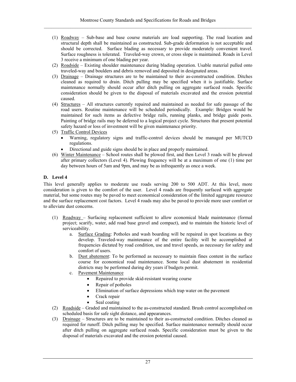- (1) Roadway Sub-base and base course materials are load supporting. The road location and structural depth shall be maintained as constructed. Sub-grade deformation is not acceptable and should be corrected. Surface blading as necessary to provide moderately convenient travel. Surface roughness is tolerated. Traveled-way crown, or cross slope is maintained. Roads in Level 3 receive a minimum of one blading per year.
- (2) Roadside Existing shoulder maintenance during blading operation. Usable material pulled onto traveled-way and boulders and debris removed and deposited in designated areas.
- (3) Drainage Drainage structures are to be maintained to their as-constructed condition. Ditches cleaned as required to drain. Ditch pulling may be specified when it is justifiable. Surface maintenance normally should occur after ditch pulling on aggregate surfaced roads. Specific consideration should be given to the disposal of materials excavated and the erosion potential caused.
- (4) Structures All structures currently repaired and maintained as needed for safe passage of the road users. Routine maintenance will be scheduled periodically. Example: Bridges would be maintained for such items as defective bridge rails, running planks, and bridge guide posts. Painting of bridge rails may be deferred to a logical project cycle. Structures that present potential safety hazard or loss of investment will be given maintenance priority.
- (5) Traffic Control Devices
	- Warning, regulatory signs and traffic-control devices should be managed per MUTCD regulations.
	- Directional and guide signs should be in place and properly maintained.
- (6) Winter Maintenance School routes shall be plowed first, and then Level 3 roads will be plowed after primary collectors (Level 4). Plowing frequency will be at a maximum of one (1) time per day between hours of 5am and 9pm, and may be as infrequently as once a week.

# **D. Level 4**

This level generally applies to moderate use roads serving 200 to 500 ADT. At this level, more consideration is given to the comfort of the user. Level 4 roads are frequently surfaced with aggregate material, but some routes may be paved to meet economical consideration of the limited aggregate resource and the surface replacement cost factors. Level 4 roads may also be paved to provide more user comfort or to alleviate dust concerns.

- (1) Roadway Surfacing replacement sufficient to allow economical blade maintenance (formal project; scarify, water, add road base gravel and compact), and to maintain the historic level of serviceability.
	- a. Surface Grading: Potholes and wash boarding will be repaired in spot locations as they develop. Traveled-way maintenance of the entire facility will be accomplished at frequencies dictated by road condition, use and travel speeds, as necessary for safety and comfort of users.
	- b. Dust abatement: To be performed as necessary to maintain fines content in the surface course for economical road maintenance. Some local dust abatement in residential districts may be performed during dry years if budgets permit.
	- c. Pavement Maintenance
		- Repaired to provide skid-resistant wearing course
		- Repair of potholes
			- Elimination of surface depressions which trap water on the pavement
			- Crack repair
			- Seal coating
- (2) Roadside Graded and maintained to the as-constructed standard. Brush control accomplished on scheduled basis for safe sight distance, and appearances.
- (3) Drainage Structures are to be maintained to their as-constructed condition. Ditches cleaned as required for runoff. Ditch pulling may be specified. Surface maintenance normally should occur after ditch pulling on aggregate surfaced roads. Specific consideration must be given to the disposal of materials excavated and the erosion potential caused.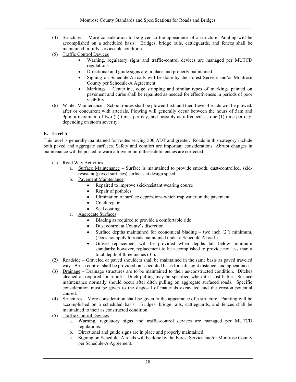- (4) Structures More consideration to be given to the appearance of a structure. Painting will be accomplished on a scheduled basis. Bridges, bridge rails, cattleguards, and fences shall be maintained in fully serviceable condition.
- (5) Traffic Control Devices
	- Warning, regulatory signs and traffic-control devices are managed per MUTCD regulations
	- Directional and guide signs are in place and properly maintained.
	- Signing on Schedule-A roads will be done by the Forest Service and/or Montrose County per Schedule-A Agreement.
	- Markings Centerline, edge stripping and similar types of markings painted on pavement and curbs shall be repainted as needed for effectiveness in periods of poor visibility.
- (6) Winter Maintenance School routes shall be plowed first, and then Level 4 roads will be plowed, after or concurrent with arterials. Plowing will generally occur between the hours of 5am and 9pm, a maximum of two (2) times per day, and possibly as infrequent as one (1) time per day, depending on storm severity.

## **E. Level 5**

This level is generally maintained for routes serving 500 ADT and greater. Roads in this category include both paved and aggregate surfaces. Safety and comfort are important considerations. Abrupt changes in maintenance will be posted to warn a traveler until these deficiencies are corrected.

- (1) Road Way Activities
	- a. Surface Maintenance Surface is maintained to provide smooth, dust-controlled, skidresistant (paved surfaces) surfaces at design speed.
	- b. Pavement Maintenance
		- Repaired to improve skid-resistant wearing course
		- Repair of potholes
		- Elimination of surface depressions which trap water on the pavement
		- Crack repair
		- Seal coating
	- c. Aggregate Surfaces
		- Blading as required to provide a comfortable ride
		- Dust control at County's discretion
		- Surface depths maintained for economical blading two inch (2") minimum. (Does not apply to roads maintained under a Schedule A road.)
		- Gravel replacement will be provided when depths fall below minimum standards; however, replacement to be accomplished to provide not less than a total depth of three inches (3").
- (2) Roadside Graveled or paved shoulders shall be maintained in the same basis as paved traveled way. Brush control shall be provided on scheduled basis for safe sight distance, and appearances.
- (3) Drainage Drainage structures are to be maintained to their as-constructed condition. Ditches cleaned as required for runoff. Ditch pulling may be specified when it is justifiable. Surface maintenance normally should occur after ditch pulling on aggregate surfaced roads. Specific consideration must be given to the disposal of materials excavated and the erosion potential caused.
- (4) Structures More consideration shall be given to the appearance of a structure. Painting will be accomplished on a scheduled basis. Bridges, bridge rails, cattleguards, and fences shall be maintained to their as constructed condition.
- (5) Traffic Control Devices
	- a. Warning, regulatory signs and traffic-control devices are managed per MUTCD regulations.
	- b. Directional and guide signs are in place and properly maintained.
	- c. Signing on Schedule–A roads will be done by the Forest Service and/or Montrose County per Schedule-A Agreement.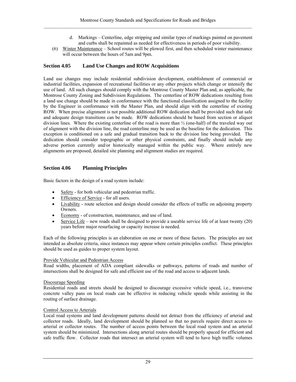- d. Markings Centerline, edge stripping and similar types of markings painted on pavement and curbs shall be repainted as needed for effectiveness in periods of poor visibility.
- (6) Winter Maintenance School routes will be plowed first, and then scheduled winter maintenance will occur between the hours of 5am and 9pm.

## **Section 4.05 Land Use Changes and ROW Acquisitions**

Land use changes may include residential subdivision development, establishment of commercial or industrial facilities, expansion of recreational facilities or any other projects which change or intensify the use of land. All such changes should comply with the Montrose County Master Plan and, as applicable, the Montrose County Zoning and Subdivision Regulations. The centerline of ROW dedications resulting from a land use change should be made in conformance with the functional classification assigned to the facility by the Engineer in conformance with the Master Plan, and should align with the centerline of existing ROW. When precise alignment is not possible additional ROW dedication shall be provided such that safe and adequate design transitions can be made. ROW dedications should be based from section or aliquot division lines. Where the existing centerline of the road is more than ½ (one-half) of the traveled way out of alignment with the division line, the road centerline may be used as the baseline for the dedication. This exception is conditioned on a safe and gradual transition back to the division line being provided. The dedication should consider topographic or other physical constraints, and finally should include any adverse portion currently and/or historically managed within the public way. Where entirely new alignments are proposed, detailed site planning and alignment studies are required.

## **Section 4.06 Planning Principles**

Basic factors in the design of a road system include:

- Safety for both vehicular and pedestrian traffic.
- Efficiency of Service for all users.
- Livability route selection and design should consider the effects of traffic on adjoining property Owners.
- Economy of construction, maintenance, and use of land.
- Service Life new roads shall be designed to provide a useable service life of at least twenty (20) years before major resurfacing or capacity increase is needed.

Each of the following principles is an elaboration on one or more of these factors. The principles are not intended as absolute criteria, since instances may appear where certain principles conflict. These principles should be used as guides to proper system layout.

#### Provide Vehicular and Pedestrian Access

Road widths, placement of ADA compliant sidewalks or pathways, patterns of roads and number of intersections shall be designed for safe and efficient use of the road and access to adjacent lands.

#### Discourage Speeding

Residential roads and streets should be designed to discourage excessive vehicle speed, i.e., transverse concrete valley pans on local roads can be effective in reducing vehicle speeds while assisting in the routing of surface drainage.

#### Control Access to Arterials

Local road systems and land development patterns should not detract from the efficiency of arterial and collector roads. Ideally, land development should be planned so that no parcels require direct access to arterial or collector routes. The number of access points between the local road system and an arterial system should be minimized. Intersections along arterial routes should be properly spaced for efficient and safe traffic flow. Collector roads that intersect an arterial system will tend to have high traffic volumes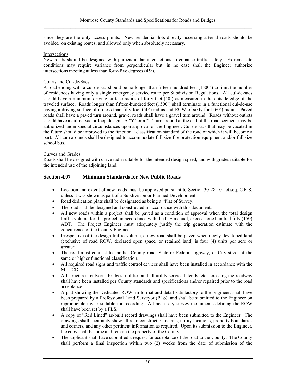since they are the only access points. New residential lots directly accessing arterial roads should be avoided on existing routes, and allowed only when absolutely necessary.

#### Intersections

New roads should be designed with perpendicular intersections to enhance traffic safety. Extreme site conditions may require variance from perpendicular but, in no case shall the Engineer authorize intersections meeting at less than forty-five degrees (45º).

#### Courts and Cul-de-Sacs

A road ending with a cul-de-sac should be no longer than fifteen hundred feet (1500') to limit the number of residences having only a single emergency service route per Subdivision Regulations. All cul-de-sacs should have a minimum driving surface radius of forty feet (40') as measured to the outside edge of the traveled surface. Roads longer than fifteen-hundred feet (1500') shall terminate in a functional cul-de-sac having a driving surface of no less than fifty foot (50') radius and ROW of sixty foot (60') radius. Paved roads shall have a paved turn around, gravel roads shall have a gravel turn around. Roads without outlets should have a cul-de-sac or loop design. A "Y" or a "T" turn around at the end of the road segment may be authorized under special circumstances upon approval of the Engineer. Cul-de-sacs that may be vacated in the future should be improved to the functional classification standard of the road of which it will become a part. All turn arounds shall be designed to accommodate full size fire protection equipment and/or full size school bus.

#### Curves and Grades

Roads shall be designed with curve radii suitable for the intended design speed, and with grades suitable for the intended use of the adjoining land.

## **Section 4.07 Minimum Standards for New Public Roads**

- Location and extent of new roads must be approved pursuant to Section 30-28-101 et.seq, C.R.S. unless it was shown as part of a Subdivision or Planned Development.
- Road dedication plats shall be designated as being a "Plat of Survey."
- The road shall be designed and constructed in accordance with this document.
- All new roads within a project shall be paved as a condition of approval when the total design traffic volume for the project, in accordance with the ITE manual, exceeds one hundred fifty (150) ADT. The Project Engineer must adequately justify the trip generation estimate with the concurrence of the County Engineer.
- Irrespective of the design traffic volume, a new road shall be paved when newly developed land (exclusive of road ROW, declared open space, or retained land) is four (4) units per acre or greater.
- The road must connect to another County road, State or Federal highway, or City street of the same or higher functional classification.
- All required road signs and traffic control devices shall have been installed in accordance with the MUTCD.
- All structures, culverts, bridges, utilities and all utility service laterals, etc. crossing the roadway shall have been installed per County standards and specifications and/or repaired prior to the road acceptance.
- A plat showing the Dedicated ROW, in format and detail satisfactory to the Engineer, shall have been prepared by a Professional Land Surveyor (PLS), and shall be submitted to the Engineer on reproducible mylar suitable for recording. All necessary survey monuments defining the ROW shall have been set by a PLS.
- A copy of "Red Lined" as-built record drawings shall have been submitted to the Engineer. The drawings shall accurately show all road construction details, utility locations, property boundaries and corners, and any other pertinent information as required. Upon its submission to the Engineer, the copy shall become and remain the property of the County.
- The applicant shall have submitted a request for acceptance of the road to the County. The County shall perform a final inspection within two (2) weeks from the date of submission of the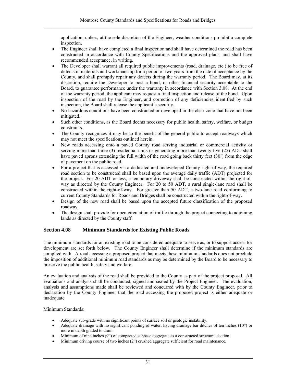application, unless, at the sole discretion of the Engineer, weather conditions prohibit a complete inspection.

- The Engineer shall have completed a final inspection and shall have determined the road has been constructed in accordance with County Specifications and the approved plans, and shall have recommended acceptance, in writing.
- The Developer shall warrant all required public improvements (road, drainage, etc.) to be free of defects in materials and workmanship for a period of two years from the date of acceptance by the County, and shall promptly repair any defects during the warranty period. The Board may, at its discretion, require the Developer to post a bond, or other financial security acceptable to the Board, to guarantee performance under the warranty in accordance with Section 3.08. At the end of the warranty period, the applicant may request a final inspection and release of the bond. Upon inspection of the road by the Engineer, and correction of any deficiencies identified by such inspection, the Board shall release the applicant's security.
- No hazardous conditions have been constructed or developed in the clear zone that have not been mitigated.
- Such other conditions, as the Board deems necessary for public health, safety, welfare, or budget constraints.
- The County recognizes it may be to the benefit of the general public to accept roadways which may not meet the specifications outlined herein.
- New roads accessing onto a paved County road serving industrial or commercial activity or serving more than three (3) residential units or generating more than twenty-five (25) ADT shall have paved aprons extending the full width of the road going back thirty feet (30') from the edge of pavement on the public road.
- For a project that is accessed via a dedicated and undeveloped County right-of-way, the required road section to be constructed shall be based upon the average daily traffic (ADT) projected for the project. For 20 ADT or less, a temporary driveway shall be constructed within the right-ofway as directed by the County Engineer. For 20 to 50 ADT, a rural single-lane road shall be constructed within the right-of-way. For greater than 50 ADT, a two-lane road conforming to current County Standards for Roads and Bridges shall be constructed within the right-of-way.
- Design of the new road shall be based upon the accepted future classification of the proposed roadway.
- The design shall provide for open circulation of traffic through the project connecting to adjoining lands as directed by the County staff.

# **Section 4.08 Minimum Standards for Existing Public Roads**

The minimum standards for an existing road to be considered adequate to serve as, or to support access for development are set forth below. The County Engineer shall determine if the minimum standards are complied with. A road accessing a proposed project that meets these minimum standards does not preclude the imposition of additional minimum road standards as may be determined by the Board to be necessary to preserve the public health, safety and welfare.

An evaluation and analysis of the road shall be provided to the County as part of the project proposal. All evaluations and analysis shall be conducted, signed and sealed by the Project Engineer. The evaluation, analysis and assumptions made shall be reviewed and concurred with by the County Engineer, prior to declaration by the County Engineer that the road accessing the proposed project is either adequate or inadequate.

Minimum Standards:

- Adequate sub-grade with no significant points of surface soil or geologic instability.
- Adequate drainage with no significant ponding of water, having drainage bar ditches of ten inches (10") or more in depth graded to drain.
- Minimum of nine inches (9") of compacted subbase aggregate as a constructed structural section.
- Minimum driving course of two inches (2") crushed aggregate sufficient for road maintenance.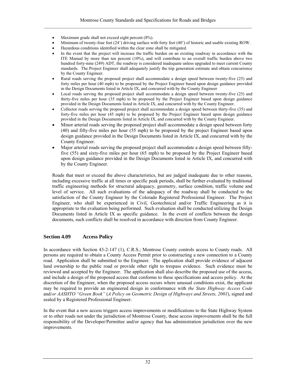- Maximum grade shall not exceed eight percent (8%).
- Minimum of twenty-four feet (24') driving surface with forty feet (40') of historic and usable existing ROW.
- Hazardous conditions identified within the clear zone shall be mitigated.
- In the event that the project will increase the traffic burden on an existing roadway in accordance with the ITE Manual by more than ten percent (10%), and will contribute to an overall traffic burden above two hundred forty-nine (249) ADT, the roadway is considered inadequate unless upgraded to meet current County standards. The Project Engineer shall adequately justify the trip generation estimate and obtain concurrence by the County Engineer.
- Rural roads serving the proposed project shall accommodate a design speed between twenty-five (25) and forty miles per hour (40 mph) to be proposed by the Project Engineer based upon design guidance provided in the Design Documents listed in Article IX, and concurred with by the County Engineer
- Local roads serving the proposed project shall accommodate a design speed between twenty-five (25) and thirty-five miles per hour (35 mph) to be proposed by the Project Engineer based upon design guidance provided in the Design Documents listed in Article IX, and concurred with by the County Engineer.
- Collector roads serving the proposed project shall accommodate a design speed between thirty-five (35) and forty-five miles per hour (45 mph) to be proposed by the Project Engineer based upon design guidance provided in the Design Documents listed in Article IX, and concurred with by the County Engineer.
- Minor arterial roads serving the proposed project shall accommodate a design speed between forty (40) and fifty-five miles per hour (55 mph) to be proposed by the project Engineer based upon design guidance provided in the Design Documents listed in Article IX, and concurred with by the County Engineer.
- Major arterial roads serving the proposed project shall accommodate a design speed between fiftyfive (55) and sixty-five miles per hour (65 mph) to be proposed by the Project Engineer based upon design guidance provided in the Design Documents listed in Article IX, and concurred with by the County Engineer.

Roads that meet or exceed the above characteristics, but are judged inadequate due to other reasons, including excessive traffic at all times or specific peak periods, shall be further evaluated by traditional traffic engineering methods for structural adequacy, geometry, surface condition, traffic volume and level of service. All such evaluations of the adequacy of the roadway shall be conducted to the satisfaction of the County Engineer by the Colorado Registered Professional Engineer. The Project Engineer, who shall be experienced in Civil, Geotechnical and/or Traffic Engineering as it is appropriate to the evaluation being performed. Such evaluation shall be conducted utilizing the Design Documents listed in Article IX as specific guidance. In the event of conflicts between the design documents, such conflicts shall be resolved in accordance with direction from County Engineer.

#### **Section 4.09 Access Policy**

In accordance with Section 43-2-147 (1), C.R.S.; Montrose County controls access to County roads. All persons are required to obtain a County Access Permit prior to constructing a new connection to a County road. Application shall be submitted to the Engineer. The application shall provide evidence of adjacent land ownership to the public road or provide other right to trespass evidence. Such evidence must be reviewed and accepted by the Engineer. The application shall also describe the proposed use of the access, and include a design of the proposed access that conforms to these specifications and access policy. At the discretion of the Engineer, when the proposed access occurs where unusual conditions exist, the applicant may be required to provide an engineered design in conformance with *the State Highway Access Code* and/*or AASHTO "Green Book"* (*A Policy on Geometric Design of Highways and Streets, 2001*), signed and sealed by a Registered Professional Engineer.

In the event that a new access triggers access improvements or modifications to the State Highway System or to other roads not under the jurisdiction of Montrose County, these access improvements shall be the full responsibility of the Developer/Permittee and/or agency that has administration jurisdiction over the new improvements.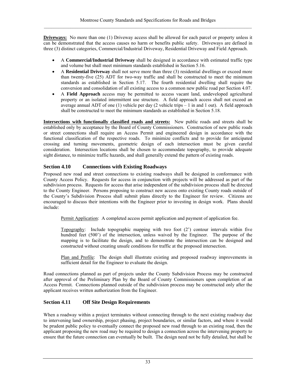**Driveways:** No more than one (1) Driveway access shall be allowed for each parcel or property unless it can be demonstrated that the access causes no harm or benefits public safety. Driveways are defined in three (3) distinct categories, Commercial/Industrial Driveway, Residential Driveway and Field Approach.

- A **Commercial/Industrial Driveway** shall be designed in accordance with estimated traffic type and volume but shall meet minimum standards established in Section 5.16.
- A **Residential Driveway** shall not serve more than three (3) residential dwellings or exceed more than twenty-five (25) ADT for two-way traffic and shall be constructed to meet the minimum standards as established in Section 5.17. The fourth residential dwelling shall require the conversion and consolidation of all existing access to a common new public road per Section 4.07.
- A **Field Approach** access may be permitted to access vacant land, undeveloped agricultural property or an isolated intermittent use structure. A field approach access shall not exceed an average annual ADT of one (1) vehicle per day (2 vehicle trips  $-1$  in and 1 out). A field approach shall be constructed to meet the minimum standards as established in Section 5.18.

**Intersections with functionally classified roads and streets:** New public roads and streets shall be established only by acceptance by the Board of County Commissioners. Construction of new public roads or street connections shall require an Access Permit and engineered design in accordance with the functional classification of the respective roads. To minimize conflicts and to provide for anticipated crossing and turning movements, geometric design of each intersection must be given careful consideration. Intersection locations shall be chosen to accommodate topography, to provide adequate sight distance, to minimize traffic hazards, and shall generally extend the pattern of existing roads.

# **Section 4.10 Connections with Existing Roadways**

Proposed new road and street connections to existing roadways shall be designed in conformance with County Access Policy. Requests for access in conjunction with projects will be addressed as part of the subdivision process. Requests for access that arise independent of the subdivision process shall be directed to the County Engineer. Persons proposing to construct new access onto existing County roads outside of the County's Subdivision Process shall submit plans directly to the Engineer for review. Citizens are encouraged to discuss their intentions with the Engineer prior to investing in design work. Plans should include:

Permit Application: A completed access permit application and payment of application fee.

Topography: Include topographic mapping with two foot (2') contour intervals within five hundred feet (500') of the intersection, unless waived by the Engineer. The purpose of the mapping is to facilitate the design, and to demonstrate the intersection can be designed and constructed without creating unsafe conditions for traffic at the proposed intersection.

Plan and Profile: The design shall illustrate existing and proposed roadway improvements in sufficient detail for the Engineer to evaluate the design.

Road connections planned as part of projects under the County Subdivision Process may be constructed after approval of the Preliminary Plan by the Board of County Commissioners upon completion of an Access Permit. Connections planned outside of the subdivision process may be constructed only after the applicant receives written authorization from the Engineer.

# **Section 4.11 Off Site Design Requirements**

When a roadway within a project terminates without connecting through to the next existing roadway due to intervening land ownership, project phasing, project boundaries, or similar factors, and where it would be prudent public policy to eventually connect the proposed new road through to an existing road, then the applicant proposing the new road may be required to design a connection across the intervening property to ensure that the future connection can eventually be built. The design need not be fully detailed, but shall be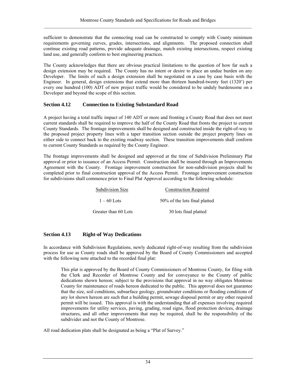sufficient to demonstrate that the connecting road can be constructed to comply with County minimum requirements governing curves, grades, intersections, and alignments. The proposed connection shall continue existing road patterns, provide adequate drainage, match existing intersections, respect existing land use, and generally conform to best engineering practices.

The County acknowledges that there are obvious practical limitations to the question of how far such a design extension may be required. The County has no intent or desire to place an undue burden on any Developer. The limits of such a design extension shall be negotiated on a case by case basis with the Engineer. In general, design extensions that extend more than thirteen hundred-twenty feet (1320') per every one hundred (100) ADT of new project traffic would be considered to be unduly burdensome on a Developer and beyond the scope of this section.

# **Section 4.12 Connection to Existing Substandard Road**

A project having a total traffic impact of 140 ADT or more and fronting a County Road that does not meet current standards shall be required to improve the half of the County Road that fronts the project to current County Standards. The frontage improvements shall be designed and constructed inside the right-of-way to the proposed project property lines with a taper transition section outside the project property lines on either side to connect back to the existing roadway section. These transition improvements shall conform to current County Standards as required by the County Engineer.

The frontage improvements shall be designed and approved at the time of Subdivision Preliminary Plat approval or prior to issuance of an Access Permit. Construction shall be insured through an Improvements Agreement with the County. Frontage improvement construction for non-subdivision projects shall be completed prior to final construction approval of the Access Permit. Frontage improvement construction for subdivisions shall commence prior to Final Plat Approval according to the following schedule:

| Subdivision Size     | <b>Construction Required</b>  |
|----------------------|-------------------------------|
| $1 - 60$ Lots        | 50% of the lots final platted |
| Greater than 60 Lots | 30 lots final platted         |

# **Section 4.13 Right-of Way Dedications**

In accordance with Subdivision Regulations, newly dedicated right-of-way resulting from the subdivision process for use as County roads shall be approved by the Board of County Commissioners and accepted with the following note attached to the recorded final plat:

This plat is approved by the Board of County Commissioners of Montrose County, for filing with the Clerk and Recorder of Montrose County and for conveyance to the County of public dedications shown hereon; subject to the provisions that approval in no way obligates Montrose County for maintenance of roads hereon dedicated to the public. This approval does not guarantee that the size, soil conditions, subsurface geology, groundwater conditions or flooding conditions of any lot shown hereon are such that a building permit, sewage disposal permit or any other required permit will be issued. This approval is with the understanding that all expenses involving required improvements for utility services, paving, grading, road signs, flood protection devices, drainage structures, and all other improvements that may be required, shall be the responsibility of the subdivider and not the County of Montrose.

All road dedication plats shall be designated as being a "Plat of Survey."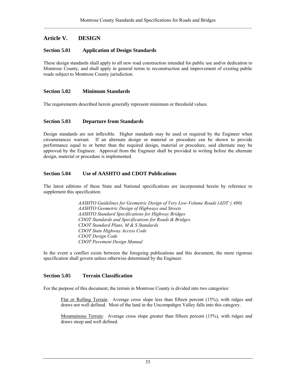# **Article V. DESIGN**

# **Section 5.01 Application of Design Standards**

These design standards shall apply to all new road construction intended for public use and/or dedication to Montrose County, and shall apply in general terms to reconstruction and improvement of existing public roads subject to Montrose County jurisdiction.

# **Section 5.02 Minimum Standards**

The requirements described herein generally represent minimum or threshold values.

## **Section 5.03 Departure from Standards**

Design standards are not inflexible. Higher standards may be used or required by the Engineer when circumstances warrant. If an alternate design or material or procedure can be shown to provide performance equal to or better than the required design, material or procedure, said alternate may be approved by the Engineer. Approval from the Engineer shall be provided in writing before the alternate design, material or procedure is implemented.

# **Section 5.04 Use of AASHTO and CDOT Publications**

The latest editions of these State and National specifications are incorporated herein by reference to supplement this specification:

> *AASHTO Guidelines for Geometric Design of Very Low-Volume Roads (ADT ≤ 400) AASHTO Geometric Design of Highways and Streets AASHTO Standard Specifications for Highway Bridges CDOT Standards and Specifications for Roads & Bridges. CDOT Standard Plans, M & S Standards CDOT State Highway Access Code CDOT Design Code CDOT Pavement Design Manual*

In the event a conflict exists between the foregoing publications and this document, the more rigorous specification shall govern unless otherwise determined by the Engineer.

# **Section 5.05 Terrain Classification**

For the purpose of this document, the terrain in Montrose County is divided into two categories:

Flat or Rolling Terrain: Average cross slope less than fifteen percent (15%), with ridges and draws not well defined. Most of the land in the Uncompahgre Valley falls into this category.

Mountainous Terrain: Average cross slope greater than fifteen percent (15%), with ridges and draws steep and well defined.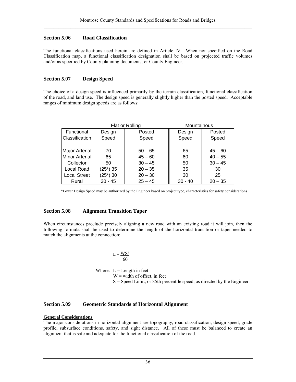## **Section 5.06 Road Classification**

The functional classifications used herein are defined in Article IV. When not specified on the Road Classification map, a functional classification designation shall be based on projected traffic volumes and/or as specified by County planning documents, or County Engineer.

## **Section 5.07 Design Speed**

The choice of a design speed is influenced primarily by the terrain classification, functional classification of the road, and land use. The design speed is generally slightly higher than the posted speed. Acceptable ranges of minimum design speeds are as follows:

| Flat or Rolling       |            |           | Mountainous |           |
|-----------------------|------------|-----------|-------------|-----------|
| Functional            | Design     | Posted    | Design      | Posted    |
| Classification        | Speed      | Speed     | Speed       | Speed     |
|                       |            |           |             |           |
| Major Arterial        | 70         | $50 - 65$ | 65          | $45 - 60$ |
| <b>Minor Arterial</b> | 65         | $45 - 60$ | 60          | $40 - 55$ |
| Collector             | 50         | $30 - 45$ | 50          | $30 - 45$ |
| Local Road            | $(25*)$ 35 | $20 - 35$ | 35          | 30        |
| <b>Local Street</b>   | $(25*)$ 30 | $20 - 30$ | 30          | 25        |
| Rural                 | $30 - 45$  | $25 - 45$ | $30 - 40$   | $20 - 35$ |

\*Lower Design Speed may be authorized by the Engineer based on project type, characteristics for safety considerations

# **Section 5.08 Alignment Transition Taper**

When circumstances preclude precisely aligning a new road with an existing road it will join, then the following formula shall be used to determine the length of the horizontal transition or taper needed to match the alignments at the connection:

#### $L = \frac{WS^2}{60}$ 60

Where:  $L =$  Length in feet

 $W =$  width of offset, in feet

 $S = Speed$  Limit, or 85th percentile speed, as directed by the Engineer.

# **Section 5.09 Geometric Standards of Horizontal Alignment**

# **General Considerations**

The major considerations in horizontal alignment are topography, road classification, design speed, grade profile, subsurface conditions, safety, and sight distance. All of these must be balanced to create an alignment that is safe and adequate for the functional classification of the road.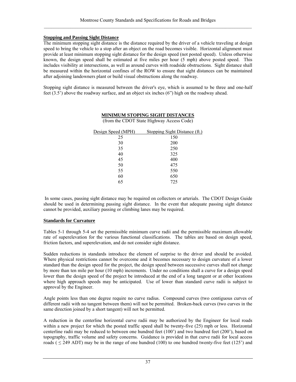## **Stopping and Passing Sight Distance**

The minimum stopping sight distance is the distance required by the driver of a vehicle traveling at design speed to bring the vehicle to a stop after an object on the road becomes visible. Horizontal alignment must provide at least minimum stopping sight distance for the design speed (not posted speed). Unless otherwise known, the design speed shall be estimated at five miles per hour (5 mph) above posted speed. This includes visibility at intersections, as well as around curves with roadside obstructions. Sight distance shall be measured within the horizontal confines of the ROW to ensure that sight distances can be maintained after adjoining landowners plant or build visual obstructions along the roadway.

Stopping sight distance is measured between the driver's eye, which is assumed to be three and one-half feet  $(3.5)$  above the roadway surface, and an object six inches  $(6")$  high on the roadway ahead.

| Design Speed (MPH) | Stopping Sight Distance (ft.) |
|--------------------|-------------------------------|
| 25                 | 150                           |
| 30                 | 200                           |
| 35                 | 250                           |
| 40                 | 325                           |
| 45                 | 400                           |
| 50                 | 475                           |
| 55                 | 550                           |
| 60                 | 650                           |
| 65                 | 725                           |

**MINIMUM STOPING SIGHT DISTANCES** (from the CDOT State Highway Access Code)

 In some cases, passing sight distance may be required on collectors or arterials. The CDOT Design Guide should be used in determining passing sight distance. In the event that adequate passing sight distance cannot be provided, auxiliary passing or climbing lanes may be required.

#### **Standards for Curvature**

Tables 5-1 through 5-4 set the permissible minimum curve radii and the permissible maximum allowable rate of superelevation for the various functional classifications. The tables are based on design speed, friction factors, and superelevation, and do not consider sight distance.

Sudden reductions in standards introduce the element of surprise to the driver and should be avoided. Where physical restrictions cannot be overcome and it becomes necessary to design curvature of a lower standard than the design speed for the project, the design speed between successive curves shall not change by more than ten mile per hour (10 mph) increments. Under no conditions shall a curve for a design speed lower than the design speed of the project be introduced at the end of a long tangent or at other locations where high approach speeds may be anticipated. Use of lower than standard curve radii is subject to approval by the Engineer.

Angle points less than one degree require no curve radius. Compound curves (two contiguous curves of different radii with no tangent between them) will not be permitted. Broken-back curves (two curves in the same direction joined by a short tangent) will not be permitted.

A reduction in the centerline horizontal curve radii may be authorized by the Engineer for local roads within a new project for which the posted traffic speed shall be twenty-five (25) mph or less. Horizontal centerline radii may be reduced to between one hundred feet (100') and two hundred feet (200'), based on topography, traffic volume and safety concerns. Guidance is provided in that curve radii for local access roads ( $\leq$  249 ADT) may be in the range of one hundred (100) to one hundred twenty-five feet (125') and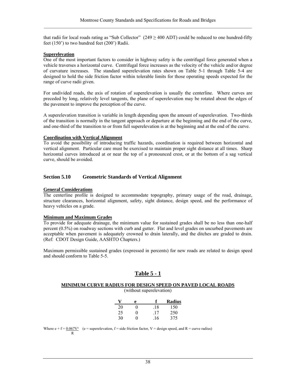that radii for local roads rating as "Sub Collector" ( $249 \ge 400$  ADT) could be reduced to one hundred-fifty feet (150') to two hundred feet (200') Radii.

#### **Superelevation**

One of the most important factors to consider in highway safety is the centrifugal force generated when a vehicle traverses a horizontal curve. Centrifugal force increases as the velocity of the vehicle and/or degree of curvature increases. The standard superelevation rates shown on Table 5-1 through Table 5-4 are designed to hold the side friction factor within tolerable limits for those operating speeds expected for the range of curve radii given.

For undivided roads, the axis of rotation of superelevation is usually the centerline. Where curves are preceded by long, relatively level tangents, the plane of superelevation may be rotated about the edges of the pavement to improve the perception of the curve.

A superelevation transition is variable in length depending upon the amount of superelevation. Two-thirds of the transition is normally in the tangent approach or departure at the beginning and the end of the curve, and one-third of the transition to or from full superelevation is at the beginning and at the end of the curve.

#### **Coordination with Vertical Alignment**

To avoid the possibility of introducing traffic hazards, coordination is required between horizontal and vertical alignment. Particular care must be exercised to maintain proper sight distance at all times. Sharp horizontal curves introduced at or near the top of a pronounced crest, or at the bottom of a sag vertical curve, should be avoided.

#### **Section 5.10 Geometric Standards of Vertical Alignment**

#### **General Considerations**

The centerline profile is designed to accommodate topography, primary usage of the road, drainage, structure clearances, horizontal alignment, safety, sight distance, design speed, and the performance of heavy vehicles on a grade.

#### **Minimum and Maximum Grades**

To provide for adequate drainage, the minimum value for sustained grades shall be no less than one-half percent (0.5%) on roadway sections with curb and gutter. Flat and level grades on uncurbed pavements are acceptable when pavement is adequately crowned to drain laterally, and the ditches are graded to drain. (Ref: CDOT Design Guide, AASHTO Chapters.)

Maximum permissible sustained grades (expressed in percents) for new roads are related to design speed and should conform to Table 5-5.

# **Table 5 - 1**

# **MINIMUM CURVE RADIUS FOR DESIGN SPEED ON PAVED LOCAL ROADS**

(without superelevation)

|    | e |     | Radius |
|----|---|-----|--------|
| 20 | 0 | .18 | 150    |
| 25 | 0 | .17 | 250    |
| 30 | 0 | .16 | 375    |

Where  $e + f = 0.067V^2$  (e = superelevation, f = side friction factor, V = design speed, and R = curve radius) R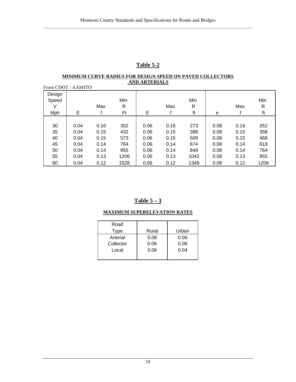# **Table 5-2**

#### **MINIMUM CURVE RADIUS FOR DESIGN SPEED ON PAVED COLLECTORS AND ARTERIALS** From CDOT / AASHTO

| From CDOT / AASHIO |      |      |      |      |      |      |      |      |      |
|--------------------|------|------|------|------|------|------|------|------|------|
| Design             |      |      |      |      |      |      |      |      |      |
| Speed              |      |      | Min  |      |      | Min  |      |      | Min  |
| V                  |      | Max  | R    |      | Max  | R    |      | Max  | R    |
| <b>Mph</b>         | Е    |      | Ft   | E    |      | ft   | е    |      | ft   |
|                    |      |      |      |      |      |      |      |      |      |
| 30                 | 0.04 | 0.16 | 302  | 0.06 | 0.16 | 273  | 0.08 | 0.16 | 252  |
| 35                 | 0.04 | 0.15 | 432  | 0.06 | 0.15 | 388  | 0.08 | 0.15 | 358  |
| 40                 | 0.04 | 0.15 | 573  | 0.06 | 0.15 | 509  | 0.08 | 0.15 | 468  |
| 45                 | 0.04 | 0.14 | 764  | 0.06 | 0.14 | 674  | 0.08 | 0.14 | 619  |
| 50                 | 0.04 | 0.14 | 955  | 0.06 | 0.14 | 849  | 0.08 | 0.14 | 764  |
| 55                 | 0.04 | 0.13 | 1206 | 0.06 | 0.13 | 1042 | 0.08 | 0.13 | 955  |
| 60                 | 0.04 | 0.12 | 1528 | 0.06 | 0.12 | 1348 | 0.08 | 0.12 | 1206 |

# **Table 5 – 3**

# **MAXIMUM SUPERELEVATION RATES**

| Road      |       |       |
|-----------|-------|-------|
| Type      | Rural | Urban |
| Arterial  | 0.08  | 0.06  |
| Collector | 0.06  | 0.06  |
| Local     | 0.06  | 0.04  |
|           |       |       |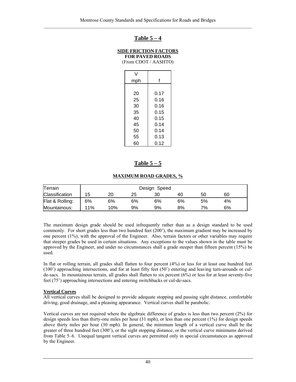# **Table 5 – 4**

# **SIDE FRICTION FACTORS**

**FOR PAVED ROADS**  (From CDOT / AASHTO)

| V   |      |
|-----|------|
| mph | f    |
|     |      |
| 20  | 0.17 |
| 25  | 0.16 |
| 30  | 0.16 |
| 35  | 0.15 |
| 40  | 0.15 |
| 45  | 0.14 |
| 50  | 0.14 |
| 55  | 0.13 |
| 60  | 0.12 |

# **Table 5 – 5**

#### **MAXIMUM ROAD GRADES, %**

| Terrain               |     | Design Speed |    |    |    |    |    |  |
|-----------------------|-----|--------------|----|----|----|----|----|--|
| <b>Classification</b> | 15  | 20           | 25 | 30 | 40 | 50 | 60 |  |
| Flat & Rolling:       | 6%  | 6%           | 6% | 6% | 6% | 5% | 4% |  |
| Mountainous:          | 11% | 10%          | 9% | 9% | 8% | 7% | 6% |  |

The maximum design grade should be used infrequently rather than as a design standard to be used commonly. For short grades less than two hundred feet (200'), the maximum gradient may be increased by one percent (1%), with the approval of the Engineer. Also, terrain factors or other variables may require that steeper grades be used in certain situations. Any exceptions to the values shown in the table must be approved by the Engineer, and under no circumstances shall a grade steeper than fifteen percent (15%) be used.

In flat or rolling terrain, all grades shall flatten to four percent (4%) or less for at least one hundred feet (100') approaching intersections, and for at least fifty feet (50') entering and leaving turn-arounds or culde-sacs. In mountainous terrain, all grades shall flatten to six percent (6%) or less for at least seventy-five feet (75') approaching intersections and entering switchbacks or cul-de-sacs.

#### **Vertical Curves**

All vertical curves shall be designed to provide adequate stopping and passing sight distance, comfortable driving, good drainage, and a pleasing appearance. Vertical curves shall be parabolic.

Vertical curves are not required where the algebraic difference of grades is less than two percent (2%) for design speeds less than thirty-one miles per hour (31 mph), or less than one percent (1%) for design speeds above thirty miles per hour (30 mph). In general, the minimum length of a vertical curve shall be the greater of three hundred feet (300'), or the sight stopping distance, or the vertical curve minimums derived from Table 5–6. Unequal tangent vertical curves are permitted only in special circumstances as approved by the Engineer.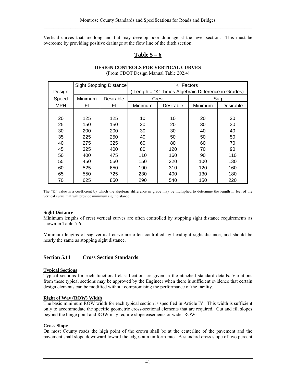Vertical curves that are long and flat may develop poor drainage at the level section. This must be overcome by providing positive drainage at the flow line of the ditch section.

# **Table 5 – 6**

# **DESIGN CONTROLS FOR VERTICAL CURVES**

(From CDOT Design Manual Table 202.4)

|            | <b>Sight Stopping Distance</b> |           | "K" Factors                                        |           |         |           |
|------------|--------------------------------|-----------|----------------------------------------------------|-----------|---------|-----------|
| Design     |                                |           | Length = "K" Times Algebraic Difference in Grades) |           |         |           |
| Speed      | Minimum                        | Desirable |                                                    | Crest     |         | Sag       |
| <b>MPH</b> | Ft                             | Ft        | Minimum                                            | Desirable | Minimum | Desirable |
|            |                                |           |                                                    |           |         |           |
| 20         | 125                            | 125       | 10                                                 | 10        | 20      | 20        |
| 25         | 150                            | 150       | 20                                                 | 20        | 30      | 30        |
| 30         | 200                            | 200       | 30                                                 | 30        | 40      | 40        |
| 35         | 225                            | 250       | 40                                                 | 50        | 50      | 50        |
| 40         | 275                            | 325       | 60                                                 | 80        | 60      | 70        |
| 45         | 325                            | 400       | 80                                                 | 120       | 70      | 90        |
| 50         | 400                            | 475       | 110                                                | 160       | 90      | 110       |
| 55         | 450                            | 550       | 150                                                | 220       | 100     | 130       |
| 60         | 525                            | 650       | 190                                                | 310       | 120     | 160       |
| 65         | 550                            | 725       | 230                                                | 400       | 130     | 180       |
| 70         | 625                            | 850       | 290                                                | 540       | 150     | 220       |

The "K" value is a coefficient by which the algebraic difference in grade may be multiplied to determine the length in feet of the vertical curve that will provide minimum sight distance.

#### **Sight Distance**

Minimum lengths of crest vertical curves are often controlled by stopping sight distance requirements as shown in Table 5-6.

Minimum lengths of sag vertical curve are often controlled by headlight sight distance, and should be nearly the same as stopping sight distance.

#### **Section 5.11 Cross Section Standards**

#### **Typical Sections**

Typical sections for each functional classification are given in the attached standard details. Variations from these typical sections may be approved by the Engineer when there is sufficient evidence that certain design elements can be modified without compromising the performance of the facility.

#### **Right of Way (ROW) Width**

The basic minimum ROW width for each typical section is specified in Article IV. This width is sufficient only to accommodate the specific geometric cross-sectional elements that are required. Cut and fill slopes beyond the hinge point and ROW may require slope easements or wider ROWs.

#### **Cross Slope**

On most County roads the high point of the crown shall be at the centerline of the pavement and the pavement shall slope downward toward the edges at a uniform rate. A standard cross slope of two percent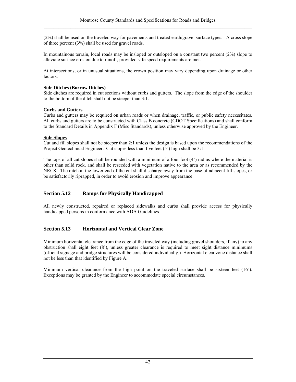(2%) shall be used on the traveled way for pavements and treated earth/gravel surface types. A cross slope of three percent (3%) shall be used for gravel roads.

In mountainous terrain, local roads may be insloped or outsloped on a constant two percent (2%) slope to alleviate surface erosion due to runoff, provided safe speed requirements are met.

At intersections, or in unusual situations, the crown position may vary depending upon drainage or other factors.

#### **Side Ditches (Borrow Ditches)**

Side ditches are required in cut sections without curbs and gutters. The slope from the edge of the shoulder to the bottom of the ditch shall not be steeper than 3:1.

## **Curbs and Gutters**

Curbs and gutters may be required on urban roads or when drainage, traffic, or public safety necessitates. All curbs and gutters are to be constructed with Class B concrete (CDOT Specifications) and shall conform to the Standard Details in Appendix F (Misc Standards), unless otherwise approved by the Engineer.

#### **Side Slopes**

Cut and fill slopes shall not be steeper than 2:1 unless the design is based upon the recommendations of the Project Geotechnical Engineer. Cut slopes less than five feet  $(5')$  high shall be 3:1.

The tops of all cut slopes shall be rounded with a minimum of a four foot  $(4')$  radius where the material is other than solid rock, and shall be reseeded with vegetation native to the area or as recommended by the NRCS. The ditch at the lower end of the cut shall discharge away from the base of adjacent fill slopes, or be satisfactorily riprapped, in order to avoid erosion and improve appearance.

# **Section 5.12 Ramps for Physically Handicapped**

All newly constructed, repaired or replaced sidewalks and curbs shall provide access for physically handicapped persons in conformance with ADA Guidelines.

# **Section 5.13 Horizontal and Vertical Clear Zone**

Minimum horizontal clearance from the edge of the traveled way (including gravel shoulders, if any) to any obstruction shall eight feet (8'), unless greater clearance is required to meet sight distance minimums (official signage and bridge structures will be considered individually.) Horizontal clear zone distance shall not be less than that identified by Figure A.

Minimum vertical clearance from the high point on the traveled surface shall be sixteen feet (16'). Exceptions may be granted by the Engineer to accommodate special circumstances.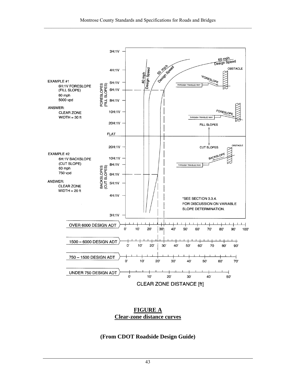

# **FIGURE A Clear-zone distance curves**

# **(From CDOT Roadside Design Guide)**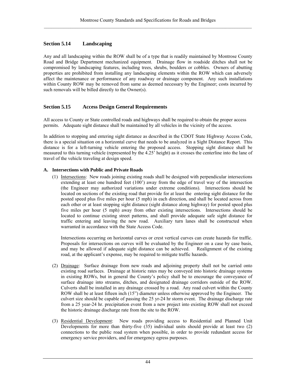# **Section 5.14 Landscaping**

Any and all landscaping within the ROW shall be of a type that is readily maintained by Montrose County Road and Bridge Department mechanized equipment. Drainage flow in roadside ditches shall not be compromised by landscaping features, including trees, shrubs, boulders or cobbles. Owners of abutting properties are prohibited from installing any landscaping elements within the ROW which can adversely affect the maintenance or performance of any roadway or drainage component. Any such installations within County ROW may be removed from same as deemed necessary by the Engineer; costs incurred by such removals will be billed directly to the Owner(s).

# **Section 5.15 Access Design General Requirements**

All access to County or State controlled roads and highways shall be required to obtain the proper access permits. Adequate sight distance shall be maintained by all vehicles in the vicinity of the access.

In addition to stopping and entering sight distance as described in the CDOT State Highway Access Code, there is a special situation on a horizontal curve that needs to be analyzed in a Sight Distance Report. This distance is for a left-turning vehicle entering the proposed access. Stopping sight distance shall be measured to this turning vehicle (represented by the 4.25' height) as it crosses the centerline into the lane of travel of the vehicle traveling at design speed.

# **A. Intersections with Public and Private Roads**

(1) Intersections: New roads joining existing roads shall be designed with perpendicular intersections extending at least one hundred feet (100') away from the edge of travel way of the intersection (the Engineer may authorized variations under extreme conditions). Intersections should be located on sections of the existing road that provide for at least the entering sight distance for the posted speed plus five miles per hour (5 mph) in each direction, and shall be located across from each other or at least stopping sight distance (sight distance along highway) for posted speed plus five miles per hour (5 mph) away from other existing intersections. Intersections should be located to continue existing street patterns, and shall provide adequate safe sight distance for traffic entering and leaving the new road. Auxiliary turn lanes shall be constructed when warranted in accordance with the State Access Code.

Intersections occurring on horizontal curves or crest vertical curves can create hazards for traffic. Proposals for intersections on curves will be evaluated by the Engineer on a case by case basis, and may be allowed if adequate sight distance can be achieved. Realignment of the existing road, at the applicant's expense, may be required to mitigate traffic hazards.

- (2) Drainage: Surface drainage from new roads and adjoining property shall not be carried onto existing road surfaces. Drainage at historic rates may be conveyed into historic drainage systems in existing ROWs, but in general the County's policy shall be to encourage the conveyance of surface drainage into streams, ditches, and designated drainage corridors outside of the ROW. Culverts shall be installed in any drainage crossed by a road. Any road culvert within the County ROW shall be at least fifteen inch (15") diameter unless otherwise approved by the Engineer. The culvert size should be capable of passing the 25 yr-24 hr storm event. The drainage discharge rate from a 25 year-24 hr. precipitation event from a new project into existing ROW shall not exceed the historic drainage discharge rate from the site to the ROW.
- (3) Residential Development: New roads providing access to Residential and Planned Unit Developments for more than thirty-five  $(35)$  individual units should provide at least two  $(2)$ connections to the public road system when possible, in order to provide redundant access for emergency service providers, and for emergency egress purposes.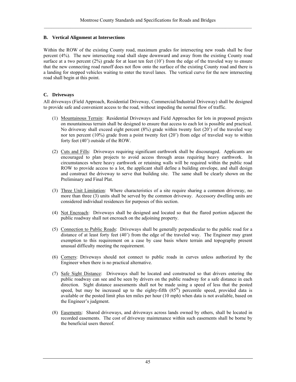### **B. Vertical Alignment at Intersections**

Within the ROW of the existing County road, maximum grades for intersecting new roads shall be four percent (4%). The new intersecting road shall slope downward and away from the existing County road surface at a two percent  $(2%)$  grade for at least ten feet  $(10')$  from the edge of the traveled way to ensure that the new connecting road runoff does not flow onto the surface of the existing County road and there is a landing for stopped vehicles waiting to enter the travel lanes. The vertical curve for the new intersecting road shall begin at this point.

## **C. Driveways**

All driveways (Field Approach, Residential Driveway, Commercial/Industrial Driveway) shall be designed to provide safe and convenient access to the road, without impeding the normal flow of traffic.

- (1) Mountainous Terrain: Residential Driveways and Field Approaches for lots in proposed projects on mountainous terrain shall be designed to ensure that access to each lot is possible and practical. No driveway shall exceed eight percent (8%) grade within twenty feet (20') of the traveled way nor ten percent (10%) grade from a point twenty feet (20') from edge of traveled way to within forty feet (40') outside of the ROW.
- (2) Cuts and Fills: Driveways requiring significant earthwork shall be discouraged. Applicants are encouraged to plan projects to avoid access through areas requiring heavy earthwork. In circumstances where heavy earthwork or retaining walls will be required within the public road ROW to provide access to a lot, the applicant shall define a building envelope, and shall design and construct the driveway to serve that building site. The same shall be clearly shown on the Preliminary and Final Plat.
- (3) Three Unit Limitation: Where characteristics of a site require sharing a common driveway, no more than three (3) units shall be served by the common driveway. Accessory dwelling units are considered individual residences for purposes of this section.
- (4) Not Encroach: Driveways shall be designed and located so that the flared portion adjacent the public roadway shall not encroach on the adjoining property.
- (5) Connection to Public Roads: Driveways shall be generally perpendicular to the public road for a distance of at least forty feet (40') from the edge of the traveled way. The Engineer may grant exemption to this requirement on a case by case basis where terrain and topography present unusual difficulty meeting the requirement.
- (6) Corners: Driveways should not connect to public roads in curves unless authorized by the Engineer when there is no practical alternative.
- (7) Safe Sight Distance: Driveways shall be located and constructed so that drivers entering the public roadway can see and be seen by drivers on the public roadway for a safe distance in each direction. Sight distance assessments shall not be made using a speed of less that the posted speed, but may be increased up to the eighty-fifth  $(85<sup>th</sup>)$  percentile speed, provided data is available or the posted limit plus ten miles per hour (10 mph) when data is not available, based on the Engineer's judgment.
- (8) Easements: Shared driveways, and driveways across lands owned by others, shall be located in recorded easements. The cost of driveway maintenance within such easements shall be borne by the beneficial users thereof.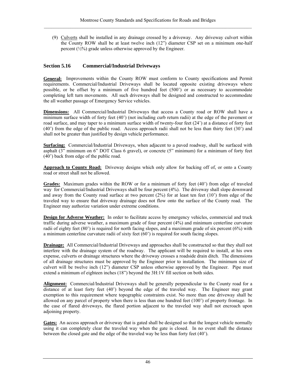(9) Culverts shall be installed in any drainage crossed by a driveway. Any driveway culvert within the County ROW shall be at least twelve inch (12") diameter CSP set on a minimum one-half percent  $(\frac{1}{2}\%)$  grade unless otherwise approved by the Engineer.

# **Section 5.16 Commercial/Industrial Driveways**

**General:** Improvements within the County ROW must conform to County specifications and Permit requirements. Commercial/Industrial Driveways shall be located opposite existing driveways where possible, or be offset by a minimum of five hundred feet (500') or as necessary to accommodate completing left turn movements. All such driveways shall be designed and constructed to accommodate the all weather passage of Emergency Service vehicles.

**Dimensions:** All Commercial/Industrial Driveways that access a County road or ROW shall have a minimum surface width of forty feet (40') (not including curb return radii) at the edge of the pavement or road surface, and may taper to a minimum surface width of twenty-four feet (24') at a distance of forty feet (40') from the edge of the public road. Access approach radii shall not be less than thirty feet (30') and shall not be greater than justified by design vehicle performance.

**Surfacing:** Commercial/Industrial Driveways, when adjacent to a paved roadway, shall be surfaced with asphalt (3" minimum on 6" DOT Class 6 gravel), or concrete (5" minimum) for a minimum of forty feet (40') back from edge of the public road.

**Approach to County Road:** Driveway designs which only allow for backing off of, or onto a County road or street shall not be allowed.

**Grades:** Maximum grades within the ROW or for a minimum of forty feet (40') from edge of traveled way for Commercial/Industrial Driveways shall be four percent (4%). The driveway shall slope downward and away from the County road surface at two percent (2%) for at least ten feet (10') from edge of the traveled way to ensure that driveway drainage does not flow onto the surface of the County road. The Engineer may authorize variation under extreme conditions.

**Design for Adverse Weather:** In order to facilitate access by emergency vehicles, commercial and truck traffic during adverse weather, a maximum grade of four percent (4%) and minimum centerline curvature radii of eighty feet (80') is required for north facing slopes, and a maximum grade of six percent (6%) with a minimum centerline curvature radii of sixty feet (60') is required for south facing slopes.

**Drainage:** All Commercial/Industrial Driveways and approaches shall be constructed so that they shall not interfere with the drainage system of the roadway. The applicant will be required to install, at his own expense, culverts or drainage structures where the driveway crosses a roadside drain ditch. The dimensions of all drainage structures must be approved by the Engineer prior to installation. The minimum size of culvert will be twelve inch (12") diameter CSP unless otherwise approved by the Engineer. Pipe must extend a minimum of eighteen inches (18") beyond the 3H:1V fill section on both sides.

**Alignment:** Commercial/Industrial Driveways shall be generally perpendicular to the County road for a distance of at least forty feet (40') beyond the edge of the traveled way. The Engineer may grant exemption to this requirement where topographic constraints exist. No more than one driveway shall be allowed on any parcel of property when there is less than one hundred feet (100') of property frontage. In the case of flared driveways, the flared portion adjacent to the traveled way shall not encroach upon adjoining property.

Gates: An access approach or driveway that is gated shall be designed so that the longest vehicle normally using it can completely clear the traveled way when the gate is closed. In no event shall the distance between the closed gate and the edge of the traveled way be less than forty feet (40').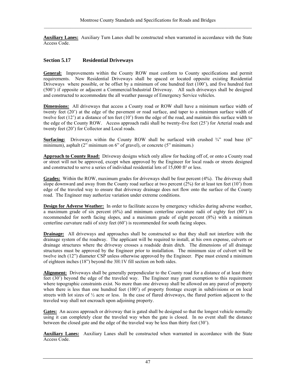**Auxiliary Lanes:** Auxiliary Turn Lanes shall be constructed when warranted in accordance with the State Access Code.

## **Section 5.17 Residential Driveways**

**General:** Improvements within the County ROW must conform to County specifications and permit requirements. New Residential Driveways shall be spaced or located opposite existing Residential Driveways where possible, or be offset by a minimum of one hundred feet (100'), and five hundred feet (500') if opposite or adjacent a Commercial/Industrial Driveway. All such driveways shall be designed and constructed to accommodate the all weather passage of Emergency Service vehicles.

**Dimensions:** All driveways that access a County road or ROW shall have a minimum surface width of twenty feet (20') at the edge of the pavement or road surface, and taper to a minimum surface width of twelve feet (12') at a distance of ten feet (10') from the edge of the road, and maintain this surface width to the edge of the County ROW. Access approach radii shall be twenty-five feet (25') for Arterial roads and twenty feet (20') for Collector and Local roads.

**Surfacing:** Driveways within the County ROW shall be surfaced with crushed  $\frac{3}{4}$  road base (6") minimum), asphalt (2" minimum on 6" of gravel), or concrete (5" minimum.)

**Approach to County Road:** Driveway designs which only allow for backing off of, or onto a County road or street will not be approved, except when approved by the Engineer for local roads or streets designed and constructed to serve a series of individual residential lots of 15,000 ft² or less.

**Grades:** Within the ROW, maximum grades for driveways shall be four percent (4%). The driveway shall slope downward and away from the County road surface at two percent  $(2%)$  for at least ten feet  $(10')$  from edge of the traveled way to ensure that driveway drainage does not flow onto the surface of the County road. The Engineer may authorize variation under extreme conditions.

**Design for Adverse Weather:** In order to facilitate access by emergency vehicles during adverse weather, a maximum grade of six percent (6%) and minimum centerline curvature radii of eighty feet (80') is recommended for north facing slopes, and a maximum grade of eight percent (8%) with a minimum centerline curvature radii of sixty feet (60') is recommended for south facing slopes.

**Drainage:** All driveways and approaches shall be constructed so that they shall not interfere with the drainage system of the roadway. The applicant will be required to install, at his own expense, culverts or drainage structures where the driveway crosses a roadside drain ditch. The dimensions of all drainage structures must be approved by the Engineer prior to installation. The minimum size of culvert will be twelve inch (12") diameter CSP unless otherwise approved by the Engineer. Pipe must extend a minimum of eighteen inches (18") beyond the 3H:1V fill section on both sides.

**Alignment:** Driveways shall be generally perpendicular to the County road for a distance of at least thirty feet (30') beyond the edge of the traveled way. The Engineer may grant exemption to this requirement where topographic constraints exist. No more than one driveway shall be allowed on any parcel of property when there is less than one hundred feet (100') of property frontage except in subdivisions or on local streets with lot sizes of  $\frac{1}{2}$  acre or less. In the case of flared driveways, the flared portion adjacent to the traveled way shall not encroach upon adjoining property.

**Gates:** An access approach or driveway that is gated shall be designed so that the longest vehicle normally using it can completely clear the traveled way when the gate is closed. In no event shall the distance between the closed gate and the edge of the traveled way be less than thirty feet (30').

**Auxiliary Lanes:** Auxiliary Lanes shall be constructed when warranted in accordance with the State Access Code.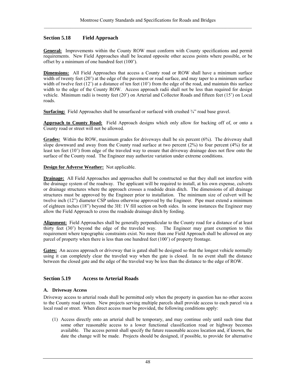# **Section 5.18 Field Approach**

**General:** Improvements within the County ROW must conform with County specifications and permit requirements. New Field Approaches shall be located opposite other access points where possible, or be offset by a minimum of one hundred feet (100').

**Dimensions:** All Field Approaches that access a County road or ROW shall have a minimum surface width of twenty feet (20<sup>°</sup>) at the edge of the pavement or road surface, and may taper to a minimum surface width of twelve feet  $(12)$  at a distance of ten feet  $(10)$  from the edge of the road, and maintain this surface width to the edge of the County ROW. Access approach radii shall not be less than required for design vehicle. Minimum radii is twenty feet (20') on Arterial and Collector Roads and fifteen feet (15') on Local roads.

**Surfacing:** Field Approaches shall be unsurfaced or surfaced with crushed  $\frac{3}{4}$ " road base gravel.

**Approach to County Road:** Field Approach designs which only allow for backing off of, or onto a County road or street will not be allowed.

**Grades:** Within the ROW, maximum grades for driveways shall be six percent (6%). The driveway shall slope downward and away from the County road surface at two percent  $(2\%)$  to four percent  $(4\%)$  for at least ten feet (10') from edge of the traveled way to ensure that driveway drainage does not flow onto the surface of the County road. The Engineer may authorize variation under extreme conditions.

## **Design for Adverse Weather:** Not applicable.

**Drainage:** All Field Approaches and approaches shall be constructed so that they shall not interfere with the drainage system of the roadway. The applicant will be required to install, at his own expense, culverts or drainage structures where the approach crosses a roadside drain ditch. The dimensions of all drainage structures must be approved by the Engineer prior to installation. The minimum size of culvert will be twelve inch (12") diameter CSP unless otherwise approved by the Engineer. Pipe must extend a minimum of eighteen inches (18") beyond the 3H: 1V fill section on both sides. In some instances the Engineer may allow the Field Approach to cross the roadside drainage ditch by fording.

**Alignment:** Field Approaches shall be generally perpendicular to the County road for a distance of at least thirty feet (30') beyond the edge of the traveled way. The Engineer may grant exemption to this requirement where topographic constraints exist. No more than one Field Approach shall be allowed on any parcel of property when there is less than one hundred feet (100') of property frontage.

Gates: An access approach or driveway that is gated shall be designed so that the longest vehicle normally using it can completely clear the traveled way when the gate is closed. In no event shall the distance between the closed gate and the edge of the traveled way be less than the distance to the edge of ROW.

# **Section 5.19 Access to Arterial Roads**

#### **A. Driveway Access**

Driveway access to arterial roads shall be permitted only when the property in question has no other access to the County road system. New projects serving multiple parcels shall provide access to each parcel via a local road or street. When direct access must be provided, the following conditions apply:

(1) Access directly onto an arterial shall be temporary, and may continue only until such time that some other reasonable access to a lower functional classification road or highway becomes available. The access permit shall specify the future reasonable access location and, if known, the date the change will be made. Projects should be designed, if possible, to provide for alternative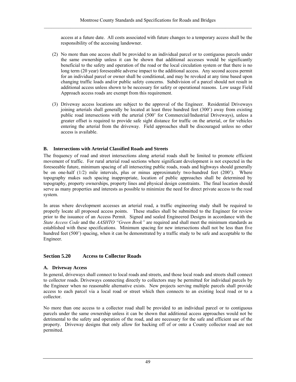access at a future date. All costs associated with future changes to a temporary access shall be the responsibility of the accessing landowner.

- (2) No more than one access shall be provided to an individual parcel or to contiguous parcels under the same ownership unless it can be shown that additional accesses would be significantly beneficial to the safety and operation of the road or the local circulation system or that there is no long term (20 year) foreseeable adverse impact to the additional access. Any second access permit for an individual parcel or owner shall be conditional, and may be revoked at any time based upon changing traffic loads and/or public safety concerns. Subdivision of a parcel should not result in additional access unless shown to be necessary for safety or operational reasons. Low usage Field Approach access roads are exempt from this requirement.
- (3) Driveway access locations are subject to the approval of the Engineer. Residential Driveways joining arterials shall generally be located at least three hundred feet (300') away from existing public road intersections with the arterial (500' for Commercial/Industrial Driveways), unless a greater offset is required to provide safe sight distance for traffic on the arterial, or for vehicles entering the arterial from the driveway. Field approaches shall be discouraged unless no other access is available.

## **B. Intersections with Arterial Classified Roads and Streets**

The frequency of road and street intersections along arterial roads shall be limited to promote efficient movement of traffic. For rural arterial road sections where significant development is not expected in the foreseeable future, minimum spacing of all intersecting public roads, roads and highways should generally be on one-half (1/2) mile intervals, plus or minus approximately two-hundred feet (200'). Where topography makes such spacing inappropriate, location of public approaches shall be determined by topography, property ownerships, property lines and physical design constraints. The final location should serve as many properties and interests as possible to minimize the need for direct private access to the road system.

In areas where development accesses an arterial road, a traffic engineering study shall be required to properly locate all proposed access points. These studies shall be submitted to the Engineer for review prior to the issuance of an Access Permit. Signed and sealed Engineered Designs in accordance with the *State Access Code* and the *AASHTO "Green Book"* are required and shall meet the minimum standards as established with these specifications. Minimum spacing for new intersections shall not be less than five hundred feet (500') spacing, when it can be demonstrated by a traffic study to be safe and acceptable to the Engineer.

# **Section 5.20 Access to Collector Roads**

#### **A. Driveway Access**

In general, driveways shall connect to local roads and streets, and those local roads and streets shall connect to collector roads. Driveways connecting directly to collectors may be permitted for individual parcels by the Engineer when no reasonable alternative exists. New projects serving multiple parcels shall provide access to each parcel via a local road or street which then connects to an existing local road or to a collector.

No more than one access to a collector road shall be provided to an individual parcel or to contiguous parcels under the same ownership unless it can be shown that additional access approaches would not be detrimental to the safety and operation of the road, and are necessary for the safe and efficient use of the property. Driveway designs that only allow for backing off of or onto a County collector road are not permitted.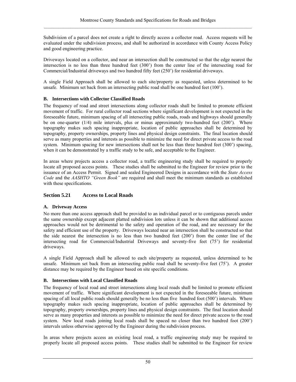Subdivision of a parcel does not create a right to directly access a collector road. Access requests will be evaluated under the subdivision process, and shall be authorized in accordance with County Access Policy and good engineering practice.

Driveways located on a collector, and near an intersection shall be constructed so that the edge nearest the intersection is no less than three hundred feet (300') from the center line of the intersecting road for Commercial/Industrial driveways and two hundred fifty feet (250') for residential driveways.

A single Field Approach shall be allowed to each site/property as requested, unless determined to be unsafe. Minimum set back from an intersecting public road shall be one hundred feet (100').

# **B. Intersections with Collector Classified Roads**

The frequency of road and street intersections along collector roads shall be limited to promote efficient movement of traffic. For rural collector road sections where significant development is not expected in the foreseeable future, minimum spacing of all intersecting public roads, roads and highways should generally be on one-quarter (1/4) mile intervals, plus or minus approximately two-hundred feet (200'). Where topography makes such spacing inappropriate, location of public approaches shall be determined by topography, property ownerships, property lines and physical design constraints. The final location should serve as many properties and interests as possible to minimize the need for direct private access to the road system. Minimum spacing for new intersections shall not be less than three hundred feet (300') spacing, when it can be demonstrated by a traffic study to be safe, and acceptable to the Engineer.

In areas where projects access a collector road, a traffic engineering study shall be required to properly locate all proposed access points. These studies shall be submitted to the Engineer for review prior to the issuance of an Access Permit. Signed and sealed Engineered Designs in accordance with the *State Access Code* and the *AASHTO "Green Book"* are required and shall meet the minimum standards as established with these specifications.

# **Section 5.21 Access to Local Roads**

#### **A. Driveway Access**

No more than one access approach shall be provided to an individual parcel or to contiguous parcels under the same ownership except adjacent platted subdivision lots unless it can be shown that additional access approaches would not be detrimental to the safety and operation of the road, and are necessary for the safety and efficient use of the property. Driveways located near an intersection shall be constructed so that the side nearest the intersection is no less than two hundred feet (200') from the center line of the intersecting road for Commercial/Industrial Driveways and seventy-five feet (75') for residential driveways.

A single Field Approach shall be allowed to each site/property as requested, unless determined to be unsafe. Minimum set back from an intersecting public road shall be seventy-five feet (75'). A greater distance may be required by the Engineer based on site specific conditions.

#### **B. Intersections with Local Classified Roads**

The frequency of local road and street intersections along local roads shall be limited to promote efficient movement of traffic. Where significant development is not expected in the foreseeable future, minimum spacing of all local public roads should generally be no less than five hundred foot (500') intervals. Where topography makes such spacing inappropriate, location of public approaches shall be determined by topography, property ownerships, property lines and physical design constraints. The final location should serve as many properties and interests as possible to minimize the need for direct private access to the road system. New local roads joining local roads shall be spaced no closer than two hundred foot (200') intervals unless otherwise approved by the Engineer during the subdivision process.

In areas where projects access an existing local road, a traffic engineering study may be required to properly locate all proposed access points. These studies shall be submitted to the Engineer for review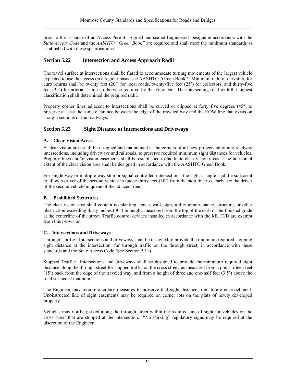prior to the issuance of an Access Permit. Signed and sealed Engineered Designs in accordance with the *State Access Code* and the *AASHTO "Green Book"* are required and shall meet the minimum standards as established with these specifications.

# **Section 5.22 Intersection and Access Approach Radii**

The travel surface at intersections shall be flared to accommodate turning movements of the largest vehicle expected to use the access on a regular basis, see AASHTO "Green Book". Minimum radii of curvature for curb returns shall be twenty feet (20') for local roads, twenty-five feet (25') for collectors, and thirty-five feet (35') for arterials, unless otherwise required by the Engineer. The intersecting road with the highest classification shall determined the required radii.

Property corner lines adjacent to intersections shall be curved or clipped at forty five degrees (45º) to preserve at least the same clearance between the edge of the traveled way and the ROW line that exists on straight sections of the roadways.

# **Section 5.23 Sight Distance at Intersections and Driveways**

# **A. Clear Vision Areas**

A clear vision area shall be designed and maintained at the corners of all new projects adjoining roadway intersections, including driveways and railroads, to preserve required minimum sight distances for vehicles. Property lines and/or vision easements shall be established to facilitate clear vision areas. The horizontal extent of the clear vision area shall be designed in accordance with the AASHTO Green Book.

For single-way or multiple-way stop or signal controlled intersections, the sight triangle shall be sufficient to allow a driver of the second vehicle in queue thirty feet (30') from the stop line to clearly see the driver of the second vehicle in queue of the adjacent road.

# **B. Prohibited Structures**

The clear vision area shall contain no planting, fence, wall, sign, utility appurtenance, structure, or other obstruction exceeding thirty inches (30") in height, measured from the top of the curb or the finished grade at the centerline of the street. Traffic control devices installed in accordance with the MUTCD are exempt from this provision.

# **C. Intersections and Driveways**

Through Traffic: Intersections and driveways shall be designed to provide the minimum required stopping sight distance at the intersection, for through traffic on the through street, in accordance with these standards and the State Access Code (See Section 5.11).

Stopped Traffic: Intersections and driveways shall be designed to provide the minimum required sight distance along the through street for stopped traffic on the cross street, as measured from a point fifteen feet (15') back from the edge of the traveled way, and from a height of three and one-half feet (3.5') above the road surface at that point.

The Engineer may require ancillary measures to preserve that sight distance from future encroachment. Unobstructed line of sight easements may be required on corner lots on the plats of newly developed property.

Vehicles may not be parked along the through street within the required line of sight for vehicles on the cross street that are stopped at the intersection. "No Parking" regulatory signs may be required at the discretion of the Engineer.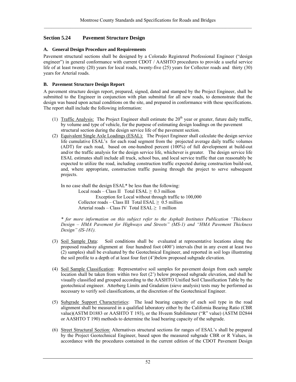# **Section 5.24 Pavement Structure Design**

## **A. General Design Procedure and Requirements**

Pavement structural sections shall be designed by a Colorado Registered Professional Engineer ("design engineer") in general conformance with current CDOT / AASHTO procedures to provide a useful service life of at least twenty (20) years for local roads, twenty-five (25) years for Collector roads and thirty (30) years for Arterial roads.

## **B. Pavement Structure Design Report**

A pavement structure design report, prepared, signed, dated and stamped by the Project Engineer, shall be submitted to the Engineer in conjunction with plan submittal for all new roads, to demonstrate that the design was based upon actual conditions on the site, and prepared in conformance with these specifications. The report shall include the following information:

- (1) Traffic Analysis: The Project Engineer shall estimate the  $20<sup>th</sup>$  year or greater, future daily traffic, by volume and type of vehicle, for the purpose of estimating design loadings on the pavement structural section during the design service life of the pavement section.
- (2) Equivalent Single Axle Loadings (ESAL): The Project Engineer shall calculate the design service life cumulative ESAL's for each road segment from the projected average daily traffic volumes (ADT) for each road, based on one-hundred percent (100%) of full development at build-out and/or the traffic analysis for the design service life, whichever is greater. The design service life ESAL estimates shall include all truck, school bus, and local service traffic that can reasonably be expected to utilize the road, including construction traffic expected during construction build-out, and, where appropriate, construction traffic passing through the project to serve subsequent projects.

In no case shall the design ESAL\* be less than the following: Local roads – Class II Total  $ESAL \geq 0.3$  million Exception for Local without through traffic to 100,000 Collector roads – Class III Total ESAL  $> 0.5$  million Arterial roads – Class IV Total  $ESAL \geq 1$  million

*\* for more information on this subject refer to the Asphalt Institutes Publication "Thickness Design – HMA Pavement for Highways and Streets" (MS-1) and "HMA Pavement Thickness Design" (IS-181).* 

- (3) Soil Sample Data: Soil conditions shall be evaluated at representative locations along the proposed roadway alignment at four hundred foot (400') intervals (but in any event at least two (2) samples) shall be evaluated by the Geotechnical Engineer, and reported in soil logs illustrating the soil profile to a depth of at least four feet (4')below proposed subgrade elevation.
- (4) Soil Sample Classification: Representative soil samples for pavement design from each sample location shall be taken from within two feet (2') below proposed subgrade elevation, and shall be visually classified and grouped according to the AASHTO Unified Soil Classification Table by the geotechnical engineer. Atterberg Limits and Gradation (sieve analysis) tests may be performed as necessary to verify soil classifications, at the discretion of the Geotechnical Engineer.
- (5) Subgrade Support Characteristics: The load bearing capacity of each soil type in the road alignment shall be measured in a qualified laboratory either by the California Bearing Ratio (CBR value)(ASTM D1883 or AASHTO T 193), or the Hveem Stabilimeter ("R" value) (ASTM D2844 or AASHTO T 190) methods to determine the load bearing capacity of the subgrade.
- (6) Street Structural Section: Alternatives structural sections for ranges of ESAL's shall be prepared by the Project Geotechnical Engineer, based upon the measured subgrade CBR or R Values, in accordance with the procedures contained in the current edition of the CDOT Pavement Design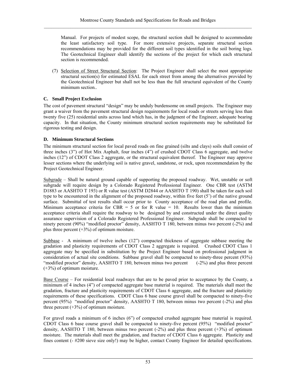Manual. For projects of modest scope, the structural section shall be designed to accommodate the least satisfactory soil type. For more extensive projects, separate structural section recommendations may be provided for the different soil types identified in the soil boring logs. The Geotechnical Engineer shall identify the sections of the project for which each structural section is recommended.

(7) Selection of Street Structural Section: The Project Engineer shall select the most appropriate structural section(s) for estimated ESAL for each street from among the alternatives provided by the Geotechnical Engineer but shall not be less than the full structural equivalent of the County minimum section..

# **C. Small Project Exclusion**

The cost of pavement structural "design" may be unduly burdensome on small projects. The Engineer may grant a waiver from the pavement structural design requirements for local roads or streets serving less than twenty five (25) residential units across land which has, in the judgment of the Engineer, adequate bearing capacity. In that situation, the County minimum structural section requirements may be substituted for rigorous testing and design.

# **D. Minimum Structural Sections**

The minimum structural section for local paved roads on fine grained (silts and clays) soils shall consist of three inches (3") of Hot Mix Asphalt, four inches (4") of crushed CDOT Class 6 aggregate, and twelve inches (12") of CDOT Class 2 aggregate, or the structural equivalent thereof. The Engineer may approve lesser sections where the underlying soil is native gravel, sandstone, or rock, upon recommendation by the Project Geotechnical Engineer.

Subgrade – Shall be natural ground capable of supporting the proposed roadway. Wet, unstable or soft subgrade will require design by a Colorado Registered Professional Engineer. One CBR test (ASTM D1883 or AASHTO T 193) or R value test (ASTM D2844 or AASHTO T 190) shall be taken for each soil type to be encountered in the alignment of the proposed roadway, within five feet (5') of the native ground surface. Submittal of test results shall occur prior to County acceptance of the road plan and profile. Minimum acceptance criteria for CBR = 5 or for R value = 10. Results lower than the minimum acceptance criteria shall require the roadway to be designed by and constructed under the direct quality assurance supervision of a Colorado Registered Professional Engineer. Subgrade shall be compacted to ninety percent (90%) "modified proctor" density, AASHTO T 180, between minus two percent (-2%) and plus three percent  $(+3%)$  of optimum moisture.

Subbase - A minimum of twelve inches (12") compacted thickness of aggregate subbase meeting the gradation and plasticity requirements of CDOT Class 2 aggregate is required. Crushed CDOT Class 1 aggregate may be specified in substitution by the Project Engineer based on professional judgment in consideration of actual site conditions. Subbase gravel shall be compacted to ninety-three percent (93%) "modified proctor" density, AASHTO T 180, between minus two percent (-2%) and plus three percent (+3%) of optimum moisture.

Base Course – For residential local roadways that are to be paved prior to acceptance by the County, a minimum of 4 inches (4") of compacted aggregate base material is required. The materials shall meet the gradation, fracture and plasticity requirements of CDOT Class 6 aggregate, and the fracture and plasticity requirements of these specifications. CDOT Class 6 base course gravel shall be compacted to ninety-five percent (95%) "modified proctor" density, AASHTO T 180, between minus two percent (-2%) and plus three percent  $(+3%)$  of optimum moisture.

For gravel roads a minimum of 6 inches (6") of compacted crushed aggregate base material is required. CDOT Class 6 base course gravel shall be compacted to ninety-five percent (95%) "modified proctor" density, AASHTO T 180, between minus two percent  $(-2%)$  and plus three percent  $(+3%)$  of optimum moisture. The materials shall meet the gradation, and fracture of CDOT Class 6 aggregate. Plasticity and fines content (- #200 sieve size only!) may be higher, contact County Engineer for detailed specifications.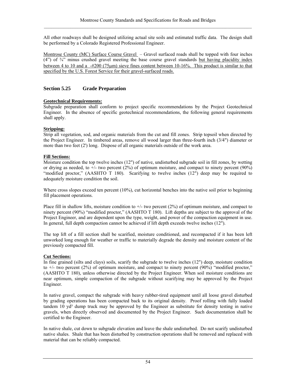All other roadways shall be designed utilizing actual site soils and estimated traffic data. The design shall be performed by a Colorado Registered Professional Engineer.

Montrose County (MC) Surface Course Gravel – Gravel surfaced roads shall be topped with four inches  $(4)$  of  $\frac{3}{4}$  minus crushed gravel meeting the base course gravel standards but having placidity index between 4 to 10 and a -#200 (75μm) sieve fines content between 10-16%. This product is similar to that specified by the U.S. Forest Service for their gravel-surfaced roads.

# **Section 5.25 Grade Preparation**

## **Geotechnical Requirements:**

Subgrade preparation shall conform to project specific recommendations by the Project Geotechnical Engineer. In the absence of specific geotechnical recommendations, the following general requirements shall apply.

# **Stripping:**

Strip all vegetation, sod, and organic materials from the cut and fill zones. Strip topsoil when directed by the Project Engineer. In timbered areas, remove all wood larger than three-fourth inch (3/4") diameter or more than two feet (2') long. Dispose of all organic materials outside of the work area.

# **Fill Sections:**

Moisture condition the top twelve inches (12") of native, undisturbed subgrade soil in fill zones, by wetting or drying as needed, to  $+/-$  two percent (2%) of optimum moisture, and compact to ninety percent (90%) "modified proctor," (AASHTO T 180). Scarifying to twelve inches (12") deep may be required to adequately moisture condition the soil.

Where cross slopes exceed ten percent  $(10\%)$ , cut horizontal benches into the native soil prior to beginning fill placement operations.

Place fill in shallow lifts, moisture condition to  $+/-$  two percent (2%) of optimum moisture, and compact to ninety percent (90%) "modified proctor," (AASHTO T 180). Lift depths are subject to the approval of the Project Engineer, and are dependent upon the type, weight, and power of the compaction equipment in use. In general, full depth compaction cannot be achieved if lift depth exceeds twelve inches (12").

The top lift of a fill section shall be scarified, moisture conditioned, and recompacted if it has been left unworked long enough for weather or traffic to materially degrade the density and moisture content of the previously compacted fill.

# **Cut Sections:**

In fine grained (silts and clays) soils, scarify the subgrade to twelve inches (12") deep, moisture condition to +/- two percent (2%) of optimum moisture, and compact to ninety percent (90%) "modified proctor," (AASHTO T 180), unless otherwise directed by the Project Engineer. When soil moisture conditions are near optimum, simple compaction of the subgrade without scarifying may be approved by the Project Engineer.

In native gravel, compact the subgrade with heavy rubber-tired equipment until all loose gravel disturbed by grading operations has been compacted back to its original density. Proof rolling with fully loaded tandem 10  $yd^3$  dump truck may be approved by the Engineer as substitute for density testing in native gravels, when directly observed and documented by the Project Engineer. Such documentation shall be certified to the Engineer.

In native shale, cut down to subgrade elevation and leave the shale undisturbed. Do not scarify undisturbed native shales. Shale that has been disturbed by construction operations shall be removed and replaced with material that can be reliably compacted.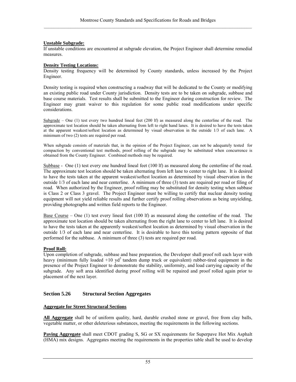# **Unstable Subgrade:**

If unstable conditions are encountered at subgrade elevation, the Project Engineer shall determine remedial measures.

#### **Density Testing Locations:**

Density testing frequency will be determined by County standards, unless increased by the Project Engineer.

Density testing is required when constructing a roadway that will be dedicated to the County or modifying an existing public road under County jurisdiction. Density tests are to be taken on subgrade, subbase and base course materials. Test results shall be submitted to the Engineer during construction for review. The Engineer may grant waiver to this regulation for some public road modifications under specific considerations.

Subgrade – One (1) test every two hundred lineal feet (200 lf) as measured along the centerline of the road. The approximate test location should be taken alternating from left to right hand lanes. It is desired to have the tests taken at the apparent weakest/softest location as determined by visual observation in the outside 1/3 of each lane. A minimum of two (2) tests are required per road.

When subgrade consists of materials that, in the opinion of the Project Engineer, can not be adequately tested for compaction by conventional test methods, proof rolling of the subgrade may be substituted when concurrence is obtained from the County Engineer. Combined methods may be required.

Subbase - One (1) test every one hundred lineal feet (100 lf) as measured along the centerline of the road. The approximate test location should be taken alternating from left lane to center to right lane. It is desired to have the tests taken at the apparent weakest/softest location as determined by visual observation in the outside 1/3 of each lane and near centerline. A minimum of three (3) tests are required per road or filing of road. When authorized by the Engineer, proof rolling may be substituted for density testing when subbase is Class 2 or Class 3 gravel. The Project Engineer must be willing to certify that nuclear density testing equipment will not yield reliable results and further certify proof rolling observations as being unyielding, providing photographs and written field reports to the Engineer.

Base Course – One (1) test every lineal feet (100 lf) as measured along the centerline of the road. The approximate test location should be taken alternating from the right lane to center to left lane. It is desired to have the tests taken at the apparently weakest/softest location as determined by visual observation in the outside 1/3 of each lane and near centerline. It is desirable to have this testing pattern opposite of that performed for the subbase. A minimum of three (3) tests are required per road.

#### **Proof Roll:**

Upon completion of subgrade, subbase and base preparation, the Developer shall proof roll each layer with heavy (minimum fully loaded  $+10$  yd<sup>3</sup> tandem dump truck or equivalent) rubber-tired equipment in the presence of the Project Engineer to demonstrate the stability, uniformity, and load carrying capacity of the subgrade. Any soft area identified during proof rolling will be repaired and proof rolled again prior to placement of the next layer.

# **Section 5.26 Structural Section Aggregates**

#### **Aggregate for Street Structural Sections**

**All Aggregate** shall be of uniform quality, hard, durable crushed stone or gravel, free from clay balls, vegetable matter, or other deleterious substances, meeting the requirements in the following sections.

**Paving Aggregate** shall meet CDOT grading S, SG or SX requirements for Superpave Hot Mix Asphalt (HMA) mix designs. Aggregates meeting the requirements in the properties table shall be used to develop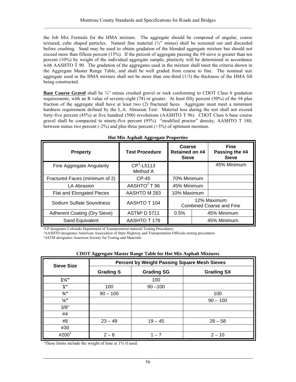the Job Mix Formula for the HMA mixture. The aggregate should be composed of angular, coarse textured, cube shaped particles. Natural fine material  $(\frac{3}{4})^n$  minus) shall be screened out and discarded before crushing. Sand may be used to obtain gradation of the blended aggregate mixture but should not exceed more than fifteen percent (15%). If the percent of aggregate passing the #4 sieve is greater than ten percent (10%) by weight of the individual aggregate sample, plasticity will be determined in accordance with AASHTO T 90. The gradation of the aggregates used in the mixture shall meet the criteria shown in the Aggregate Master Range Table, and shall be well graded from coarse to fine. The nominal size aggregate used in the HMA mixture shall not be more than one-third  $(1/3)$  the thickness of the HMA lift being constructed.

**Base Course Gravel** shall be <sup>3</sup>/4" minus crushed gravel or rock conforming to CDOT Class 6 gradation requirements, with an R value of seventy-eight (78) or greater. At least fifty percent (50%) of the #4 plus fraction of the aggregate shall have at least two (2) fractured faces. Aggregate must meet a minimum hardness requirement defined by the L.A. Abrasion Test: Material loss during the test shall not exceed forty-five percent (45%) at five hundred (500) revolutions (AASHTO T 96). CDOT Class 6 base course gravel shall be compacted to ninety-five percent (95%) "modified proctor" density, AASHTO T 180, between minus two percent  $(-2\%)$  and plus three percent  $(+3\%)$  of optimum moisture.

| <b>Property</b>                     | <b>Test Procedure</b>    | Coarse<br><b>Retained on #4</b><br><b>Sieve</b> |  |             |  | <b>Fine</b><br>Passing the #4<br><b>Sieve</b> |
|-------------------------------------|--------------------------|-------------------------------------------------|--|-------------|--|-----------------------------------------------|
| Fine Aggregate Angularity           | $CP1$ -L5113<br>Method A |                                                 |  | 45% Minimum |  |                                               |
| Fractured Faces (minimum of 2)      | $CP-45$                  | 70% Minimum                                     |  |             |  |                                               |
| <b>LA Abrasion</b>                  | AASHTO <sup>2</sup> T 96 | 45% Minimum                                     |  |             |  |                                               |
| Flat and Elongated Pieces           | AASHTO M 283             | 10% Maximum                                     |  |             |  |                                               |
| Sodium Sulfate Soundness            | AASHTO T 104             | 12% Maximum<br><b>Combined Coarse and Fine</b>  |  |             |  |                                               |
| <b>Adherent Coating (Dry Sieve)</b> | ASTM <sup>3</sup> D 5711 | 0.5%                                            |  | 45% Minimum |  |                                               |
| Sand Equivalent                     | AASHTO T 176             |                                                 |  | 45% Minimum |  |                                               |

|  | <b>Hot Mix Asphalt Aggregate Properties</b> |
|--|---------------------------------------------|
|  |                                             |

<sup>1</sup>CP designates Colorado Department of Transportation material Testing Procedures

²AASHTO designates American Association of State Highway and Transportation Officials testing procedures

³ASTM designates American Society for Testing and Materials

| <b>CDOT Aggregate Master Range Table for Hot Mix Asphalt Mixtures</b> |  |  |
|-----------------------------------------------------------------------|--|--|
|                                                                       |  |  |

| <b>Sieve Size</b> | <b>Percent by Weight Passing Square Mesh Sieves</b> |                   |                   |  |  |
|-------------------|-----------------------------------------------------|-------------------|-------------------|--|--|
|                   | <b>Grading S</b>                                    | <b>Grading SG</b> | <b>Grading SX</b> |  |  |
| $1\frac{1}{2}$    |                                                     | 100               |                   |  |  |
| 1"                | 100                                                 | $90 - 100$        |                   |  |  |
| $\frac{3}{4}$ "   | $90 - 100$                                          |                   | 100               |  |  |
| $\frac{1}{2}$ "   |                                                     |                   | $90 - 100$        |  |  |
| 3/8"              |                                                     |                   |                   |  |  |
| #4                |                                                     |                   |                   |  |  |
| #8                | $23 - 49$                                           | $19 - 45$         | $28 - 58$         |  |  |
| #30               |                                                     |                   |                   |  |  |
| #200 <sup>1</sup> | $2 - 8$                                             | $1 - 7$           | $2 - 10$          |  |  |

<sup>1</sup>These limits include the weight of lime at 1% if used.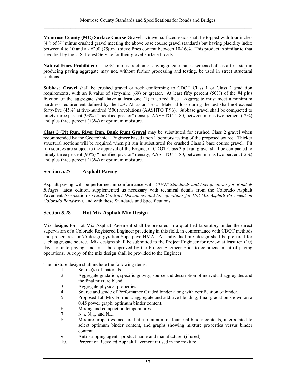**Montrose County (MC) Surface Course Gravel**. Gravel surfaced roads shall be topped with four inches  $(4)$  of  $\frac{3}{4}$  minus crushed gravel meeting the above base course gravel standards but having placidity index between 4 to 10 and a - #200 (75μm ) sieve fines content between 10-16%. This product is similar to that specified by the U.S. Forest Service for their gravel-surfaced roads.

**Natural Fines Prohibited:** The <sup>3</sup>/4" minus fraction of any aggregate that is screened off as a first step in producing paving aggregate may not, without further processing and testing, be used in street structural sections.

**Subbase Gravel** shall be crushed gravel or rock conforming to CDOT Class 1 or Class 2 gradation requirements, with an R value of sixty-nine (69) or greater. At least fifty percent (50%) of the #4 plus fraction of the aggregate shall have at least one (1) fractured face. Aggregate must meet a minimum hardness requirement defined by the L.A. Abrasion Test: Material loss during the test shall not exceed forty-five (45%) at five-hundred (500) revolutions (AASHTO T 96). Subbase gravel shall be compacted to ninety-three percent (93%) "modified proctor" density, AASHTO T 180, between minus two percent (-2%) and plus three percent  $(+3%)$  of optimum moisture.

**Class 3 (Pit Run, River Run, Bank Run) Gravel** may be substituted for crushed Class 2 gravel when recommended by the Geotechnical Engineer based upon laboratory testing of the proposed source. Thicker structural sections will be required when pit run is substituted for crushed Class 2 base course gravel. Pit run sources are subject to the approval of the Engineer. CDOT Class 3 pit run gravel shall be compacted to ninety-three percent (93%) "modified proctor" density, AASHTO T 180, between minus two percent (-2%) and plus three percent  $(+3%)$  of optimum moisture.

# **Section 5.27 Asphalt Paving**

Asphalt paving will be performed in conformance with *CDOT Standards and Specifications for Road & Bridges*, latest edition, supplemented as necessary with technical details from the Colorado Asphalt Pavement Association's *Guide Contract Documents and Specifications for Hot Mix Asphalt Pavement on Colorado Roadways*, and with these Standards and Specifications.

# **Section 5.28 Hot Mix Asphalt Mix Design**

Mix designs for Hot Mix Asphalt Pavement shall be prepared in a qualified laboratory under the direct supervision of a Colorado Registered Engineer practicing in this field, in conformance with CDOT methods and procedures for 75 design gyration Superpave HMA. An individual mix design shall be prepared for each aggregate source. Mix designs shall be submitted to the Project Engineer for review at least ten (10) days prior to paving, and must be approved by the Project Engineer prior to commencement of paving operations. A copy of the mix design shall be provided to the Engineer.

The mixture design shall include the following items:

- 1. Source(s) of materials.
- 2. Aggregate gradation, specific gravity, source and description of individual aggregates and the final mixture blend.
- 3. Aggregate physical properties.
- 4. Source and grade of Performance Graded binder along with certification of binder.<br>5. Proposed Job Mix Formula: aggregate and additive blending, final gradation show
- 5. Proposed Job Mix Formula: aggregate and additive blending, final gradation shown on a 0.45 power graph, optimum binder content.
- 6. Mixing and compaction temperatures.
- 7.  $N_{\text{ini}}$ ,  $N_{\text{des}}$ , and  $N_{\text{max}}$
- 8. Mixture properties measured at a minimum of four trial binder contents, interpolated to select optimum binder content, and graphs showing mixture properties versus binder content.
- 9. Anti-stripping agent product name and manufacturer (if used).
- 10. Percent of Recycled Asphalt Pavement if used in the mixture.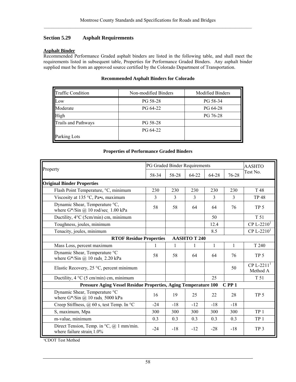## **Section 5.29 Asphalt Requirements**

#### **Asphalt Binder**

Recommended Performance Graded asphalt binders are listed in the following table, and shall meet the requirements listed in subsequent table, Properties for Performance Graded Binders. Any asphalt binder supplied must be from an approved source certified by the Colorado Department of Transportation.

#### **Recommended Asphalt Binders for Colorado**

| <b>Traffic Condition</b>   | Non-modified Binders | <b>Modified Binders</b> |
|----------------------------|----------------------|-------------------------|
| Low                        | PG 58-28             | PG 58-34                |
| Moderate                   | PG 64-22             | PG 64-28                |
| High                       |                      | PG 76-28                |
| <b>Trails and Pathways</b> | PG 58-28             |                         |
|                            | PG 64-22             |                         |
| Parking Lots               |                      |                         |

#### **Properties of Performance Graded Binders**

| Property                                                                                 | PG Graded Binder Requirements                                           |       |       |       | <b>AASHTO</b> |                                      |  |
|------------------------------------------------------------------------------------------|-------------------------------------------------------------------------|-------|-------|-------|---------------|--------------------------------------|--|
|                                                                                          | 58-34                                                                   | 58-28 | 64-22 | 64-28 | 76-28         | Test No.                             |  |
| <b>Original Binder Properties</b>                                                        |                                                                         |       |       |       |               |                                      |  |
| Flash Point Temperature, °C, minimum                                                     | 230                                                                     | 230   | 230   | 230   | 230           | T 48                                 |  |
| Viscosity at 135 °C, Pa•s, maximum                                                       | 3                                                                       | 3     | 3     | 3     | 3             | <b>TP 48</b>                         |  |
| Dynamic Shear, Temperature °C,<br>where $G^*$ /Sin $@$ 10 rod/sec 1.00 kPa               | 58                                                                      | 58    | 64    | 64    | 76            | TP <sub>5</sub>                      |  |
| Ductility, 4°C (5cm/min) cm, minimum                                                     |                                                                         |       |       | 50    |               | T 51                                 |  |
| Toughness, joules, minimum                                                               |                                                                         |       |       | 12.4  |               | CP L-22 $101$                        |  |
| Tenacity, joules, minimum                                                                |                                                                         |       |       | 8.5   |               | CP L-22 $101$                        |  |
| <b>AASHTOT 240</b><br><b>RTOF Residue Properties</b>                                     |                                                                         |       |       |       |               |                                      |  |
| Mass Loss, percent maximum                                                               | 1                                                                       | 1     |       | 1     | 1             | T 240                                |  |
| Dynamic Shear, Temperature °C<br>where $G^*$ /Sin $@$ 10 rads 2.20 kPa                   | 58                                                                      | 58    | 64    | 64    | 76            | TP <sub>5</sub>                      |  |
| Elastic Recovery, 25 °C, percent minimum                                                 |                                                                         |       |       |       | 50            | $CP L-2211$ <sup>1</sup><br>Method A |  |
| Ductility, $4 \degree C$ (5 cm/min) cm, minimum                                          |                                                                         |       |       | 25    |               | T 51                                 |  |
|                                                                                          | Pressure Aging Vessel Residue Properties, Aging Temperature 100<br>CPP1 |       |       |       |               |                                      |  |
| Dynamic Shear, Temperature °C<br>where $G^*$ /Sin $\omega$ 10 rads 5000 kPa              | 16                                                                      | 19    | 25    | 22    | 28            | TP <sub>5</sub>                      |  |
| Creep Stiffness, $\omega$ 60 s, test Temp. In °C                                         | $-24$                                                                   | $-18$ | $-12$ | $-18$ | $-18$         |                                      |  |
| S, maximum, Mpa                                                                          | 300                                                                     | 300   | 300   | 300   | 300           | TP <sub>1</sub>                      |  |
| m-value, minimum                                                                         | 0.3                                                                     | 0.3   | 0.3   | 0.3   | 0.3           | TP <sub>1</sub>                      |  |
| Direct Tension, Temp. in ${}^{\circ}C$ , $\omega$ 1 mm/min.<br>where failure strain 1.0% | $-24$                                                                   | $-18$ | $-12$ | $-28$ | $-18$         | TP <sub>3</sub>                      |  |

<sup>1</sup>CDOT Test Method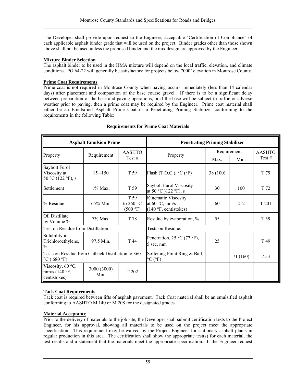The Developer shall provide upon request to the Engineer, acceptable "Certification of Compliance" of each applicable asphalt binder grade that will be used on the project. Binder grades other than those shown above shall not be used unless the proposed binder and the mix design are approved by the Engineer.

## **Mixture Binder Selection**

The asphalt binder to be used in the HMA mixture will depend on the local traffic, elevation, and climate conditions. PG 64-22 will generally be satisfactory for projects below 7000' elevation in Montrose County.

#### **Prime Coat Requirements**

Prime coat is not required in Montrose County when paving occurs immediately (less than 14 calendar days) after placement and compaction of the base course gravel. If there is to be a significant delay between preparation of the base and paving operations, or if the base will be subject to traffic or adverse weather prior to paving, then a prime coat may be required by the Engineer. Prime coat material shall either be an Emulsified Asphalt Prime Coat or a Penetrating Priming Stabilizer conforming to the requirements in the following Table:

| <b>Asphalt Emulsion Prime</b>                                                                  |                                     |                                                  | <b>Penetrating Priming Stabilizer</b>                                            |             |          |               |
|------------------------------------------------------------------------------------------------|-------------------------------------|--------------------------------------------------|----------------------------------------------------------------------------------|-------------|----------|---------------|
|                                                                                                |                                     | <b>AASHTO</b>                                    |                                                                                  | Requirement |          | <b>AASHTO</b> |
| Property                                                                                       | Requirement<br>Property<br>Test $#$ |                                                  | Min.<br>Max.                                                                     |             | Test $#$ |               |
| Saybolt Furol<br>Viscosity at<br>50 °C (122 °F), s                                             | $15 - 150$                          | T 59                                             | Flash (T.O.C.). $^{\circ}$ C ( $^{\circ}$ F)                                     | 38 (100)    |          | T 79          |
| Settlement                                                                                     | $1\%$ Max.                          | T 59                                             | Saybolt Furol Viscosity<br>at 50 °C )122 °F), s                                  | 30          | 100      | T 72          |
| % Residue                                                                                      | 65% Min.                            | T 59<br>to 260 $\degree$ C<br>$(500 \text{ °F})$ | Kinematic Viscosity<br>at $60^{\circ}$ C, mm/s<br>$(140 \degree F,$ centistokes) | 60          | 212      | T 201         |
| Oil Distillate<br>by Volume %                                                                  | 7% Max.                             | T 78                                             | Residue by evaporation, %                                                        | 55          |          | T 59          |
| Test on Residue from Distillation:                                                             |                                     |                                                  | Tests on Residue:                                                                |             |          |               |
| Solubility in<br>Trichloroethylene,<br>$\%$                                                    | 97.5 Min.                           | T 44                                             | Penetration, $25 \text{ °C}$ (77 °F),<br>5 sec, mm                               | 25          |          | T 49          |
| Tests on Residue from Cutback Distillation to 360<br>$\rm{^{\circ}C}$ (680 $\rm{^{\circ}F})$ : |                                     |                                                  | Softening Point Ring & Ball,<br>$\rm{^{\circ}C}$ ( $\rm{^{\circ}F}$ )            |             | 71 (160) | 753           |
| Viscosity, 60 $\degree$ C,<br>mm/s $(140 \degree F,$<br>centistokes)                           | 3000 (3000)<br>Min.                 | T 202                                            |                                                                                  |             |          |               |

# **Requirements for Prime Coat Materials**

#### **Tack Coat Requirements**

Tack coat is required between lifts of asphalt pavement. Tack Coat material shall be an emulsified asphalt conforming to AASHTO M 140 or M 208 for the designated grades.

#### **Material Acceptance**

Prior to the delivery of materials to the job site, the Developer shall submit certification tests to the Project Engineer, for his approval, showing all materials to be used on the project meet the appropriate specification. This requirement may be waived by the Project Engineer for stationary asphalt plants in regular production in this area. The certification shall show the appropriate test(s) for each material, the test results and a statement that the materials meet the appropriate specification. If the Engineer request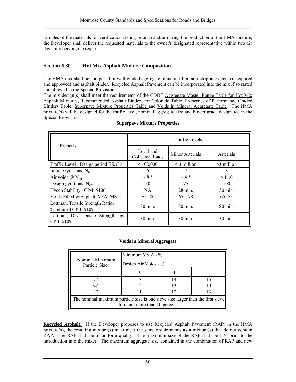samples of the materials for verification testing prior to and/or during the production of the HMA mixture, the Developer shall deliver the requested materials to the owner's designated representative within two (2) days of receiving the request.

# **Section 5.30 Hot Mix Asphalt Mixture Composition**

The HMA mix shall be composed of well-graded aggregate, mineral filler, anti-stripping agent (if required and approved) and asphalt binder. Recycled Asphalt Pavement can be incorporated into the mix if so stated and allowed in the Special Provision.

The mix design(s) shall meet the requirements of the CDOT Aggregate Master Range Table for Hot Mix Asphalt Mixtures, Recommended Asphalt Binders for Colorado Table, Properties of Performance Graded Binders Table, Superpave Mixture Properties Table and Voids in Mineral Aggregate Table. The HMA mixture(s) will be designed for the traffic level, nominal aggregate size and binder grade designated in the Special Provisions.

|                                                          | <b>Traffic Levels</b>        |                    |              |  |  |
|----------------------------------------------------------|------------------------------|--------------------|--------------|--|--|
| <b>Test Property</b>                                     | Local and<br>Collector Roads | Minor Arterials    | Arterials    |  |  |
| Traffic Level - Design period ESALs                      | < 100,000                    | $\leq$ 3 million   | $>3$ million |  |  |
| Initial Gyrations, N <sub>ini</sub>                      | 6                            |                    | 8            |  |  |
| Air voids $(\hat{a})$ N <sub>ini</sub>                   | > 8.5                        | > 9.5              | >11.0        |  |  |
| Design gyrations, $N_{des}$                              | 50                           | 75                 | 100          |  |  |
| Hveen Stability, CP-L 5106                               | NA.                          | $28 \text{ min}$ . | 30 min.      |  |  |
| Voids Filled w/Asphalt, VFA, MS-2                        | $70 - 80$                    | $65 - 78$          | $65 - 75$    |  |  |
| Lottman, Tensile Strength Ratio,<br>% retained CP-L 5109 | 80 min.                      | 80 min.            | 80 min.      |  |  |
| Lottman, Dry Tensile Strength, psi,<br>CP-L 5109         | 30 min.                      | 30 min.            | 30 min.      |  |  |

#### **Superpave Mixture Properties**

#### **Voids in Mineral Aggregate**

| Nominal Maximum                                                                                                                | Minimum VMA - %      |    |    |  |  |
|--------------------------------------------------------------------------------------------------------------------------------|----------------------|----|----|--|--|
| Particle Size <sup>1</sup>                                                                                                     | Design Air Voids - % |    |    |  |  |
|                                                                                                                                |                      |    |    |  |  |
| $\frac{1}{2}$ "                                                                                                                |                      |    |    |  |  |
| $\frac{3}{4}$ "                                                                                                                |                      |    | 14 |  |  |
| 1 !!                                                                                                                           |                      | 12 | 13 |  |  |
| <sup>1</sup> The nominal maximum particle size is one sieve size larger than the first sieve<br>to retain more than 10 percent |                      |    |    |  |  |

**Recycled Asphalt:** If the Developer proposes to use Recycled Asphalt Pavement (RAP) in the HMA mixture(s), the resulting mixture(s) must meet the same requirements as a mixture(s) that do not contain RAP. The RAP shall be of uniform quality. The maximum size of the RAP shall be  $1\frac{1}{2}$ " prior to the introduction into the mixer. The maximum aggregate size contained in the combination of RAP and new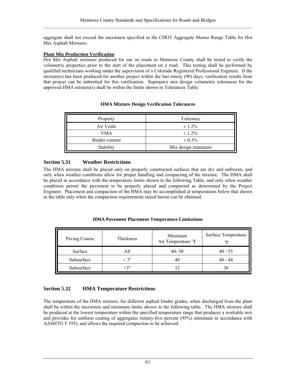aggregate shall not exceed the maximum specified in the CDOT Aggregate Master Range Table for Hot Mix Asphalt Mixtures.

## **Plant Mix Production Verification**

Hot Mix Asphalt mixtures produced for use on roads in Montrose County shall be tested to verify the volumetric properties prior to the start of the placement on a road. This testing shall be performed by qualified technicians working under the supervision of a Colorado Registered Professional Engineer. If the mixture(s) has been produced for another project within the last ninety (90) days, verification results from that project can be submitted for this verification. Superpave mix design volumetric tolerances for the approved HMA mixture(s) shall be within the limits shown in Tolerances Table:

| Property       | Tolerance          |
|----------------|--------------------|
| Air Voids      | $\pm 1.2\%$        |
| VMA            | $\pm 1.2\%$        |
| Binder content | $\pm 0.3\%$        |
| Stability      | Mix design minimum |

## **HMA Mixture Design Verification Tolerances**

# **Section 5.31 Weather Restrictions**

The HMA mixture shall be placed only on properly constructed surfaces that are dry and unfrozen, and only when weather conditions allow for proper handling and compacting of the mixture. The HMA shall be placed in accordance with the temperature limits shown in the following Table, and only when weather conditions permit the pavement to be properly placed and compacted as determined by the Project Engineer. Placement and compaction of the HMA may be accomplished at temperatures below that shown in the table only when the compaction requirements stated herein can be obtained.

### **HMA Pavement Placement Temperature Limitations**

| Paving Course | Thickness | Minimum<br>Air Temperature °F | Surface Temperature<br>$^{\circ}$ F |
|---------------|-----------|-------------------------------|-------------------------------------|
| Surface       |           | $40 - 50$                     | $40 - 55$                           |
| Subsurface    | $<$ 3"    | 40                            | $40 - 44$                           |
| Subsurface    | >3"       | 32                            |                                     |

# **Section 5.32 HMA Temperature Restrictions**

The temperature of the HMA mixture, for different asphalt binder grades, when discharged from the plant shall be within the maximum and minimum limits shown in the following table. The HMA mixture shall be produced at the lowest temperature within the specified temperature range that produces a workable mix and provides for uniform coating of aggregates (ninety-five percent (95%) minimum in accordance with AASHTO T 195), and allows the required compaction to be achieved.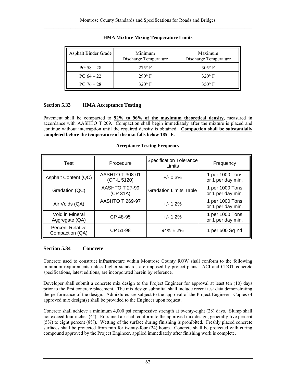| Asphalt Binder Grade | Minimum<br>Discharge Temperature | Maximum<br>Discharge Temperature |
|----------------------|----------------------------------|----------------------------------|
| $PG 58 - 28$         | $275^\circ$ F                    | $305^\circ$ F                    |
| $PG 64 - 22$         | $290^\circ$ F                    | $320^\circ$ F                    |
| $PG 76 - 28$         | $320^\circ$ F                    | $350^\circ$ F                    |

## **HMA Mixture Mixing Temperature Limits**

# **Section 5.33 HMA Acceptance Testing**

Pavement shall be compacted to **92% to 96% of the maximum theoretical density**, measured in accordance with AASHTO T 209. Compaction shall begin immediately after the mixture is placed and continue without interruption until the required density is obtained. **Compaction shall be substantially completed before the temperature of the mat falls below 185° F.**

### **Acceptance Testing Frequency**

| Test                                       | Procedure                             | <b>Specification Tolerance</b><br>Limits | Frequency                            |
|--------------------------------------------|---------------------------------------|------------------------------------------|--------------------------------------|
| Asphalt Content (QC)                       | <b>AASHTO T 308-01</b><br>(CP-L 5120) | $+/- 0.3%$                               | 1 per 1000 Tons<br>or 1 per day min. |
| Gradation (QC)                             | <b>AASHTO T 27-99</b><br>(CP 31A)     | <b>Gradation Limits Table</b>            | 1 per 1000 Tons<br>or 1 per day min. |
| Air Voids (QA)                             | <b>AASHTO T 269-97</b>                | $+/- 1.2%$                               | 1 per 1000 Tons<br>or 1 per day min. |
| Void in Mineral<br>Aggregate (QA)          | CP 48-95                              | $+/- 1.2%$                               | 1 per 1000 Tons<br>or 1 per day min. |
| <b>Percent Relative</b><br>Compaction (QA) | CP 51-98                              | $94\% \pm 2\%$                           | 1 per 500 Sq Yd                      |

### **Section 5.34 Concrete**

Concrete used to construct infrastructure within Montrose County ROW shall conform to the following minimum requirements unless higher standards are imposed by project plans. ACI and CDOT concrete specifications, latest editions, are incorporated herein by reference.

Developer shall submit a concrete mix design to the Project Engineer for approval at least ten (10) days prior to the first concrete placement. The mix design submittal shall include recent test data demonstrating the performance of the design. Admixtures are subject to the approval of the Project Engineer. Copies of approved mix design(s) shall be provided to the Engineer upon request.

Concrete shall achieve a minimum 4,000 psi compressive strength at twenty-eight (28) days. Slump shall not exceed four inches (4"). Entrained air shall conform to the approved mix design, generally five percent (5%) to eight percent (8%). Wetting of the surface during finishing is prohibited. Freshly placed concrete surfaces shall be protected from rain for twenty-four (24) hours. Concrete shall be protected with curing compound approved by the Project Engineer, applied immediately after finishing work is complete.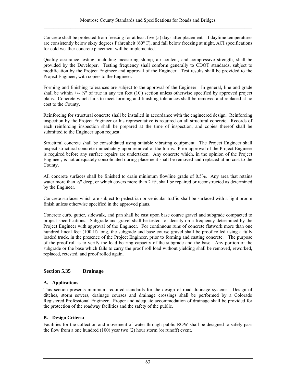Concrete shall be protected from freezing for at least five (5) days after placement. If daytime temperatures are consistently below sixty degrees Fahrenheit (60° F), and fall below freezing at night, ACI specifications for cold weather concrete placement will be implemented.

Quality assurance testing, including measuring slump, air content, and compressive strength, shall be provided by the Developer. Testing frequency shall conform generally to CDOT standards, subject to modification by the Project Engineer and approval of the Engineer. Test results shall be provided to the Project Engineer, with copies to the Engineer.

Forming and finishing tolerances are subject to the approval of the Engineer. In general, line and grade shall be within  $+/-\frac{1}{4}$  of true in any ten foot (10') section unless otherwise specified by approved project plans. Concrete which fails to meet forming and finishing tolerances shall be removed and replaced at no cost to the County.

Reinforcing for structural concrete shall be installed in accordance with the engineered design. Reinforcing inspection by the Project Engineer or his representative is required on all structural concrete. Records of each reinforcing inspection shall be prepared at the time of inspection, and copies thereof shall be submitted to the Engineer upon request.

Structural concrete shall be consolidated using suitable vibrating equipment. The Project Engineer shall inspect structural concrete immediately upon removal of the forms. Prior approval of the Project Engineer is required before any surface repairs are undertaken. Any concrete which, in the opinion of the Project Engineer, is not adequately consolidated during placement shall be removed and replaced at no cost to the County.

All concrete surfaces shall be finished to drain minimum flowline grade of 0.5%. Any area that retains water more than  $\frac{1}{2}$ " deep, or which covers more than 2 ft<sup>2</sup>, shall be repaired or reconstructed as determined by the Engineer.

Concrete surfaces which are subject to pedestrian or vehicular traffic shall be surfaced with a light broom finish unless otherwise specified in the approved plans.

Concrete curb, gutter, sidewalk, and pan shall be cast upon base course gravel and subgrade compacted to project specifications. Subgrade and gravel shall be tested for density on a frequency determined by the Project Engineer with approval of the Engineer. For continuous runs of concrete flatwork more than one hundred lineal feet (100 lf) long, the subgrade and base course gravel shall be proof rolled using a fully loaded truck, in the presence of the Project Engineer, prior to forming and casting concrete. The purpose of the proof roll is to verify the load bearing capacity of the subgrade and the base. Any portion of the subgrade or the base which fails to carry the proof roll load without yielding shall be removed, reworked, replaced, retested, and proof rolled again.

# **Section 5.35 Drainage**

# **A. Applications**

This section presents minimum required standards for the design of road drainage systems. Design of ditches, storm sewers, drainage courses and drainage crossings shall be performed by a Colorado Registered Professional Engineer. Proper and adequate accommodation of drainage shall be provided for the protection of the roadway facilities and the safety of the public.

# **B. Design Criteria**

Facilities for the collection and movement of water through public ROW shall be designed to safely pass the flow from a one hundred (100) year two (2) hour storm (or runoff) event.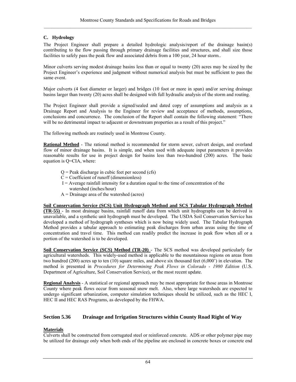# **C. Hydrology**

The Project Engineer shall prepare a detailed hydrologic analysis/report of the drainage basin(s) contributing to the flow passing through primary drainage facilities and structures, and shall size those facilities to safely pass the peak flow and associated debris from a 100 year, 24 hour storm..

Minor culverts serving modest drainage basins less than or equal to twenty (20) acres may be sized by the Project Engineer's experience and judgment without numerical analysis but must be sufficient to pass the same event.

Major culverts (4 foot diameter or larger) and bridges (10 foot or more in span) and/or serving drainage basins larger than twenty (20) acres shall be designed with full hydraulic analysis of the storm and routing.

The Project Engineer shall provide a signed/sealed and dated copy of assumptions and analysis as a Drainage Report and Analysis to the Engineer for review and acceptance of methods, assumptions, conclusions and concurrence. The conclusion of the Report shall contain the following statement: "There will be no detrimental impact to adjacent or downstream properties as a result of this project."

The following methods are routinely used in Montrose County.

**Rational Method** - The rational method is recommended for storm sewer, culvert design, and overland flow of minor drainage basins. It is simple, and when used with adequate input parameters it provides reasonable results for use in project design for basins less than two-hundred (200) acres. The basic equation is Q=CIA, where:

- $Q =$  Peak discharge in cubic feet per second (cfs)
- $C = Coefficient of runoff (dimensionless)$
- $I =$  Average rainfall intensity for a duration equal to the time of concentration of the watershed (inches/hour)
- A = Drainage area of the watershed (acres)

### **Soil Conservation Service (SCS) Unit Hydrograph Method and SCS Tabular Hydrograph Method**

**(TR-55)** - In most drainage basins, rainfall runoff data from which unit hydrographs can be derived is unavailable, and a synthetic unit hydrograph must be developed. The USDA Soil Conservation Service has developed a method of hydrograph syntheses which is now being widely used. The Tabular Hydrograph Method provides a tabular approach to estimating peak discharges from urban areas using the time of concentration and travel time. This method can readily predict the increase in peak flow when all or a portion of the watershed is to be developed.

**Soil Conservation Service (SCS) Method (TR-20)** - The SCS method was developed particularly for agricultural watersheds. This widely-used method is applicable to the mountainous regions on areas from two hundred (200) acres up to ten (10) square miles, and above six thousand feet (6,000') in elevation. The method is presented in *Procedures for Determining Peak Flows in Colorado - 1980 Edition* (U.S. Department of Agriculture, Soil Conservation Service), or the most recent update.

**Regional Analysis** - A statistical or regional approach may be most appropriate for those areas in Montrose County where peak flows occur from seasonal snow melt. Also, where large watersheds are expected to undergo significant urbanization, computer simulation techniques should be utilized, such as the HEC I, HEC II and HEC RAS Programs, as developed by the FHWA.

# **Section 5.36 Drainage and Irrigation Structures within County Road Right of Way**

### **Materials**

Culverts shall be constructed from corrugated steel or reinforced concrete. ADS or other polymer pipe may be utilized for drainage only when both ends of the pipeline are enclosed in concrete boxes or concrete end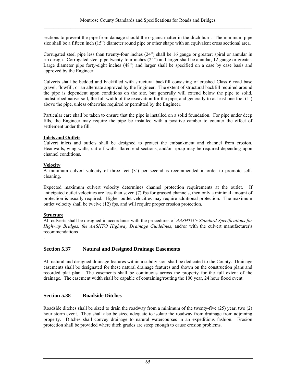sections to prevent the pipe from damage should the organic matter in the ditch burn. The minimum pipe size shall be a fifteen inch (15") diameter round pipe or other shape with an equivalent cross sectional area.

Corrugated steel pipe less than twenty-four inches (24") shall be 16 gauge or greater; spiral or annular in rib design. Corrugated steel pipe twenty-four inches (24") and larger shall be annular, 12 gauge or greater. Large diameter pipe forty-eight inches (48") and larger shall be specified on a case by case basis and approved by the Engineer.

Culverts shall be bedded and backfilled with structural backfill consisting of crushed Class 6 road base gravel, flowfill, or an alternate approved by the Engineer. The extent of structural backfill required around the pipe is dependent upon conditions on the site, but generally will extend below the pipe to solid, undisturbed native soil, the full width of the excavation for the pipe, and generally to at least one foot (1') above the pipe, unless otherwise required or permitted by the Engineer.

Particular care shall be taken to ensure that the pipe is installed on a solid foundation. For pipe under deep fills, the Engineer may require the pipe be installed with a positive camber to counter the effect of settlement under the fill.

## **Inlets and Outlets**

Culvert inlets and outlets shall be designed to protect the embankment and channel from erosion. Headwalls, wing walls, cut off walls, flared end sections, and/or riprap may be required depending upon channel conditions.

# **Velocity**

A minimum culvert velocity of three feet (3') per second is recommended in order to promote selfcleaning.

Expected maximum culvert velocity determines channel protection requirements at the outlet. If anticipated outlet velocities are less than seven (7) fps for grassed channels, then only a minimal amount of protection is usually required. Higher outlet velocities may require additional protection. The maximum outlet velocity shall be twelve (12) fps, and will require proper erosion protection.

# **Structure**

All culverts shall be designed in accordance with the procedures of *AASHTO's Standard Specifications for Highway Bridges, the AASHTO Highway Drainage Guidelines*, and/or with the culvert manufacturer's recommendations .

# **Section 5.37 Natural and Designed Drainage Easements**

All natural and designed drainage features within a subdivision shall be dedicated to the County. Drainage easements shall be designated for these natural drainage features and shown on the construction plans and recorded plat plan. The easements shall be continuous across the property for the full extent of the drainage. The easement width shall be capable of containing/routing the 100 year, 24 hour flood event.

# **Section 5.38 Roadside Ditches**

Roadside ditches shall be sized to drain the roadway from a minimum of the twenty-five (25) year, two (2) hour storm event. They shall also be sized adequate to isolate the roadway from drainage from adjoining property. Ditches shall convey drainage to natural watercourses in an expeditious fashion. Erosion protection shall be provided where ditch grades are steep enough to cause erosion problems.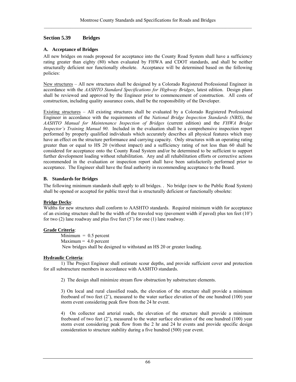## **Section 5.39 Bridges**

## **A. Acceptance of Bridges**

All new bridges on roads proposed for acceptance into the County Road System shall have a sufficiency rating greater than eighty (80) when evaluated by FHWA and CDOT standards, and shall be neither structurally deficient nor functionally obsolete. Acceptance will be determined based on the following policies:

New structures – All new structures shall be designed by a Colorado Registered Professional Engineer in accordance with the *AASHTO Standard Specifications for Highway Bridges*, latest edition. Design plans shall be reviewed and approved by the Engineer prior to commencement of construction. All costs of construction, including quality assurance costs, shall be the responsibility of the Developer.

Existing structures – All existing structures shall be evaluated by a Colorado Registered Professional Engineer in accordance with the requirements of the *National Bridge Inspection Standards (NBIS)*, the *AASHTO Manual for Maintenance Inspection of Bridges* (current edition) and the *FHWA Bridge Inspector's Training Manual 90*. Included in the evaluation shall be a comprehensive inspection report performed by properly qualified individuals which accurately describes all physical features which may have an effect on the structure performance and carrying capacity. Only structures with an operating rating greater than or equal to HS 20 (without impact) and a sufficiency rating of not less than 60 shall be considered for acceptance onto the County Road System and/or be determined to be sufficient to support further development loading without rehabilitation. Any and all rehabilitation efforts or corrective actions recommended in the evaluation or inspection report shall have been satisfactorily performed prior to acceptance. The Engineer shall have the final authority in recommending acceptance to the Board.

## **B. Standards for Bridges**

The following minimum standards shall apply to all bridges. . No bridge (new to the Public Road System) shall be opened or accepted for public travel that is structurally deficient or functionally obsolete:

# **Bridge Decks**:

Widths for new structures shall conform to AASHTO standards. Required minimum width for acceptance of an existing structure shall be the width of the traveled way (pavement width if paved) plus ten feet (10') for two  $(2)$  lane roadway and plus five feet  $(5')$  for one  $(1)$  lane roadway.

# **Grade Criteria**:

 $Minimum = 0.5$  percent  $Maximum = 4.0 percent$ New bridges shall be designed to withstand an HS 20 or greater loading.

# **Hydraulic Criteria**:

1) The Project Engineer shall estimate scour depths, and provide sufficient cover and protection for all substructure members in accordance with AASHTO standards.

2) The design shall minimize stream flow obstruction by substructure elements.

3) On local and rural classified roads, the elevation of the structure shall provide a minimum freeboard of two feet  $(2)$ , measured to the water surface elevation of the one hundred  $(100)$  year storm event considering peak flow from the 24 hr event.

4) On collector and arterial roads, the elevation of the structure shall provide a minimum freeboard of two feet (2'), measured to the water surface elevation of the one hundred (100) year storm event considering peak flow from the 2 hr and 24 hr events and provide specific design consideration to structure stability during a five hundred (500) year event.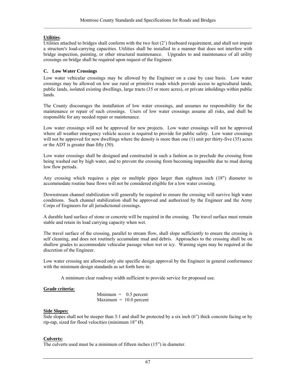### **Utilities**:

Utilities attached to bridges shall conform with the two feet (2') freeboard requirement, and shall not impair a structure's load-carrying capacities. Utilities shall be installed in a manner that does not interfere with bridge inspection, painting, or other structural maintenance. Upgrades to and maintenance of all utility crossings on bridge shall be required upon request of the Engineer.

#### **C. Low Water Crossings**

Low water vehicular crossings may be allowed by the Engineer on a case by case basis. Low water crossings may be allowed on low use rural or primitive roads which provide access to agricultural lands, public lands, isolated existing dwellings, large tracts (35 or more acres), or private inholdings within public lands.

The County discourages the installation of low water crossings, and assumes no responsibility for the maintenance or repair of such crossings. Users of low water crossings assume all risks, and shall be responsible for any needed repair or maintenance.

Low water crossings will not be approved for new projects. Low water crossings will not be approved where all weather emergency vehicle access is required to provide for public safety. Low water crossings will not be approved for new dwellings where the density is more than one (1) unit per thirty-five (35) acres or the ADT is greater than fifty (50).

Low water crossings shall be designed and constructed in such a fashion as to preclude the crossing from being washed out by high water, and to prevent the crossing from becoming impassible due to mud during low flow periods.

Any crossing which requires a pipe or multiple pipes larger than eighteen inch (18") diameter to accommodate routine base flows will not be considered eligible for a low water crossing.

Downstream channel stabilization will generally be required to ensure the crossing will survive high water conditions. Such channel stabilization shall be approved and authorized by the Engineer and the Army Corps of Engineers for all jurisdictional crossings.

A durable hard surface of stone or concrete will be required in the crossing. The travel surface must remain stable and retain its load carrying capacity when wet.

The travel surface of the crossing, parallel to stream flow, shall slope sufficiently to ensure the crossing is self cleaning, and does not routinely accumulate mud and debris. Approaches to the crossing shall be on shallow grades to accommodate vehicular passage when wet or icy. Warning signs may be required at the discretion of the Engineer.

Low water crossing are allowed only site specific design approval by the Engineer in general conformance with the minimum design standards as set forth here in:

A minimum clear roadway width sufficient to provide service for proposed use.

### **Grade criteria:**

 $Minimum = 0.5$  percent  $Maximum = 10.0 percent$ 

#### **Side Slopes:**

Side slopes shall not be steeper than 3:1 and shall be protected by a six inch (6") thick concrete facing or by rip-rap, sized for flood velocities (minimum 18" Ø).

#### **Culverts:**

The culverts used must be a minimum of fifteen inches (15") in diameter.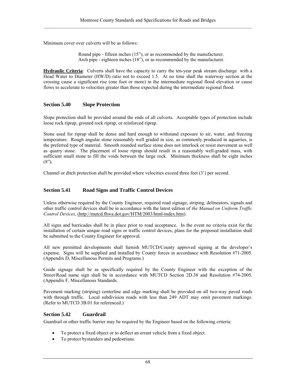Minimum cover over culverts will be as follows:

Round pipe - fifteen inches (15"), or as recommended by the manufacturer. Arch pipe - eighteen inches (18"), or as recommended by the manufacturer.

**Hydraulic Criteria**: Culverts shall have the capacity to carry the ten-year peak stream discharge with a Head Water to Diameter (HW/D) ratio not to exceed 1.5. At no time shall the waterway section at the crossing cause a significant rise (one foot or more) in the intermediate regional flood elevation or cause flows to accelerate to velocities greater than those expected during the intermediate regional flood.

### **Section 5.40 Slope Protection**

Slope protection shall be provided around the ends of all culverts. Acceptable types of protection include loose rock riprap, grouted rock riprap, or reinforced riprap.

Stone used for riprap shall be dense and hard enough to withstand exposure to air, water, and freezing temperature. Rough angular stone reasonably well graded in size, as commonly produced in aquarries, is the preferred type of material. Smooth rounded surface stone does not interlock or resist movement as well as quarry stone. The placement of loose riprap should result in a reasonably well-graded mass, with sufficient small stone to fill the voids between the large rock. Minimum thickness shall be eight inches  $(8")$ .

Channel or ditch protection shall be provided where velocities exceed three feet (3') per second.

### **Section 5.41 Road Signs and Traffic Control Devices**

Unless otherwise required by the County Engineer, required road signage, striping, delineators, signals and other traffic control devices shall be in accordance with the latest edition of *the Manual on Uniform Traffic Control Devices*, (http://mutcd.fhwa.dot.gov/HTM/2003/html-index.htm).

All signs and barricades shall be in place prior to road acceptance. In the event no criteria exist for the installation of certain unique road signs or traffic control devices, plans for the proposed installation shall be submitted to the County Engineer for approval.

All new permitted developments shall furnish MUTCD/County approved signing at the developer's expense. Signs will be supplied and installed by County forces in accordance with Resolution #71-2005. (Appendix D, Miscellanous Permits and Programs.)

Guide signage shall be as specifically required by the County Engineer with the exception of the Street/Road name sign shall be in accordance with MUTCD Section 2D.38 and Resolution #74-2005. (Appendix F, Miscellanous Standards.

Pavement marking (striping) centerline and edge marking shall be provided on all two-way paved roads with through traffic. Local subdivision roads with less than 249 ADT may omit pavement markings. (Refer to MUTCD 3B.01 for referenced.)

### **Section 5.42 Guardrail**

.

Guardrail or other traffic barrier may be required by the Engineer based on the following criteria:

- To protect a fixed object or to deflect an errant vehicle from a fixed object.
- To protect bystanders and pedestrians.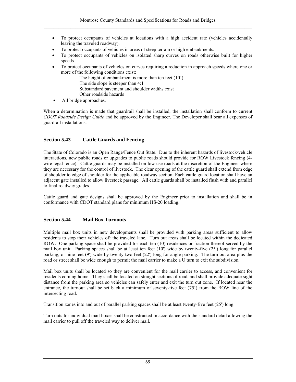- To protect occupants of vehicles at locations with a high accident rate (vehicles accidentally leaving the traveled roadway).
- To protect occupants of vehicles in areas of steep terrain or high embankments.
- To protect occupants of vehicles on isolated sharp curves on roads otherwise built for higher speeds.
- To protect occupants of vehicles on curves requiring a reduction in approach speeds where one or more of the following conditions exist:

The height of embankment is more than ten feet (10')

The side slope is steeper than 4:1

Substandard pavement and shoulder widths exist

- Other roadside hazards
- All bridge approaches.

When a determination is made that guardrail shall be installed, the installation shall conform to current *CDOT Roadside Design Guide* and be approved by the Engineer. The Developer shall bear all expenses of guardrail installations.

# **Section 5.43 Cattle Guards and Fencing**

The State of Colorado is an Open Range/Fence Out State. Due to the inherent hazards of livestock/vehicle interactions, new public roads or upgrades to public roads should provide for ROW Livestock fencing (4 wire legal fence). Cattle guards may be installed on low use roads at the discretion of the Engineer where they are necessary for the control of livestock. The clear opening of the cattle guard shall extend from edge of shoulder to edge of shoulder for the applicable roadway section. Each cattle guard location shall have an adjacent gate installed to allow livestock passage. All cattle guards shall be installed flush with and parallel to final roadway grades.

Cattle guard and gate designs shall be approved by the Engineer prior to installation and shall be in conformance with CDOT standard plans for minimum HS-20 loading.

# **Section 5.44 Mail Box Turnouts**

Multiple mail box units in new developments shall be provided with parking areas sufficient to allow residents to stop their vehicles off the traveled lane. Turn out areas shall be located within the dedicated ROW. One parking space shall be provided for each ten (10) residences or fraction thereof served by the mail box unit. Parking spaces shall be at least ten feet (10') wide by twenty-five (25') long for parallel parking, or nine feet (9') wide by twenty-two feet (22') long for angle parking. The turn out area plus the road or street shall be wide enough to permit the mail carrier to make a U turn to exit the subdivision.

Mail box units shall be located so they are convenient for the mail carrier to access, and convenient for residents coming home. They shall be located on straight sections of road, and shall provide adequate sight distance from the parking area so vehicles can safely enter and exit the turn out zone. If located near the entrance, the turnout shall be set back a minimum of seventy-five feet (75') from the ROW line of the intersecting road.

Transition zones into and out of parallel parking spaces shall be at least twenty-five feet (25') long.

Turn outs for individual mail boxes shall be constructed in accordance with the standard detail allowing the mail carrier to pull off the traveled way to deliver mail.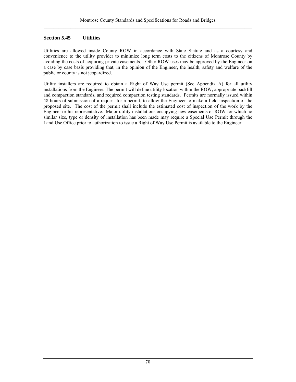# **Section 5.45 Utilities**

Utilities are allowed inside County ROW in accordance with State Statute and as a courtesy and convenience to the utility provider to minimize long term costs to the citizens of Montrose County by avoiding the costs of acquiring private easements. Other ROW uses may be approved by the Engineer on a case by case basis providing that, in the opinion of the Engineer, the health, safety and welfare of the public or county is not jeopardized.

Utility installers are required to obtain a Right of Way Use permit (See Appendix A) for all utility installations from the Engineer. The permit will define utility location within the ROW, appropriate backfill and compaction standards, and required compaction testing standards. Permits are normally issued within 48 hours of submission of a request for a permit, to allow the Engineer to make a field inspection of the proposed site. The cost of the permit shall include the estimated cost of inspection of the work by the Engineer or his representative. Major utility installations occupying new easements or ROW for which no similar size, type or density of installation has been made may require a Special Use Permit through the Land Use Office prior to authorization to issue a Right of Way Use Permit is available to the Engineer.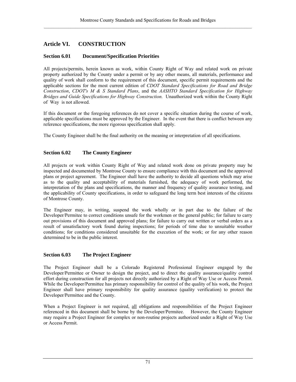# **Article VI. CONSTRUCTION**

# **Section 6.01 Document/Specification Priorities**

All projects/permits, herein known as work, within County Right of Way and related work on private property authorized by the County under a permit or by any other means, all materials, performance and quality of work shall conform to the requirement of this document, specific permit requirements and the applicable sections for the most current edition of *CDOT Standard Specifications for Road and Bridge Construction*, *CDOT's M & S Standard Plans*, and the *AASHTO Standard Specification for Highway Bridges and Guide Specifications for Highway Construction.* Unauthorized work within the County Right of Way is not allowed.

If this document or the foregoing references do not cover a specific situation during the course of work, applicable specifications must be approved by the Engineer. In the event that there is conflict between any reference specifications, the more rigorous specification shall apply.

The County Engineer shall be the final authority on the meaning or interpretation of all specifications.

# **Section 6.02 The County Engineer**

All projects or work within County Right of Way and related work done on private property may be inspected and documented by Montrose County to ensure compliance with this document and the approved plans or project agreement. The Engineer shall have the authority to decide all questions which may arise as to the quality and acceptability of materials furnished, the adequacy of work performed, the interpretation of the plans and specifications, the manner and frequency of quality assurance testing, and the applicability of County specifications, in order to safeguard the long term best interests of the citizens of Montrose County.

The Engineer may, in writing, suspend the work wholly or in part due to the failure of the Developer/Permitee to correct conditions unsafe for the workmen or the general public; for failure to carry out provisions of this document and approved plans; for failure to carry out written or verbal orders as a result of unsatisfactory work found during inspections; for periods of time due to unsuitable weather conditions; for conditions considered unsuitable for the execution of the work; or for any other reason determined to be in the public interest.

# **Section 6.03 The Project Engineer**

The Project Engineer shall be a Colorado Registered Professional Engineer engaged by the Developer/Permittee or Owner to design the project, and to direct the quality assurance/quality control effort during construction for all projects not directly authorized by a Right of Way Use or Access Permit. While the Developer/Permittee has primary responsibility for control of the quality of his work, the Project Engineer shall have primary responsibility for quality assurance (quality verification) to protect the Developer/Permittee and the County.

When a Project Engineer is not required, all obligations and responsibilities of the Project Engineer referenced in this document shall be borne by the Developer/Permitee. However, the County Engineer may require a Project Engineer for complex or non-routine projects authorized under a Right of Way Use or Access Permit.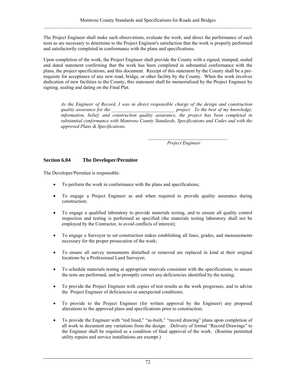The Project Engineer shall make such observations, evaluate the work, and direct the performance of such tests as are necessary to determine to the Project Engineer's satisfaction that the work is properly performed and satisfactorily completed in conformance with the plans and specifications.

Upon completion of the work, the Project Engineer shall provide the County with a signed, stamped, sealed and dated statement confirming that the work has been completed in substantial conformance with the plans, the project specifications, and this document. Receipt of this statement by the County shall be a prerequisite for acceptance of any new road, bridge, or other facility by the County. When the work involves dedication of new facilities to the County, this statement shall be memorialized by the Project Engineer by signing, sealing and dating on the Final Plat.

*As the Engineer of Record, I was in direct responsible charge of the design and construction quality assurance for the quality assurance for the \_\_\_\_\_\_\_\_\_\_\_\_\_\_\_\_\_\_\_\_\_\_\_\_\_\_ project. To the best of my knowledge, information, belief, and construction quality assurance, the project has been completed in substantial conformance with Montrose County Standards, Specifications and Codes and with the approved Plans & Specifications.* 

 *Project Engineer* 

# **Section 6.04 The Developer/Permitee**

The Developer/Permitee is responsible:

• To perform the work in conformance with the plans and specifications;

 $\mathcal{L} = \{ \mathcal{L} \}$ 

- To engage a Project Engineer as and when required to provide quality assurance during construction;
- To engage a qualified laboratory to provide materials testing, and to ensure all quality control inspection and testing is performed as specified (the materials testing laboratory shall not be employed by the Contractor, to avoid conflicts of interest);
- To engage a Surveyor to set construction stakes establishing all lines, grades, and measurements necessary for the proper prosecution of the work;
- To ensure all survey monuments disturbed or removed are replaced in kind at their original locations by a Professional Land Surveyor;
- To schedule materials testing at appropriate intervals consistent with the specifications, to ensure the tests are performed, and to promptly correct any deficiencies identified by the testing;
- To provide the Project Engineer with copies of test results as the work progresses, and to advise the Project Engineer of deficiencies or unexpected conditions;
- To provide to the Project Engineer (for written approval by the Engineer) any proposed alterations to the approved plans and specifications prior to construction;
- To provide the Engineer with "red lined," "as-built," "record drawing" plans upon completion of all work to document any variations from the design. Delivery of formal "Record Drawings" to the Engineer shall be required as a condition of final approval of the work. (Routine permitted utility repairs and service installations are exempt.)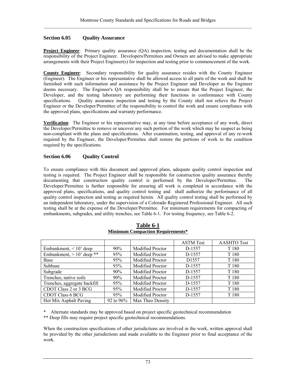## **Section 6.05 Quality Assurance**

**Project Engineer**: Primary quality assurance (QA) inspection, testing and documentation shall be the responsibility of the Project Engineer. Developers/Permitees and Owners are advised to make appropriate arrangements with their Project Engineer(s) for inspection and testing prior to commencement of the work.

**County Engineer**: Secondary responsibility for quality assurance resides with the County Engineer (Engineer). The Engineer or his representative shall be allowed access to all parts of the work and shall be furnished with such information and assistance by the Project Engineer and Developer as the Engineer deems necessary. The Engineer's QA responsibility shall be to ensure that the Project Engineer, the Developer, and the testing laboratory are performing their functions in conformance with County specifications. Quality assurance inspection and testing by the County shall not relieve the Project Engineer or the Developer/Permittee of the responsibility to control the work and ensure compliance with the approved plans, specifications and warranty performance.

**Verification**: The Engineer or his representative may, at any time before acceptance of any work, direct the Developer/Permittee to remove or uncover any such portion of the work which may be suspect as being non-compliant with the plans and specifications. After examination, testing, and approval of any re-work required by the Engineer, the Developer/Permittee shall restore the portions of work to the condition required by the specifications.

# **Section 6.06 Quality Control**

To ensure compliance with this document and approved plans, adequate quality control inspection and testing is required. The Project Engineer shall be responsible for construction quality assurance thereby documenting that construction quality control is performed by the Developer/Permittee. The Developer/Permittee is further responsible for ensuring all work is completed in accordance with the approved plans, specifications, and quality control testing and shall authorize the performance of all quality control inspection and testing as required herein. All quality control testing shall be performed by an independent laboratory, under the supervision of a Colorado Registered Professional Engineer. All such testing shall be at the expense of the Developer/Permittee. For minimum requirements for compacting of embankments, subgrades, and utility trenches, see Table 6-1. For testing frequency, see Table 6-2.

|                              |              |                         | <b>ASTM</b> Test  | <b>AASHTO Test</b> |
|------------------------------|--------------|-------------------------|-------------------|--------------------|
| Embankment, $< 10'$ deep     | $90\%$       | <b>Modified Proctor</b> | D-1557            | T 180              |
| Embankment, $> 10'$ deep **  | 95%          | Modified Proctor        | D-1557            | T 180              |
| Base                         | 95%          | <b>Modified Proctor</b> | D <sub>1557</sub> | T 180              |
| Subbase                      | 93%          | <b>Modified Proctor</b> | D-1557            | T 180              |
| Subgrade                     | 90%          | Modified Proctor        | D-1557            | T 180              |
| Trenches, native soils       | $90\%$       | <b>Modified Proctor</b> | D-1557            | T 180              |
| Trenches, aggregate backfill | 95%          | <b>Modified Proctor</b> | D-1557            | T 180              |
| CDOT Class 2 or 3 BCG        | 95%          | Modified Proctor        | D-1557            | T 180              |
| <b>CDOT Class 6 BCG</b>      | 95%          | <b>Modified Proctor</b> | D-1557            | T 180              |
| Hot Mix Asphalt Paving       | 92 to $96\%$ | Max Theo Density        |                   |                    |

#### **Table 6-1 Minimum Compaction Requirements\***

\* Alternate standards may be approved based on project specific geotechnical recommendation

\*\* Deep fills may require project specific geotechnical recommendations.

When the construction specifications of other jurisdictions are involved in the work, written approval shall be provided by the other jurisdictions and made available to the Engineer prior to final acceptance of the work.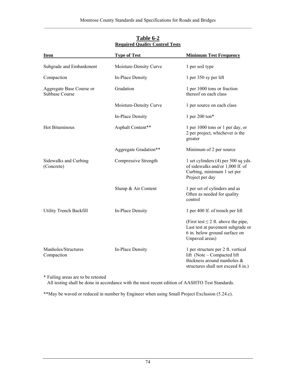| <b>Item</b>                                | <b>Type of Test</b>    | <b>Minimum Test Frequency</b>                                                                                                          |
|--------------------------------------------|------------------------|----------------------------------------------------------------------------------------------------------------------------------------|
| Subgrade and Embankment                    | Moisture-Density Curve | 1 per soil type                                                                                                                        |
| Compaction                                 | In-Place Density       | 1 per 350 sy per lift                                                                                                                  |
| Aggregate Base Course or<br>Subbase Course | Gradation              | 1 per 1000 tons or fraction<br>thereof on each class                                                                                   |
|                                            | Moisture-Density Curve | 1 per source on each class                                                                                                             |
|                                            | In-Place Density       | 1 per 200 ton*                                                                                                                         |
| <b>Hot Bituminous</b>                      | Asphalt Content**      | 1 per 1000 tons or 1 per day, or<br>2 per project, whichever is the<br>greater                                                         |
|                                            | Aggregate Gradation**  | Minimum of 2 per source                                                                                                                |
| Sidewalks and Curbing<br>(Concrete)        | Compressive Strength   | 1 set cylinders (4) per 500 sq yds.<br>of sidewalks and/or 1,000 lf. of<br>Curbing, minimum 1 set per<br>Project per day               |
|                                            | Slump & Air Content    | 1 per set of cylinders and as<br>Often as needed for quality<br>control                                                                |
| Utility Trench Backfill                    | In-Place Density       | 1 per 400 lf. of trench per lift                                                                                                       |
|                                            |                        | (First test $\leq$ 2 ft. above the pipe,<br>Last test at pavement subgrade or<br>6 in. below ground surface on<br>Unpaved areas)       |
| Manholes/Structures<br>Compaction          | In-Place Density       | 1 per structure per 2 ft. vertical<br>lift (Note – Compacted lift<br>thickness around manholes &<br>structures shall not exceed 8 in.) |

# **Table 6-2 Required Quality Control Tests**

\* Failing areas are to be retested All testing shall be done in accordance with the most recent edition of AASHTO Test Standards.

\*\*May be waved or reduced in number by Engineer when using Small Project Exclusion (5.24.c).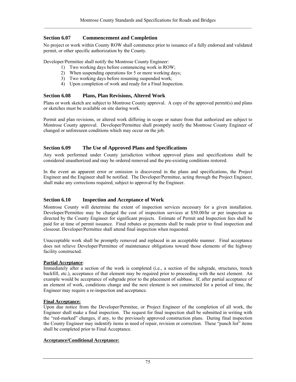# **Section 6.07 Commencement and Completion**

No project or work within County ROW shall commence prior to issuance of a fully endorsed and validated permit, or other specific authorization by the County.

Developer/Permittee shall notify the Montrose County Engineer:

- 1) Two working days before commencing work in ROW;
- 2) When suspending operations for 5 or more working days;
- 3) Two working days before resuming suspended work;
- 4) Upon completion of work and ready for a Final Inspection.

### **Section 6.08 Plans, Plan Revisions, Altered Work**

Plans or work sketch are subject to Montrose County approval. A copy of the approved permit(s) and plans or sketches must be available on site during work.

Permit and plan revisions, or altered work differing in scope or nature from that authorized are subject to Montrose County approval. Developer/Permittee shall promptly notify the Montrose County Engineer of changed or unforeseen conditions which may occur on the job.

### **Section 6.09 The Use of Approved Plans and Specifications**

Any work performed under County jurisdiction without approved plans and specifications shall be considered unauthorized and may be ordered removed and the pre-existing conditions restored.

In the event an apparent error or omission is discovered in the plans and specifications, the Project Engineer and the Engineer shall be notified. The Developer/Permittee, acting through the Project Engineer, shall make any corrections required, subject to approval by the Engineer.

### **Section 6.10 Inspection and Acceptance of Work**

Montrose County will determine the extent of inspection services necessary for a given installation. Developer/Permittee may be charged the cost of inspection services at \$50.00/hr or per inspection as directed by the County Engineer for significant projects. Estimate of Permit and Inspection fees shall be paid for at time of permit issuance. Final rebates or payments shall be made prior to final inspection and closeout. Developer/Permittee shall attend final inspection when requested.

Unacceptable work shall be promptly removed and replaced in an acceptable manner. Final acceptance does not relieve Developer/Permittee of maintenance obligations toward those elements of the highway facility constructed.

### **Partial Acceptance**:

Immediately after a section of the work is completed (i.e., a section of the subgrade, structures, trench backfill, etc.), acceptance of that element may be required prior to proceeding with the next element. An example would be acceptance of subgrade prior to the placement of subbase. If, after partial acceptance of an element of work, conditions change and the next element is not constructed for a period of time, the Engineer may require a re-inspection and acceptance.

### **Final Acceptance:**

Upon due notice from the Developer/Permitee, or Project Engineer of the completion of all work, the Engineer shall make a final inspection. The request for final inspection shall be submitted in writing with the "red-marked" changes, if any, to the previously approved construction plans. During final inspection the County Engineer may indentify items in need of repair, revision or correction. These "punch list" items shall be completed prior to Final Acceptance.

#### **Acceptance/Conditional Acceptance:**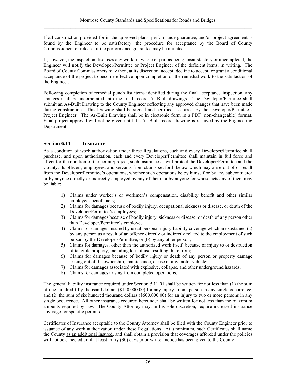If all construction provided for in the approved plans, performance guarantee, and/or project agreement is found by the Engineer to be satisfactory, the procedure for acceptance by the Board of County Commissioners or release of the performance guarantee may be initiated.

If, however, the inspection discloses any work, in whole or part as being unsatisfactory or uncompleted, the Engineer will notify the Developer/Permittee or Project Engineer of the deficient items, in writing. The Board of County Commissioners may then, at its discretion, accept, decline to accept, or grant a conditional acceptance of the project to become effective upon completion of the remedial work to the satisfaction of the Engineer.

Following completion of remedial punch list items identified during the final acceptance inspection, any changes shall be incorporated into the final record As-Built drawings. The Developer/Permitee shall submit an As-Built Drawing to the County Engineer reflecting any approved changes that have been made during construction. This Drawing shall be signed and certified as correct by the Developer/Permitee's Project Engineer. The As-Built Drawing shall be in electronic form in a PDF (non-changeable) format. Final project approval will not be given until the As-Built record drawing is received by the Engineering Department.

# **Section 6.11 Insurance**

As a condition of work authorization under these Regulations, each and every Developer/Permittee shall purchase, and upon authorization, each and every Developer/Permittee shall maintain in full force and effect for the duration of the permit/project, such insurance as will protect the Developer/Permittee and the County, its officers, employees, and servants from claims set forth below which may arise out of or result from the Developer/Permittee's operations, whether such operations be by himself or by any subcontractor or by anyone directly or indirectly employed by any of them, or by anyone for whose acts any of them may be liable:

- 1) Claims under worker's or workmen's compensation, disability benefit and other similar employees benefit acts;
- 2) Claims for damages because of bodily injury, occupational sickness or disease, or death of the Developer/Permittee's employees;
- 3) Claims for damages because of bodily injury, sickness or disease, or death of any person other than Developer/Permittee's employee.
- 4) Claims for damages insured by usual personal injury liability coverage which are sustained (a) by any person as a result of an offence directly or indirectly related to the employment of such person by the Developer/Permittee, or (b) by any other person;
- 5) Claims for damages, other than the authorized work itself, because of injury to or destruction of tangible property, including loss of use resulting there from;
- 6) Claims for damages because of bodily injury or death of any person or property damage arising out of the ownership, maintenance, or use of any motor vehicle;
- 7) Claims for damages associated with explosive, collapse, and other underground hazards;
- 8) Claims for damages arising from completed operations.

The general liability insurance required under Section 5.11.01 shall be written for not less than (1) the sum of one hundred fifty thousand dollars (\$150,000.00) for any injury to one person in any single occurrence, and (2) the sum of six hundred thousand dollars (\$600.000.00) for an injury to two or more persons in any single occurrence. All other insurance required hereunder shall be written for not less than the maximum amounts required by law. The County Attorney may, in his sole discretion, require increased insurance coverage for specific permits.

Certificates of Insurance acceptable to the County Attorney shall be filed with the County Engineer prior to issuance of any work authorization under these Regulations. At a minimum, such Certificates shall name the County as an additional insured, and shall obtain a provision that coverages afforded under the policies will not be canceled until at least thirty (30) days prior written notice has been given to the County.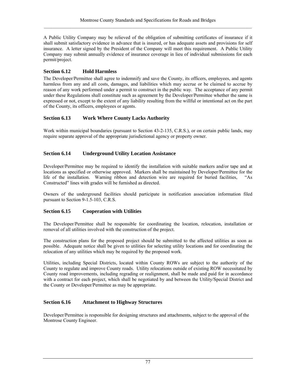A Public Utility Company may be relieved of the obligation of submitting certificates of insurance if it shall submit satisfactory evidence in advance that is insured, or has adequate assets and provisions for self insurance. A letter signed by the President of the Company will meet this requirement. A Public Utility Company may submit annually evidence of insurance coverage in lieu of individual submissions for each permit/project.

# **Section 6.12 Hold Harmless**

The Developer/Permittee shall agree to indemnify and save the County, its officers, employees, and agents harmless from any and all costs, damages, and liabilities which may accrue or be claimed to accrue by reason of any work performed under a permit to construct in the public way. The acceptance of any permit under these Regulations shall constitute such as agreement by the Developer/Permittee whether the same is expressed or not, except to the extent of any liability resulting from the willful or intentional act on the part of the County, its officers, employees or agents.

# **Section 6.13 Work Where County Lacks Authority**

Work within municipal boundaries (pursuant to Section 43-2-135, C.R.S.), or on certain public lands, may require separate approval of the appropriate jurisdictional agency or property owner.

# **Section 6.14 Underground Utility Location Assistance**

Developer/Permittee may be required to identify the installation with suitable markers and/or tape and at locations as specified or otherwise approved. Markers shall be maintained by Developer/Permittee for the life of the installation. Warning ribbon and detection wire are required for buried facilities, "As Constructed" lines with grades will be furnished as directed.

Owners of the underground facilities should participate in notification association information filed pursuant to Section 9-1.5-103, C.R.S.

# **Section 6.15 Cooperation with Utilities**

The Developer/Permittee shall be responsible for coordinating the location, relocation, installation or removal of all utilities involved with the construction of the project.

The construction plans for the proposed project should be submitted to the affected utilities as soon as possible. Adequate notice shall be given to utilities for selecting utility locations and for coordinating the relocation of any utilities which may be required by the proposed work.

Utilities, including Special Districts, located within County ROWs are subject to the authority of the County to regulate and improve County roads. Utility relocations outside of existing ROW necessitated by County road improvements, including regrading or realignment, shall be made and paid for in accordance with a contract for each project, which shall be negotiated by and between the Utility/Special District and the County or Developer/Permittee as may be appropriate.

# **Section 6.16 Attachment to Highway Structures**

Developer/Permittee is responsible for designing structures and attachments, subject to the approval of the Montrose County Engineer.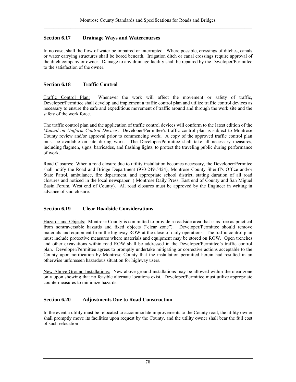# **Section 6.17 Drainage Ways and Watercourses**

In no case, shall the flow of water be impaired or interrupted. Where possible, crossings of ditches, canals or water carrying structures shall be bored beneath. Irrigation ditch or canal crossings require approval of the ditch company or owner. Damage to any drainage facility shall be repaired by the Developer/Permittee to the satisfaction of the owner.

## **Section 6.18 Traffic Control**

Traffic Control Plan: Whenever the work will affect the movement or safety of traffic, Developer/Permittee shall develop and implement a traffic control plan and utilize traffic control devices as necessary to ensure the safe and expeditious movement of traffic around and through the work site and the safety of the work force.

The traffic control plan and the application of traffic control devices will conform to the latest edition of the *Manual on Uniform Control Devices*. Developer/Permittee's traffic control plan is subject to Montrose County review and/or approval prior to commencing work. A copy of the approved traffic control plan must be available on site during work. The Developer/Permittee shall take all necessary measures, including flagmen, signs, barricades, and flashing lights, to protect the traveling public during performance of work.

Road Closures: When a road closure due to utility installation becomes necessary, the Developer/Permitee shall notify the Road and Bridge Department (970-249-5424), Montrose County Sheriff's Office and/or State Patrol, ambulance, fire department, and appropriate school district, stating duration of all road closures and noticed in the local newspaper ( Montrose Daily Press, East end of County and San Miguel Basin Forum, West end of County). All road closures must be approved by the Engineer in writing in advance of said closure.

### **Section 6.19 Clear Roadside Considerations**

Hazards and Objects: Montrose County is committed to provide a roadside area that is as free as practical from nontraversable hazards and fixed objects ("clear zone"). Developer/Permittee should remove materials and equipment from the highway ROW at the close of daily operations. The traffic control plan must include protective measures where materials and equipment may be stored on ROW. Open trenches and other excavations within road ROW shall be addressed in the Developer/Permittee's traffic control plan. Developer/Permittee agrees to promptly undertake mitigating or corrective actions acceptable to the County upon notification by Montrose County that the installation permitted herein had resulted in an otherwise unforeseen hazardous situation for highway users.

New Above Ground Installations: New above ground installations may be allowed within the clear zone only upon showing that no feasible alternate locations exist. Developer/Permittee must utilize appropriate countermeasures to minimize hazards.

# **Section 6.20 Adjustments Due to Road Construction**

In the event a utility must be relocated to accommodate improvements to the County road, the utility owner shall promptly move its facilities upon request by the County, and the utility owner shall bear the full cost of such relocation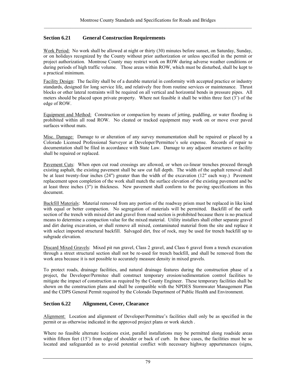# **Section 6.21 General Construction Requirements**

Work Period: No work shall be allowed at night or thirty (30) minutes before sunset, on Saturday, Sunday, or on holidays recognized by the County without prior authorization or unless specified in the permit or project authorization. Montrose County may restrict work on ROW during adverse weather conditions or during periods of high traffic volume. Those areas within ROW, which must be disturbed, shall be kept to a practical minimum.

Facility Design: The facility shall be of a durable material in conformity with accepted practice or industry standards, designed for long service life, and relatively free from routine services or maintenance. Thrust blocks or other lateral restraints will be required on all vertical and horizontal bends in pressure pipes. All meters should be placed upon private property. Where not feasible it shall be within three feet (3') of the edge of ROW.

Equipment and Method: Construction or compaction by means of jetting, puddling, or water flooding is prohibited within all road ROW. No cleated or tracked equipment may work on or move over paved surfaces without mats.

Misc. Damage: Damage to or alteration of any survey monumentation shall be repaired or placed by a Colorado Licensed Professional Surveyor at Developer/Permittee's sole expense. Records of repair to documentation shall be filed in accordance with State Law. Damage to any adjacent structures or facility shall be repaired or replaced.

Pavement Cuts: When open cut road crossings are allowed, or when co-linear trenches proceed through existing asphalt, the existing pavement shall be saw cut full depth. The width of the asphalt removal shall be at least twenty-four inches (24") greater than the width of the excavation (12" each way.) Pavement replacement upon completion of the work shall match the surface elevation of the existing pavement and be at least three inches (3") in thickness. New pavement shall conform to the paving specifications in this document.

Backfill Materials: Material removed from any portion of the roadway prism must be replaced in like kind with equal or better compaction. No segregation of materials will be permitted. Backfill of the earth section of the trench with mixed dirt and gravel from road section is prohibited because there is no practical means to determine a compaction value for the mixed material. Utility installers shall either separate gravel and dirt during excavation, or shall remove all mixed, contaminated material from the site and replace it with select imported structural backfill. Salvaged dirt, free of rock, may be used for trench backfill up to subgrade elevation.

Discard Mixed Gravels: Mixed pit run gravel, Class 2 gravel, and Class 6 gravel from a trench excavation through a street structural section shall not be re-used for trench backfill, and shall be removed from the work area because it is not possible to accurately measure density in mixed gravels.

To protect roads, drainage facilities, and natural drainage features during the construction phase of a project, the Developer/Permitee shall construct temporary erosion/sedimentation control facilities to mitigate the impact of construction as required by the County Engineer. These temporary facilities shall be shown on the construction plans and shall be compatible with the NPDES Stormwater Management Plan and the CDPS General Permit required by the Colorado Department of Public Health and Environment.

# **Section 6.22 Alignment, Cover, Clearance**

Alignment: Location and alignment of Developer/Permittee's facilities shall only be as specified in the permit or as otherwise indicated in the approved project plans or work sketch .

Where no feasible alternate locations exist, parallel installations may be permitted along roadside areas within fifteen feet (15') from edge of shoulder or back of curb. In these cases, the facilities must be so located and safeguarded as to avoid potential conflict with necessary highway appurtenances (signs,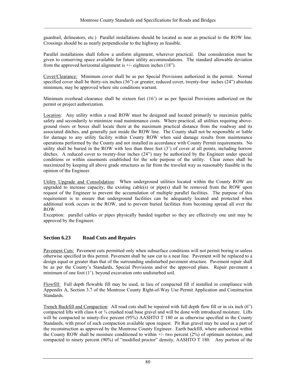guardrail, delineators, etc.) Parallel installations should be located as near as practical to the ROW line. Crossings should be as nearly perpendicular to the highway as feasible.

Parallel installations shall follow a uniform alignment, wherever practical. Due consideration must be given to conserving space available for future utility accommodations. The standard allowable deviation from the approved horizontal alignment is  $+/-$  eighteen inches (18").

Cover/Clearance: Minimum cover shall be as per Special Provisions authorized in the permit. Normal specified cover shall be thirty-six inches (36") or greater; reduced cover, twenty-four inches (24") absolute minimum, may be approved where site conditions warrant.

Minimum overhead clearance shall be sixteen feet (16') or as per Special Provisions authorized on the permit or project authorization.

Location: Any utility within a road ROW must be designed and located primarily to maximize public safety and secondarily to minimize road maintenance costs. Where practical, all utilities requiring aboveground risers or boxes shall locate them at the maximum practical distance from the roadway and its associated ditches, and generally just inside the ROW line. The County shall not be responsible or liable for damage to any utility facility within County ROW when said damage results from maintenance operations performed by the County and not installed in accordance with County Permit requirements. No utility shall be buried in the ROW with less than three feet (3') of cover at all points, including borrow ditches. A reduced cover to twenty-four inches (24") may be authorized by the Engineer under special conditions or within easements established for the sole purpose of the utility. Clear zones shall be maximized by keeping all above grade structures as far from the traveled way as reasonably feasible in the opinion of the Engineer.

Utility Upgrade and Consolidation: When underground utilities located within the County ROW are upgraded to increase capacity, the existing cable(s) or pipe(s) shall be removed from the ROW upon request of the Engineer to prevent the accumulation of multiple parallel facilities. The purpose of this requirement is to ensure that underground facilities can be adequately located and protected when additional work occurs in the ROW, and to prevent buried facilities from becoming spread all over the ROW.

Exception: parallel cables or pipes physically banded together so they are effectively one unit may be approved by the Engineer.

# **Section 6.23 Road Cuts and Repairs**

Pavement Cuts: Pavement cuts permitted only when subsurface conditions will not permit boring or unless otherwise specified in this permit. Pavement shall be saw cut to a neat line. Pavement will be replaced to a design equal or greater than that of the surrounding undisturbed pavement structure. Pavement repair shall be as per the County's Standards, Special Provisions and/or the approved plans. Repair pavement a minimum of one foot (1'). beyond excavation onto undisturbed soil.

Flowfill: Full depth flowable fill may be used, in lieu of compacted fill if installed in compliance with Appendix A, Section 3.7 of the Montrose County Right-of-Way Use Permit Application and Construction Standards.

Trench Backfill and Compaction: All road cuts shall be repaired with full depth flow fill or in six inch (6") compacted lifts with class 6 or ¾ crushed road base gravel and will be done with introduced moisture. Lifts will be compacted to ninety-five percent (95%) AASHTO T 180 or as otherwise specified in the County Standards, with proof of such compaction available upon request. Pit Run gravel may be used as a part of the reconstruction as approved by the Montrose County Engineer. Earth backfill, where authorized within the County ROW shall be moisture conditioned to within +/- two percent (2%) of optimum moisture, and compacted to ninety percent (90%) of "modified proctor" density, AASHTO T 180. Any portion of the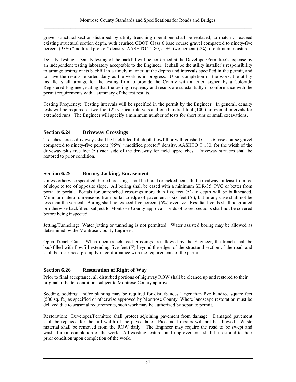gravel structural section disturbed by utility trenching operations shall be replaced, to match or exceed existing structural section depth, with crushed CDOT Class 6 base course gravel compacted to ninety-five percent (95%) "modified proctor" density, AASHTO T 180, at +/- two percent (2%) of optimum moisture.

Density Testing: Density testing of the backfill will be performed at the Developer/Permittee's expense by an independent testing laboratory acceptable to the Engineer. It shall be the utility installer's responsibility to arrange testing of its backfill in a timely manner, at the depths and intervals specified in the permit, and to have the results reported daily as the work is in progress. Upon completion of the work, the utility installer shall arrange for the testing firm to provide the County with a letter, signed by a Colorado Registered Engineer, stating that the testing frequency and results are substantially in conformance with the permit requirements with a summary of the test results.

Testing Frequency: Testing intervals will be specified in the permit by the Engineer. In general, density tests will be required at two foot (2') vertical intervals and one hundred foot (100') horizontal intervals for extended runs. The Engineer will specify a minimum number of tests for short runs or small excavations.

# **Section 6.24 Driveway Crossings**

Trenches across driveways shall be backfilled full depth flowfill or with crushed Class 6 base course gravel compacted to ninety-five percent (95%) "modified proctor" density, AASHTO T 180, for the width of the driveway plus five feet (5') each side of the driveway for field approaches. Driveway surfaces shall be restored to prior condition.

# **Section 6.25 Boring, Jacking, Encasement**

Unless otherwise specified, buried crossings shall be bored or jacked beneath the roadway, at least from toe of slope to toe of opposite slope. All boring shall be cased with a minimum SDR-35; PVC or better from portal to portal. Portals for untrenched crossings more than five feet (5') in depth will be bulkheaded. Minimum lateral dimensions from portal to edge of pavement is six feet (6'), but in any case shall not be less than the vertical. Boring shall not exceed five percent (5%) oversize. Resultant voids shall be grouted or otherwise backfilled, subject to Montrose County approval. Ends of bored sections shall not be covered before being inspected.

Jetting/Tunneling: Water jetting or tunneling is not permitted. Water assisted boring may be allowed as determined by the Montrose County Engineer.

Open Trench Cuts: When open trench road crossings are allowed by the Engineer, the trench shall be backfilled with flowfill extending five feet (5') beyond the edges of the structural section of the road, and shall be resurfaced promptly in conformance with the requirements of the permit.

# **Section 6.26 Restoration of Right of Way**

Prior to final acceptance, all disturbed portions of highway ROW shall be cleaned up and restored to their original or better condition, subject to Montrose County approval.

Seeding, sodding, and/or planting may be required for disturbances larger than five hundred square feet (500 sq. ft.) as specified or otherwise approved by Montrose County. Where landscape restoration must be delayed due to seasonal requirements, such work may be authorized by separate permit.

Restoration: Developer/Permittee shall protect adjoining pavement from damage. Damaged pavement shall be replaced for the full width of the paved lane. Piecemeal repairs will not be allowed. Waste material shall be removed from the ROW daily. The Engineer may require the road to be swept and washed upon completion of the work. All existing features and improvements shall be restored to their prior condition upon completion of the work.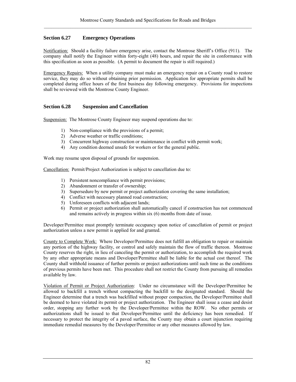# **Section 6.27 Emergency Operations**

Notification: Should a facility failure emergency arise, contact the Montrose Sheriff's Office (911). The company shall notify the Engineer within forty-eight (48) hours, and repair the site in conformance with this specification as soon as possible. (A permit to document the repair is still required.)

Emergency Repairs: When a utility company must make an emergency repair on a County road to restore service, they may do so without obtaining prior permission. Application for appropriate permits shall be completed during office hours of the first business day following emergency. Provisions for inspections shall be reviewed with the Montrose County Engineer.

## **Section 6.28 Suspension and Cancellation**

Suspension: The Montrose County Engineer may suspend operations due to:

- 1) Non-compliance with the provisions of a permit;
- 2) Adverse weather or traffic conditions;
- 3) Concurrent highway construction or maintenance in conflict with permit work;
- 4) Any condition deemed unsafe for workers or for the general public.

Work may resume upon disposal of grounds for suspension.

Cancellation: Permit/Project Authorization is subject to cancellation due to:

- 1) Persistent noncompliance with permit provisions;
- 2) Abandonment or transfer of ownership;
- 3) Supersedure by new permit or project authorization covering the same installation;
- 4) Conflict with necessary planned road construction;
- 5) Unforeseen conflicts with adjacent lands;
- 6) Permit or project authorization shall automatically cancel if construction has not commenced and remains actively in progress within six (6) months from date of issue.

Developer/Permittee must promptly terminate occupancy upon notice of cancellation of permit or project authorization unless a new permit is applied for and granted.

County to Complete Work: Where Developer/Permittee does not fulfill an obligation to repair or maintain any portion of the highway facility, or control and safely maintain the flow of traffic thereon. Montrose County reserves the right, in lieu of canceling the permit or authorization, to accomplish the required work by any other appropriate means and Developer/Permittee shall be liable for the actual cost thereof. The County shall withhold issuance of further permits or project authorizations until such time as the conditions of previous permits have been met. This procedure shall not restrict the County from pursuing all remedies available by law.

Violation of Permit or Project Authorization: Under no circumstance will the Developer/Permittee be allowed to backfill a trench without compacting the backfill to the designated standard. Should the Engineer determine that a trench was backfilled without proper compaction, the Developer/Permittee shall be deemed to have violated its permit or project authorization. The Engineer shall issue a cease and desist order, stopping any further work by the Developer/Permittee within the ROW. No other permits or authorizations shall be issued to that Developer/Permittee until the deficiency has been remedied. If necessary to protect the integrity of a paved surface, the County may obtain a court injunction requiring immediate remedial measures by the Developer/Permittee or any other measures allowed by law.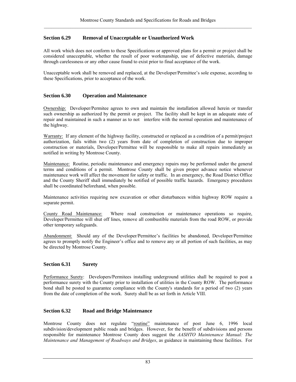# **Section 6.29 Removal of Unacceptable or Unauthorized Work**

All work which does not conform to these Specifications or approved plans for a permit or project shall be considered unacceptable, whether the result of poor workmanship, use of defective materials, damage through carelessness or any other cause found to exist prior to final acceptance of the work.

Unacceptable work shall be removed and replaced, at the Developer/Permittee's sole expense, according to these Specifications, prior to acceptance of the work.

## **Section 6.30 Operation and Maintenance**

Ownership: Developer/Permitee agrees to own and maintain the installation allowed herein or transfer such ownership as authorized by the permit or project. The facility shall be kept in an adequate state of repair and maintained in such a manner as to not interfere with the normal operation and maintenance of the highway.

Warranty: If any element of the highway facility, constructed or replaced as a condition of a permit/project authorization, fails within two (2) years from date of completion of construction due to improper construction or materials, Developer/Permittee will be responsible to make all repairs immediately as notified in writing by Montrose County.

Maintenance: Routine, periodic maintenance and emergency repairs may be performed under the general terms and conditions of a permit. Montrose County shall be given proper advance notice whenever maintenance work will affect the movement for safety or traffic. In an emergency, the Road District Office and the County Sheriff shall immediately be notified of possible traffic hazards. Emergency procedures shall be coordinated beforehand, when possible.

Maintenance activities requiring new excavation or other disturbances within highway ROW require a separate permit.

County Road Maintenance: Where road construction or maintenance operations so require, Developer/Permittee will shut off lines, remove all combustible materials from the road ROW, or provide other temporary safeguards.

Abandonment: Should any of the Developer/Permittee's facilities be abandoned, Developer/Permittee agrees to promptly notify the Engineer's office and to remove any or all portion of such facilities, as may be directed by Montrose County.

### **Section 6.31 Surety**

Performance Surety: Developers/Permitees installing underground utilities shall be required to post a performance surety with the County prior to installation of utilities in the County ROW. The performance bond shall be posted to guarantee compliance with the County's standards for a period of two (2) years from the date of completion of the work. Surety shall be as set forth in Article VIII.

### **Section 6.32 Road and Bridge Maintenance**

Montrose County does not regulate "routine" maintenance of post June 6, 1996 local subdivision/development public roads and bridges. However, for the benefit of subdivisions and persons responsible for maintenance Montrose County does suggest the *AASHTO Maintenance Manual: The Maintenance and Management of Roadways and Bridges*, as guidance in maintaining these facilities. For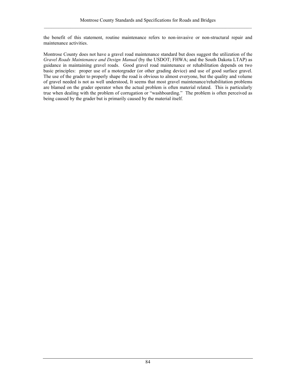the benefit of this statement, routine maintenance refers to non-invasive or non-structural repair and maintenance activities.

Montrose County does not have a gravel road maintenance standard but does suggest the utilization of the *Gravel Roads Maintenance and Design Manual* (by the USDOT; FHWA; and the South Dakota LTAP) as guidance in maintaining gravel roads. Good gravel road maintenance or rehabilitation depends on two basic principles: proper use of a motorgrader (or other grading device) and use of good surface gravel. The use of the grader to properly shape the road is obvious to almost everyone, but the quality and volume of gravel needed is not as well understood, It seems that most gravel maintenance/rehabilitation problems are blamed on the grader operator when the actual problem is often material related. This is particularly true when dealing with the problem of corrugation or "washboarding." The problem is often perceived as being caused by the grader but is primarily caused by the material itself.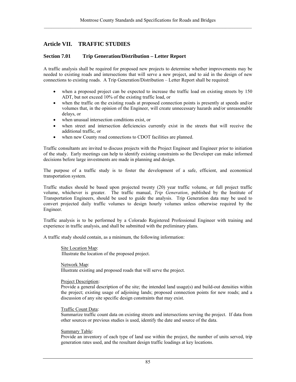# **Article VII. TRAFFIC STUDIES**

## **Section 7.01 Trip Generation/Distribution – Letter Report**

A traffic analysis shall be required for proposed new projects to determine whether improvements may be needed to existing roads and intersections that will serve a new project, and to aid in the design of new connections to existing roads. A Trip Generation/Distribution – Letter Report shall be required:

- when a proposed project can be expected to increase the traffic load on existing streets by 150 ADT, but not exceed 10% of the existing traffic load, or
- when the traffic on the existing roads at proposed connection points is presently at speeds and/or volumes that, in the opinion of the Engineer, will create unnecessary hazards and/or unreasonable delays, or
- when unusual intersection conditions exist, or
- when street and intersection deficiencies currently exist in the streets that will receive the additional traffic, or
- when new County road connections to CDOT facilities are planned.

Traffic consultants are invited to discuss projects with the Project Engineer and Engineer prior to initiation of the study. Early meetings can help to identify existing constraints so the Developer can make informed decisions before large investments are made in planning and design.

The purpose of a traffic study is to foster the development of a safe, efficient, and economical transportation system.

Traffic studies should be based upon projected twenty (20) year traffic volume, or full project traffic volume, whichever is greater. The traffic manual, *Trip Generation*, published by the Institute of Transportation Engineers, should be used to guide the analysis. Trip Generation data may be used to convert projected daily traffic volumes to design hourly volumes unless otherwise required by the Engineer.

Traffic analysis is to be performed by a Colorado Registered Professional Engineer with training and experience in traffic analysis, and shall be submitted with the preliminary plans.

A traffic study should contain, as a minimum, the following information:

Site Location Map: Illustrate the location of the proposed project.

 Network Map: Illustrate existing and proposed roads that will serve the project.

Project Description:

Provide a general description of the site; the intended land usage(s) and build-out densities within the project; existing usage of adjoining lands; proposed connection points for new roads; and a discussion of any site specific design constraints that may exist.

#### Traffic Count Data:

Summarize traffic count data on existing streets and intersections serving the project. If data from other sources or previous studies is used, identify the date and source of the data.

#### Summary Table:

Provide an inventory of each type of land use within the project, the number of units served, trip generation rates used, and the resultant design traffic loadings at key locations.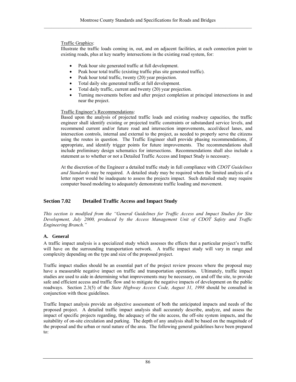## Traffic Graphics:

Illustrate the traffic loads coming in, out, and on adjacent facilities, at each connection point to existing roads, plus at key nearby intersections in the existing road system, for:

- Peak hour site generated traffic at full development.
- Peak hour total traffic (existing traffic plus site generated traffic).
- Peak hour total traffic, twenty (20) year projection.
- Total daily site generated traffic at full development.
- Total daily traffic, current and twenty (20) year projection.
- Turning movements before and after project completion at principal intersections in and near the project.

## Traffic Engineer's Recommendations:

Based upon the analysis of projected traffic loads and existing roadway capacities, the traffic engineer shall identify existing or projected traffic constraints or substandard service levels, and recommend current and/or future road and intersection improvements, accel/decel lanes, and intersection controls, internal and external to the project, as needed to properly serve the citizens using the routes in question. The Traffic Engineer shall provide phasing recommendations, if appropriate, and identify trigger points for future improvements. The recommendations shall include preliminary design schematics for intersections. Recommendations shall also include a statement as to whether or not a Detailed Traffic Access and Impact Study is necessary.

At the discretion of the Engineer a detailed traffic study in full compliance with *CDOT Guidelines and Standards* may be required. A detailed study may be required when the limited analysis of a letter report would be inadequate to assess the projects impact. Such detailed study may require computer based modeling to adequately demonstrate traffic loading and movement.

# **Section 7.02 Detailed Traffic Access and Impact Study**

*This section is modified from the "General Guidelines for Traffic Access and Impact Studies for Site Development, July 2000, produced by the Access Management Unit of CDOT Safety and Traffic Engineering Branch."* 

# **A. General**

A traffic impact analysis is a specialized study which assesses the effects that a particular project's traffic will have on the surrounding transportation network. A traffic impact study will vary in range and complexity depending on the type and size of the proposed project.

Traffic impact studies should be an essential part of the project review process where the proposal may have a measurable negative impact on traffic and transportation operations. Ultimately, traffic impact studies are used to aide in determining what improvements may be necessary, on and off the site, to provide safe and efficient access and traffic flow and to mitigate the negative impacts of development on the public roadways. Section 2.3(5) of the *State Highway Access Code, August 31, 1998* should be consulted in conjunction with these guidelines.

Traffic Impact analysis provide an objective assessment of both the anticipated impacts and needs of the proposed project. A detailed traffic impact analysis shall accurately describe, analyze, and assess the impact of specific projects regarding, the adequacy of the site access, the off-site system impacts, and the suitability of on-site circulation and parking. The depth of any analysis shall be based on the magnitude of the proposal and the urban or rural nature of the area. The following general guidelines have been prepared to: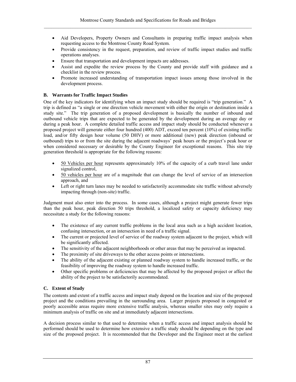- Aid Developers, Property Owners and Consultants in preparing traffic impact analysis when requesting access to the Montrose County Road System.
- Provide consistency in the request, preparation, and review of traffic impact studies and traffic operations analyses.
- Ensure that transportation and development impacts are addresses.
- Assist and expedite the review process by the County and provide staff with guidance and a checklist in the review process.
- Promote increased understanding of transportation impact issues among those involved in the development process.

## **B. Warrants for Traffic Impact Studies**

One of the key indicators for identifying when an impact study should be required is "trip generation." A trip is defined as "a single or one direction vehicle movement with either the origin or destination inside a study site." The trip generation of a proposed development is basically the number of inbound and outbound vehicle trips that are expected to be generated by the development during an average day or during a peak hour. A complete detailed traffic access and impact study should be conducted whenever a proposed project will generate either four hundred (400) ADT, exceed ten percent (10%) of existing traffic load, and/or fifty design hour volume (50 DHV) or more additional (new) peak direction (inbound or outbound) trips to or from the site during the adjacent roadways' peak hours or the project's peak hour or when considered necessary or desirable by the County Engineer for exceptional reasons. This site trip generation threshold is appropriate for the following reasons:

- 50 Vehicles per hour represents approximately 10% of the capacity of a curb travel lane under signalized control,
- 50 vehicles per hour are of a magnitude that can change the level of service of an intersection approach, and
- Left or right turn lanes may be needed to satisfactorily accommodate site traffic without adversely impacting through (non-site) traffic.

Judgment must also enter into the process. In some cases, although a project might generate fewer trips than the peak hour, peak direction 50 trips threshold, a localized safety or capacity deficiency may necessitate a study for the following reasons:

- The existence of any current traffic problems in the local area such as a high accident location, confusing intersection, or an intersection in need of a traffic signal.
- The current or projected level of service of the roadway system adjacent to the project, which will be significantly affected.
- The sensitivity of the adjacent neighborhoods or other areas that may be perceived as impacted.
- The proximity of site driveways to the other access points or intersections.
- The ability of the adjacent existing or planned roadway system to handle increased traffic, or the feasibility of improving the roadway system to handle increased traffic.
- Other specific problems or deficiencies that may be affected by the proposed project or affect the ability of the project to be satisfactorily accommodated.

### **C. Extent of Study**

The contents and extent of a traffic access and impact study depend on the location and size of the proposed project and the conditions prevailing in the surrounding area. Larger projects proposed in congested or poorly accessible areas require more extensive traffic analysis, whereas smaller sites may only require a minimum analysis of traffic on site and at immediately adjacent intersections.

A decision process similar to that used to determine when a traffic access and impact analysis should be performed should be used to determine how extensive a traffic study should be depending on the type and size of the proposed project. It is recommended that the Developer and the Engineer meet at the earliest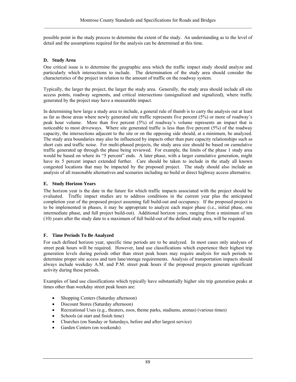possible point in the study process to determine the extent of the study. An understanding as to the level of detail and the assumptions required for the analysis can be determined at this time.

## **D. Study Area**

One critical issue is to determine the geographic area which the traffic impact study should analyze and particularly which intersections to include. The determination of the study area should consider the characteristics of the project in relation to the amount of traffic on the roadway system.

Typically, the larger the project, the larger the study area. Generally, the study area should include all site access points, roadway segments, and critical intersections (unsignalized and signalized), where traffic generated by the project may have a measurable impact.

In determining how large a study area to include, a general rule of thumb is to carry the analysis out at least as far as those areas where newly generated site traffic represents five percent (5%) or more of roadway's peak hour volume. More than five percent (5%) of roadway's volume represents an impact that is noticeable to most driveways. Where site generated traffic is less than five percent (5%) of the roadway capacity, the intersections adjacent to the site or on the opposing side should, at a minimum, be analyzed. The study area boundaries may also be influenced by impacts other than pure capacity relationships such as short cuts and traffic noise. For multi-phased projects, the study area size should be based on cumulative traffic generated up through the phase being reviewed. For example, the limits of the phase 1 study area would be based on where its "5 percent" ends. A later phase, with a larger cumulative generation, might have its 5 percent impact extended further. Care should be taken to include in the study all known congested locations that may be impacted by the proposed project. The study should also include an analysis of all reasonable alternatives and scenarios including no build or direct highway access alternative.

## **E. Study Horizon Years**

The horizon year is the date in the future for which traffic impacts associated with the project should be evaluated. Traffic impact studies are to address conditions in the current year plus the anticipated completion year of the proposed project assuming full build-out and occupancy. If the proposed project is to be implemented in phases, it may be appropriate to analyze each major phase (i.e., initial phase, one intermediate phase, and full project build-out). Additional horizon years, ranging from a minimum of ten (10) years after the study date to a maximum of full build-out of the defined study area, will be required.

### **F. Time Periods To Be Analyzed**

For each defined horizon year, specific time periods are to be analyzed. In most cases only analyses of street peak hours will be required. However, land use classifications which experience their highest trip generation levels during periods other than street peak hours may require analysis for such periods to determine proper site access and turn lane/storage requirements. Analysis of transportation impacts should always include weekday A.M. and P.M. street peak hours if the proposed projects generate significant activity during these periods.

Examples of land use classifications which typically have substantially higher site trip generation peaks at times other than weekday street peak hours are:

- Shopping Centers (Saturday afternoon)
- Discount Stores (Saturday afternoon)
- Recreational Uses (e.g., theaters, zoos, theme parks, stadiums, arenas) (various times)
- Schools (at start and finish time)
- Churches (on Sunday or Saturdays, before and after largest service)
- Garden Centers (on weekends)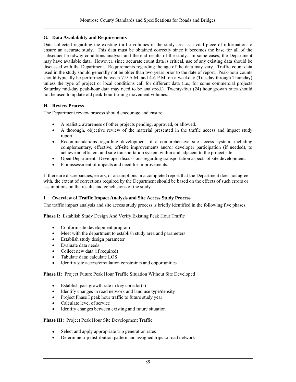## **G. Data Availability and Requirements**

Data collected regarding the existing traffic volumes in the study area is a vital piece of information to ensure an accurate study. This data must be obtained correctly since it becomes the base for all of the subsequent roadway conditions analysis and the end results of the study. In some cases, the Department may have available data. However, since accurate count data is critical, use of any existing data should be discussed with the Department. Requirements regarding the age of the data may vary. Traffic count data used in the study should generally not be older than two years prior to the date of report. Peak-hour counts should typically be performed between 7-9 A.M. and 4-6 P.M. on a weekday (Tuesday through Thursday) unless the type of project or local conditions call for different data (i.e., for some commercial projects Saturday mid-day peak-hour data may need to be analyzed.) Twenty-four (24) hour growth rates should not be used to update old peak-hour turning movement volumes.

## **H. Review Process**

The Department review process should encourage and ensure:

- A realistic awareness of other projects pending, approved, or allowed.
- A thorough, objective review of the material presented in the traffic access and impact study report.
- Recommendations regarding development of a comprehensive site access system, including complementary, effective, off-site improvements and/or developer participation (if needed), to achieve an efficient and safe transportation system within and adjacent to the project site.
- Open Department –Developer discussions regarding transportation aspects of site development.
- Fair assessment of impacts and need for improvements.

If there are discrepancies, errors, or assumptions in a completed report that the Department does not agree with, the extent of corrections required by the Department should be based on the effects of such errors or assumptions on the results and conclusions of the study.

### **I. Overview of Traffic Impact Analysis and Site Access Study Process**

The traffic impact analysis and site access study process is briefly identified in the following five phases.

**Phase I:** Establish Study Design And Verify Existing Peak Hour Traffic

- Conform site development program
- Meet with the department to establish study area and parameters
- Establish study design parameter
- Evaluate data needs
- Collect new data (if required)
- Tabulate data; calculate LOS
- Identify site access/circulation constraints and opportunities

**Phase II:** Project Future Peak Hour Traffic Situation Without Site Developed

- Establish past growth rate in key corridor(s)
- Identify changes in road network and land use type/density
- Project Phase I peak hour traffic to future study year
- Calculate level of service
- Identify changes between existing and future situation

**Phase III:** Project Peak Hour Site Development Traffic

- Select and apply appropriate trip generation rates
- Determine trip distribution pattern and assigned trips to road network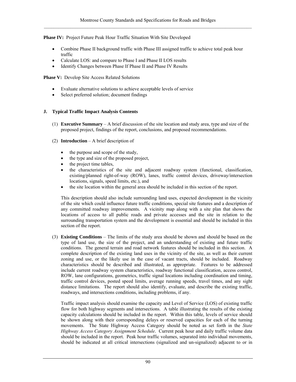**Phase IV:** Project Future Peak Hour Traffic Situation With Site Developed

- Combine Phase II background traffic with Phase III assigned traffic to achieve total peak hour traffic
- Calculate LOS: and compare to Phase I and Phase II LOS results
- Identify Changes between Phase If Phase II and Phase IV Results

**Phase V:** Develop Site Access Related Solutions

- Evaluate alternative solutions to achieve acceptable levels of service
- Select preferred solution; document findings

## **J. Typical Traffic Impact Analysis Contents**

- (1) **Executive Summary** A brief discussion of the site location and study area, type and size of the proposed project, findings of the report, conclusions, and proposed recommendations.
- (2) **Introduction** A brief description of
	- the purpose and scope of the study,
	- the type and size of the proposed project,
	- the project time tables,
	- the characteristics of the site and adjacent roadway system (functional, classification, existing/planned right-of-way (ROW), lanes, traffic control devices, driveway/intersection locations, signals, speed limits, etc.), and
	- the site location within the general area should be included in this section of the report.

This description should also include surrounding land uses, expected development in the vicinity of the site which could influence future traffic conditions, special site features and a description of any committed roadway improvements. A vicinity map along with a site plan that shows the locations of access to all public roads and private accesses and the site in relation to the surrounding transportation system and the development is essential and should be included in this section of the report.

(3) **Existing Conditions** – The limits of the study area should be shown and should be based on the type of land use, the size of the project, and an understanding of existing and future traffic conditions. The general terrain and road network features should be included in this section. A complete description of the existing land uses in the vicinity of the site, as well as their current zoning and use, or the likely use in the case of vacant tracts, should be included. Roadway characteristics should be described and illustrated, as appropriate. Features to be addressed include current roadway system characteristics, roadway functional classification, access control, ROW, lane configurations, geometrics, traffic signal locations including coordination and timing, traffic control devices, posted speed limits, average running speeds, travel times, and any sight distance limitations. The report should also identify, evaluate, and describe the existing traffic, roadways, and intersections conditions, including problems, if any.

Traffic impact analysis should examine the capacity and Level of Service (LOS) of existing traffic flow for both highway segments and intersections. A table illustrating the results of the existing capacity calculations should be included in the report. Within this table, levels of service should be shown along with their corresponding delays or reserved capacities for each of the turning movements. The State Highway Access Category should be noted as set forth in the *State Highway Access Category Assignment Schedule*. Current peak hour and daily traffic volume data should be included in the report. Peak hour traffic volumes, separated into individual movements, should be indicated at all critical intersections (signalized and un-signalized) adjacent to or in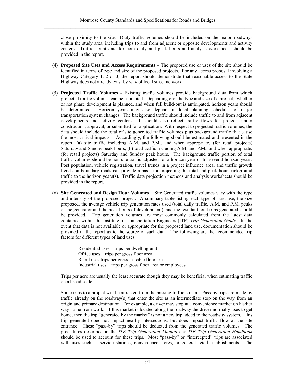close proximity to the site. Daily traffic volumes should be included on the major roadways within the study area, including trips to and from adjacent or opposite developments and activity centers. Traffic count data for both daily and peak hours and analysis worksheets should be provided in the report.

- (4) **Proposed Site Uses and Access Requirements** The proposed use or uses of the site should be identified in terms of type and size of the proposed projects. For any access proposal involving a Highway Category 1, 2 or 3, the report should demonstrate that reasonable access to the State Highway does not already exist by way of local street network.
- (5) **Projected Traffic Volumes** Existing traffic volumes provide background data from which projected traffic volumes can be estimated. Depending on: the type and size of a project, whether or not phase development is planned, and when full build-out is anticipated, horizon years should be determined. Horizon years may also depend on local planning schedules of major transportation system changes. The background traffic should include traffic to and from adjacent developments and activity centers. It should also reflect traffic flows for projects under construction, approval, or submitted for application. With respect to projected traffic volumes, the data should include the total of site generated traffic volumes plus background traffic that cause the most critical impacts. Accordingly, the following should be estimated and presented in the report: (a) site traffic including A.M. and P.M., and when appropriate, (for retail projects) Saturday and Sunday peak hours; (b) total traffic including A.M. and P.M., and when appropriate, (for retail projects) Saturday and Sunday peak hours. The background traffic portion of total traffic volumes should be non-site traffic adjusted for a horizon year or for several horizon years. Post population, vehicle registration, travel trends in a project influence area, and traffic growth trends on boundary roads can provide a basis for projecting the total and peak hour background traffic to the horizon years(s). Traffic data projection methods and analysis worksheets should be provided in the report.
- (6) **Site Generated and Design Hour Volumes** Site Generated traffic volumes vary with the type and intensity of the proposed project. A summary table listing each type of land use, the size proposed, the average vehicle trip generation rates used (total daily traffic, A.M. and P.M. peaks of the generator and the peak hours of development), and the resultant total trips generated should be provided. Trip generation volumes are most commonly calculated from the latest data contained within the Institute of Transportation Engineers (ITE) *Trip Generation Guide*. In the event that data is not available or appropriate for the proposed land use, documentation should be provided in the report as to the source of such data. The following are the recommended trip factors for different types of land uses.

 Residential uses – trips per dwelling unit Office uses – trips per gross floor area Retail uses trips per gross leasable floor area Industrial uses – trips per gross floor area or employees

Trips per acre are usually the least accurate though they may be beneficial when estimating traffic on a broad scale.

Some trips to a project will be attracted from the passing traffic stream. Pass-by trips are made by traffic already on the roadway(s) that enter the site as an intermediate stop on the way from an origin and primary destination. For example, a driver may stop at a convenience market on his/her way home from work. If this market is located along the roadway the driver normally uses to get home, then the trip "generated by the market" is not a new trip added to the roadway system. This trip generated does not impact nearby intersections, but does impact traffic flow at the site entrance. These "pass-by" trips should be deducted from the generated traffic volumes. The procedures described in the *ITE Trip Generation Manual* and *ITE Trip Generation Handbook* should be used to account for these trips. Most "pass-by" or "intercepted" trips are associated with uses such as service stations, convenience stores, or general retail establishments. The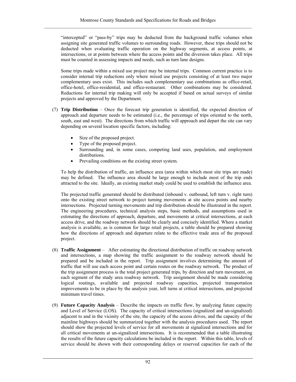"intercepted" or "pass-by" trips may be deducted from the background traffic volumes when assigning site generated traffic volumes to surrounding roads. However, these trips should not be deducted when evaluating traffic operation on the highway segments, at access points, at intersections, or at points between where the access points and the diversion takes place. All trips must be counted in assessing impacts and needs, such as turn lane designs.

Some trips made within a mixed use project may be internal trips. Common current practice is to consider internal trip reductions only where mixed use projects consisting of at least two major complementary uses exist. This includes such complementary use combinations as office-retail, office-hotel, office-residential, and office-restaurant. Other combinations may be considered. Reductions for internal trip making will only be accepted if based on actual surveys of similar projects and approved by the Department.

- (7) **Trip Distribution**  Once the forecast trip generation is identified, the expected direction of approach and departure needs to be estimated (i.e., the percentage of trips oriented to the north, south, east and west). The directions from which traffic will approach and depart the site can vary depending on several location specific factors, including:
	- Size of the proposed project.
	- Type of the proposed project.
	- Surrounding and, in some cases, competing land uses, population, and employment distributions.
	- Prevailing conditions on the existing street system.

To help the distribution of traffic, an influence area (area within which most site trips are made) may be defined. The influence area should be large enough to include most of the trip ends attracted to the site. Ideally, an existing market study could be used to establish the influence area.

The projected traffic generated should be distributed (inbound v. outbound, left turn v. right turn) onto the existing street network to project turning movements at site access points and nearby intersections. Projected turning movements and trip distribution should be illustrated in the report. The engineering procedures, technical analysis steps, basic methods, and assumptions used in estimating the directions of approach, departure, and movements at critical intersections, at each access drive, and the roadway network should be clearly and concisely identified. Where a market analysis is available, as is common for large retail projects, a table should be prepared showing how the directions of approach and departure relate to the effective trade area of the proposed project.

- (8) **Traffic Assignment** After estimating the directional distribution of traffic on roadway network and intersections, a map showing the traffic assignment to the roadway network should be prepared and be included in the report. Trip assignment involves determining the amount of traffic that will use each access point and certain routes on the roadway network. The product of the trip assignment process is the total project generated trips, by direction and turn movement, on each segment of the study area roadway network. Trip assignment should be made considering logical routings, available and projected roadway capacities, projected transportation improvements to be in place by the analysis year, left turns at critical intersections, and projected minimum travel times.
- (9) **Future Capacity Analysis** Describe the impacts on traffic flow, by analyzing future capacity and Level of Service (LOS). The capacity of critical intersections (signalized and un-signalized) adjacent to and in the vicinity of the site, the capacity of the access drives, and the capacity of the mainline highways should be summarized together with the analysis procedures used. The report should show the projected levels of service for all movements at signalized intersections and for all critical movements at un-signalized intersections. It is recommended that a table illustrating the results of the future capacity calculations be included in the report. Within this table, levels of service should be shown with their corresponding delays or reserved capacities for each of the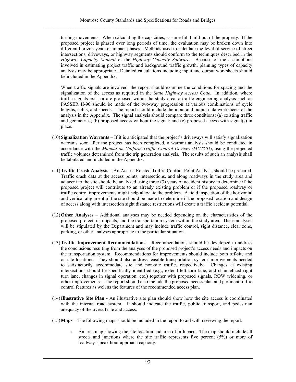turning movements. When calculating the capacities, assume full build-out of the property. If the proposed project is phased over long periods of time, the evaluation may be broken down into different horizon years or impact phases. Methods used to calculate the level of service of street intersections, driveways, or highway segments should conform to the techniques described in the *Highway Capacity Manual* or the *Highway Capacity Software*. Because of the assumptions involved in estimating project traffic and background traffic growth, planning types of capacity analysis may be appropriate. Detailed calculations including input and output worksheets should be included in the Appendix.

When traffic signals are involved, the report should examine the conditions for spacing and the signalization of the access as required in the *State Highway Access Code*. In addition, where traffic signals exist or are proposed within the study area, a traffic engineering analysis such as PASSER II-90 should be made of the two-way progression at various combinations of cycle lengths, splits, and speeds. The report should include the input and output data worksheets of the analysis in the Appendix. The signal analysis should compare three conditions: (a) existing traffic and geometrics; (b) proposed access without the signal; and (c) proposed access with signal(s) in place.

- (10)**Signalization Warrants**  If it is anticipated that the project's driveways will satisfy signalization warrants soon after the project has been completed, a warrant analysis should be conducted in accordance with the *Manual on Uniform Traffic Control Devices (MUTCD*), using the projected traffic volumes determined from the trip generation analysis. The results of such an analysis shall be tabulated and included in the Appendix.
- (11)**Traffic Crash Analysis** An Access Related Traffic Conflict Point Analysis should be prepared. Traffic crash data at the access points, intersections, and along roadways in the study area and adjacent to the site should be analyzed using three (3) years of accident history to determine if the proposed project will contribute to an already existing problem or if the proposed roadway or traffic control improvements might help alleviate the problem. A field inspection of the horizontal and vertical alignment of the site should be made to determine if the proposed location and design of access along with intersection sight distance restrictions will create a traffic accident potential.
- (12)**Other Analyses** Additional analyses may be needed depending on the characteristics of the proposed project, its impacts, and the transportation system within the study area. These analyses will be stipulated by the Department and may include traffic control, sight distance, clear zone, parking, or other analyses appropriate to the particular situation.
- (13)**Traffic Improvement Recommendations** Recommendations should be developed to address the conclusions resulting from the analyses of the proposed project's access needs and impacts on the transportation system. Recommendations for improvements should include both off-site and on-site locations. They should also address feasible transportation system improvements needed to satisfactorily accommodate site and non-site traffic, respectively. Changes at existing intersections should be specifically identified (e.g., extend left turn lane, add channelized right turn lane, changes in signal operation, etc.) together with proposed signals, ROW widening, or other improvements. The report should also include the proposed access plan and pertinent traffic control features as well as the features of the recommended access plan.
- (14)**Illustrative Site Plan** An illustrative site plan should show how the site access is coordinated with the internal road system. It should indicate the traffic, public transport, and pedestrian adequacy of the overall site and access.
- (15)**Maps** The following maps should be included in the report to aid with reviewing the report:
	- a. An area map showing the site location and area of influence. The map should include all streets and junctions where the site traffic represents five percent (5%) or more of roadway's peak hour approach capacity.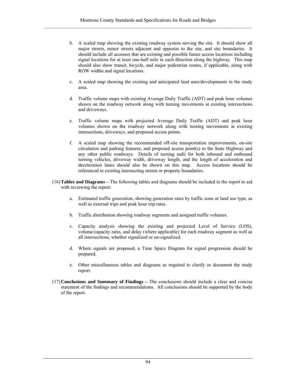- b. A scaled map showing the existing roadway system serving the site. It should show all major streets, minor streets adjacent and opposite to the site, and site boundaries. It should include all accesses that are existing and possible future access locations including signal locations for at least one-half mile in each direction along the highway. This map should also show transit, bicycle, and major pedestrian routes, if applicable, along with ROW widths and signal locations.
- c. A scaled map showing the existing and anticipated land uses/developments in the study area.
- d. Traffic volume maps with existing Average Daily Traffic (ADT) and peak hour volumes shown on the roadway network along with turning movements at existing intersections and driveways.
- e. Traffic volume maps with projected Average Daily Traffic (ADT) and peak hour volumes shown on the roadway network along with turning movements at existing intersections, driveways, and proposed access points.
- f. A scaled map showing the recommended off-site transportation improvements, on-site circulation and parking features, and proposed access point(s) to the State Highway and any other public roadways. Details of turning radii for both inbound and outbound turning vehicles, driveway width, driveway length, and the length of acceleration and deceleration lanes should also be shown on this map. Access locations should be referenced to existing intersecting streets or property boundaries.
- (16)**Tables and Diagrams** The following tables and diagrams should be included in the report to aid with reviewing the report:
	- a. Estimated traffic generation, showing generation rates by traffic zone or land use type, as well as external trips and peak hour trip rates.
	- b. Traffic distribution showing roadway segments and assigned traffic volumes.
	- c. Capacity analysis showing the existing and projected Level of Service (LOS), volume/capacity ratio, and delay (where applicable) for each roadway segment as well as all intersections, whether signalized or un-signalized.
	- d. Where signals are proposed, a Time Space Diagram for signal progression should be prepared.
	- e. Other miscellaneous tables and diagrams as required to clarify or document the study report.
- (17)**Conclusions and Summary of Findings** The conclusions should include a clear and concise statement of the findings and recommendations. All conclusions should be supported by the body of the report.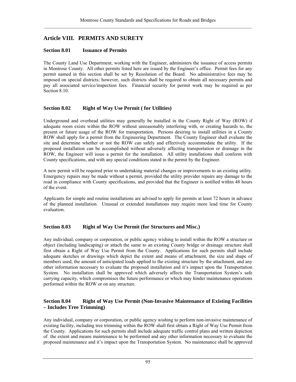# **Article VIII. PERMITS AND SURETY**

## **Section 8.01 Issuance of Permits**

The County Land Use Department, working with the Engineer, administers the issuance of access permits in Montrose County. All other permits listed here are issued by the Engineer's office. Permit fees for any permit named in this section shall be set by Resolution of the Board. No administrative fees may be imposed on special districts; however, such districts shall be required to obtain all necessary permits and pay all associated service/inspection fees. Financial security for permit work may be required as per Section 8.10.

## **Section 8.02 Right of Way Use Permit ( for Utilities)**

Underground and overhead utilities may generally be installed in the County Right of Way (ROW) if adequate room exists within the ROW without unreasonably interfering with, or creating hazards to, the present or future usage of the ROW for transportation. Persons desiring to install utilities in a County ROW shall apply for a permit from the Engineering Department. The County Engineer shall evaluate the site and determine whether or not the ROW can safely and effectively accommodate the utility. If the proposed installation can be accomplished without adversely affecting transportation or drainage in the ROW, the Engineer will issue a permit for the installation. All utility installations shall conform with County specifications, and with any special conditions stated in the permit by the Engineer.

A new permit will be required prior to undertaking material changes or improvements to an existing utility. Emergency repairs may be made without a permit, provided the utility provider repairs any damage to the road in compliance with County specifications, and provided that the Engineer is notified within 48 hours of the event.

Applicants for simple and routine installations are advised to apply for permits at least 72 hours in advance of the planned installation. Unusual or extended installations may require more lead time for County evaluation.

# **Section 8.03 Right of Way Use Permit (for Structures and Misc.)**

Any individual, company or corporation, or public agency wishing to install within the ROW a structure or object (including landscaping) or attach the same to an existing County bridge or drainage structure shall first obtain a Right of Way Use Permit from the County. Applications for such permits shall include adequate sketches or drawings which depict the extent and means of attachment, the size and shape of members used, the amount of anticipated loads applied to the existing structure by the attachment, and any other information necessary to evaluate the proposed installation and it's impact upon the Transportation System. No installation shall be approved which adversely affects the Transportation System's safe carrying capacity, which compromises the future performance or which may hinder maintenance operations performed within the ROW or on any structure.

# **Section 8.04 Right of Way Use Permit (Non-Invasive Maintenance of Existing Facilities – Includes Tree Trimming)**

Any individual, company or corporation, or public agency wishing to perform non-invasive maintenance of existing facility, including tree trimming within the ROW shall first obtain a Right of Way Use Permit from the County. Applications for such permits shall include adequate traffic control plans and written depiction of the extent and means maintenance to be performed and any other information necessary to evaluate the proposed maintenance and it's impact upon the Transportation System. No maintenance shall be approved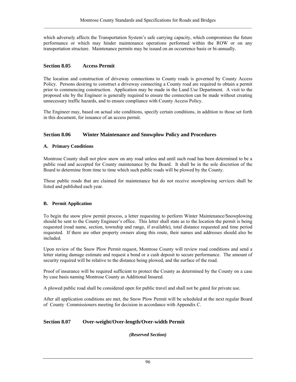which adversely affects the Transportation System's safe carrying capacity, which compromises the future performance or which may hinder maintenance operations performed within the ROW or on any transportation structure. Maintenance permits may be issued on an occurrence basis or bi-annually.

## **Section 8.05 Access Permit**

The location and construction of driveway connections to County roads is governed by County Access Policy. Persons desiring to construct a driveway connecting a County road are required to obtain a permit prior to commencing construction. Application may be made in the Land Use Department. A visit to the proposed site by the Engineer is generally required to ensure the connection can be made without creating unnecessary traffic hazards, and to ensure compliance with County Access Policy.

The Engineer may, based on actual site conditions, specify certain conditions, in addition to those set forth in this document, for issuance of an access permit.

## **Section 8.06 Winter Maintenance and Snowplow Policy and Procedures**

### **A. Primary Conditions**

Montrose County shall not plow snow on any road unless and until such road has been determined to be a public road and accepted for County maintenance by the Board. It shall be in the sole discretion of the Board to determine from time to time which such public roads will be plowed by the County.

Those public roads that are claimed for maintenance but do not receive snowplowing services shall be listed and published each year.

### **B. Permit Application**

To begin the snow plow permit process, a letter requesting to perform Winter Maintenance/Snowplowing should be sent to the County Engineer's office. This letter shall state as to the location the permit is being requested (road name, section, township and range, if available), total distance requested and time period requested. If there are other property owners along this route, their names and addresses should also be included.

Upon review of the Snow Plow Permit request, Montrose County will review road conditions and send a letter stating damage estimate and request a bond or a cash deposit to secure performance. The amount of security required will be relative to the distance being plowed, and the surface of the road.

Proof of insurance will be required sufficient to protect the County as determined by the County on a case by case basis naming Montrose County as Additional Insured.

A plowed public road shall be considered open for public travel and shall not be gated for private use.

After all application conditions are met, the Snow Plow Permit will be scheduled at the next regular Board of County Commissioners meeting for decision in accordance with Appendix C.

### **Section 8.07 Over-weight/Over-length/Over-width Permit**

*(Reserved Section)*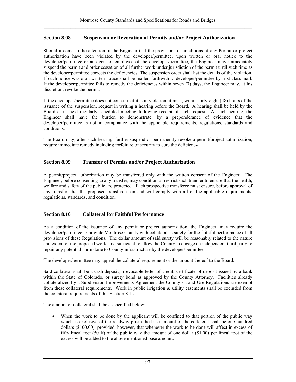### **Section 8.08 Suspension or Revocation of Permits and/or Project Authorization**

Should it come to the attention of the Engineer that the provisions or conditions of any Permit or project authorization have been violated by the developer/permittee, upon written or oral notice to the developer/permittee or an agent or employee of the developer/permittee, the Engineer may immediately suspend the permit and order cessation of all further work under jurisdiction of the permit until such time as the developer/permittee corrects the deficiencies. The suspension order shall list the details of the violation. If such notice was oral, written notice shall be mailed forthwith to developer/permittee by first class mail. If the developer/permittee fails to remedy the deficiencies within seven (7) days, the Engineer may, at his discretion, revoke the permit.

If the developer/permittee does not concur that it is in violation, it must, within forty-eight (48) hours of the issuance of the suspension, request in writing a hearing before the Board. A hearing shall be held by the Board at its next regularly scheduled meeting following receipt of such request. At such hearing, the Engineer shall have the burden to demonstrate, by a preponderance of evidence that the developer/permittee is not in compliance with the applicable requirements, regulations, standards and conditions.

The Board may, after such hearing, further suspend or permanently revoke a permit/project authorization, require immediate remedy including forfeiture of security to cure the deficiency.

## **Section 8.09 Transfer of Permits and/or Project Authorization**

A permit/project authorization may be transferred only with the written consent of the Engineer. The Engineer, before consenting to any transfer, may condition or restrict such transfer to ensure that the health, welfare and safety of the public are protected. Each prospective transferee must ensure, before approval of any transfer, that the proposed transferee can and will comply with all of the applicable requirements, regulations, standards, and condition.

#### **Section 8.10 Collateral for Faithful Performance**

As a condition of the issuance of any permit or project authorization, the Engineer, may require the developer/permittee to provide Montrose County with collateral as surety for the faithful performance of all provisions of these Regulations. The dollar amount of said surety will be reasonably related to the nature and extent of the proposed work, and sufficient to allow the County to engage an independent third party to repair any potential harm done to County infrastructure by the developer/permittee.

The developer/permittee may appeal the collateral requirement or the amount thereof to the Board.

Said collateral shall be a cash deposit, irrevocable letter of credit, certificate of deposit issued by a bank within the State of Colorado, or surety bond as approved by the County Attorney. Facilities already collateralized by a Subdivision Improvements Agreement the County's Land Use Regulations are exempt from these collateral requirements. Work in public irrigation & utility easements shall be excluded from the collateral requirements of this Section 8.12.

The amount or collateral shall be as specified below:

• When the work to be done by the applicant will be confined to that portion of the public way which is exclusive of the roadway prism the base amount of the collateral shall be one hundred dollars (\$100.00), provided, however, that whenever the work to be done will affect in excess of fifty lineal feet (50 lf) of the public way the amount of one dollar (\$1.00) per lineal foot of the excess will be added to the above mentioned base amount.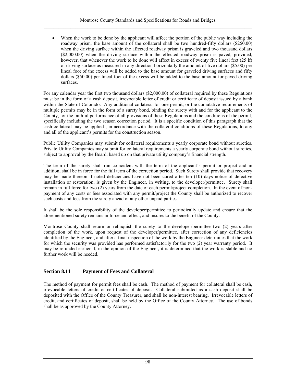• When the work to be done by the applicant will affect the portion of the public way including the roadway prism, the base amount of the collateral shall be two hundred-fifty dollars (\$250.00) when the driving surface within the affected roadway prism is graveled and two thousand dollars (\$2,000.00) when the driving surface within the effected roadway prism is paved, provided, however, that whenever the work to be done will affect in excess of twenty five lineal feet (25 lf) of driving surface as measured in any direction horizontally the amount of five dollars (\$5.00) per lineal foot of the excess will be added to the base amount for graveled driving surfaces and fifty dollars (\$50.00) per lineal foot of the excess will be added to the base amount for paved driving surfaces.

For any calendar year the first two thousand dollars (\$2,000.00) of collateral required by these Regulations must be in the form of a cash deposit, irrevocable letter of credit or certificate of deposit issued by a bank within the State of Colorado. Any additional collateral for one permit, or the cumulative requirements of multiple permits may be in the form of a surety bond, binding the surety with and for the applicant to the County, for the faithful performance of all provisions of these Regulations and the conditions of the permit, specifically including the two season correction period. It is a specific condition of this paragraph that the cash collateral may be applied , in accordance with the collateral conditions of these Regulations, to any and all of the applicant's permits for the construction season.

Public Utility Companies may submit for collateral requirements a yearly corporate bond without sureties. Private Utility Companies may submit for collateral requirements a yearly corporate bond without sureties, subject to approval by the Board, based up on that private utility company's financial strength.

The term of the surety shall run coincident with the term of the applicant's permit or project and in addition, shall be in force for the full term of the correction period. Such Surety shall provide that recovery may be made thereon if noted deficiencies have not been cured after ten (10) days notice of defective installation or restoration, is given by the Engineer, in writing, to the developer/permittee. Surety shall remain in full force for two (2) years from the date of each permit/project completion. In the event of nonpayment of any costs or fees associated with any permit/project the County shall be authorized to recover such costs and fees from the surety ahead of any other unpaid parties.

It shall be the sole responsibility of the developer/permittee to periodically update and ensure that the aforementioned surety remains in force and effect, and insures to the benefit of the County.

Montrose County shall return or relinquish the surety to the developer/permittee two (2) years after completion of the work, upon request of the developer/permittee, after correction of any deficiencies identified by the Engineer, and after a final inspection of the work by the Engineer determines that the work for which the security was provided has performed satisfactorily for the two (2) year warranty period. It may be refunded earlier if, in the opinion of the Engineer, it is determined that the work is stable and no further work will be needed.

## **Section 8.11 Payment of Fees and Collateral**

The method of payment for permit fees shall be cash. The method of payment for collateral shall be cash, irrevocable letters of credit or certificates of deposit. Collateral submitted as a cash deposit shall be deposited with the Office of the County Treasurer, and shall be non-interest bearing. Irrevocable letters of credit, and certificates of deposit, shall be held by the Office of the County Attorney. The use of bonds shall be as approved by the County Attorney.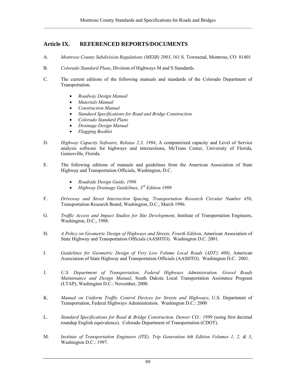# **Article IX. REFERENCED REPORTS/DOCUMENTS**

- A. *Montrose County Subdivision Regulations (MESR) 2003*, 161 S. Townsend, Montrose, CO 81401
- B. *Colorado Standard Plans*, Division of Highways M and S Standards.
- C. The current editions of the following manuals and standards of the Colorado Department of Transportation.
	- *Roadway Design Manual*
	- *Materials Manual*
	- *Construction Manual*
	- *Standard Specifications for Road and Bridge Construction*
	- *Colorado Standard Plans*
	- *Drainage Design Manual*
	- *Flagging Booklet*
- D. *Highway Capacity Software, Release 2.3, 1994*, A computerized capacity and Level of Service analysis software for highways and intersections, McTrans Center, University of Florida, Gainesville, Florida.
- E. The following editions of manuals and guidelines from the American Association of State Highway and Transportation Officials, Washington, D.C.
	- *Roadside Design Guide, 1996*
	- *Highway Drainage Guidelines, 3rd Edition 1999*
- F. *Driveway and Street Intersection Spacing, Transportation Research Circular Number 456*, Transportation Research Board, Washington, D.C., March 1996.
- G. *Traffic Access and Impact Studies for Site Development*, Institute of Transportation Engineers, Washington, D.C., 1988.
- H. *A Policy on Geometric Design of Highways and Streets, Fourth Edition*, American Association of State Highway and Transportation Officials (AASHTO). Washington D.C. 2001.
- I. *Guidelines for Geometric Design of Very Low Volume Local Roads (ADT≤ 400)*, American Association of State Highway and Transportation Officials (AASHTO). Washington D.C. 2001.
- J. *U.S. Department of Transportation, Federal Highways Administration. Gravel Roads Maintenance and Design Manual*, South Dakota Local Transportation Assistance Program (LTAP), Washington D.C.: November, 2000.
- K. *Manual on Uniform Traffic Control Devices for Streets and Highways*; U.S. Department of Transportation, Federal Highways Administration. Washington D.C.: 2000
- L. *Standard Specifications for Road & Bridge Construction. Denver CO.: 1999* (using first decimal roundup English equivalence). Colorado Department of Transportation (CDOT).
- M. *Institute of Transportation Engineers (ITE). Trip Generation 6th Edition Volumes 1, 2, & 3*, Washington D.C.: 1997.